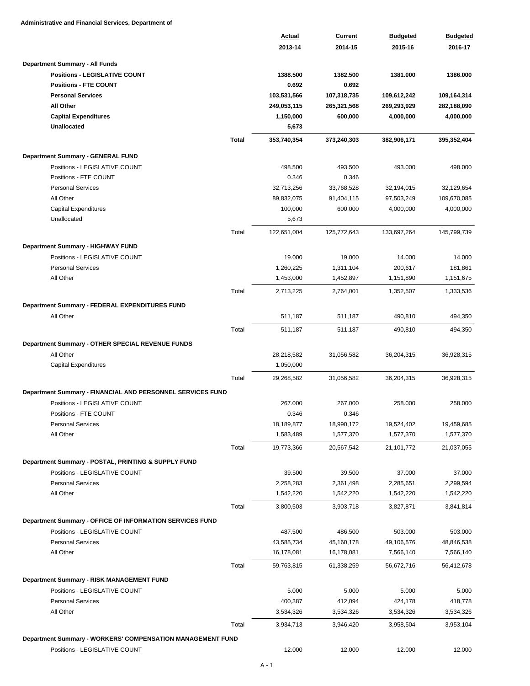**Administrative and Financial Services, Department of**

|                                                            | Actual                   | Current                  | <b>Budgeted</b>          | <b>Budgeted</b>           |
|------------------------------------------------------------|--------------------------|--------------------------|--------------------------|---------------------------|
|                                                            | 2013-14                  | 2014-15                  | 2015-16                  | 2016-17                   |
| Department Summary - All Funds                             |                          |                          |                          |                           |
| <b>Positions - LEGISLATIVE COUNT</b>                       | 1388.500                 | 1382.500                 | 1381.000                 | 1386.000                  |
| <b>Positions - FTE COUNT</b>                               | 0.692                    | 0.692                    |                          |                           |
| <b>Personal Services</b>                                   | 103,531,566              | 107,318,735              | 109,612,242              | 109,164,314               |
| All Other                                                  | 249,053,115              | 265,321,568              | 269,293,929              | 282,188,090               |
| <b>Capital Expenditures</b>                                | 1,150,000                | 600,000                  | 4,000,000                | 4,000,000                 |
| <b>Unallocated</b>                                         | 5,673                    |                          |                          |                           |
| <b>Total</b>                                               | 353,740,354              | 373,240,303              | 382,906,171              | 395,352,404               |
|                                                            |                          |                          |                          |                           |
| <b>Department Summary - GENERAL FUND</b>                   |                          |                          |                          |                           |
| Positions - LEGISLATIVE COUNT                              | 498.500                  | 493.500                  | 493.000                  | 498.000                   |
| Positions - FTE COUNT<br><b>Personal Services</b>          | 0.346                    | 0.346                    |                          |                           |
| All Other                                                  | 32,713,256<br>89,832,075 | 33,768,528<br>91,404,115 | 32,194,015<br>97,503,249 | 32,129,654<br>109,670,085 |
| <b>Capital Expenditures</b>                                | 100,000                  | 600,000                  | 4,000,000                | 4,000,000                 |
| Unallocated                                                | 5,673                    |                          |                          |                           |
|                                                            |                          |                          |                          |                           |
| Total                                                      | 122,651,004              | 125,772,643              | 133,697,264              | 145,799,739               |
| Department Summary - HIGHWAY FUND                          |                          |                          |                          |                           |
| Positions - LEGISLATIVE COUNT                              | 19.000                   | 19.000                   | 14.000                   | 14.000                    |
| <b>Personal Services</b>                                   | 1,260,225                | 1,311,104                | 200,617                  | 181,861                   |
| All Other                                                  | 1,453,000                | 1,452,897                | 1,151,890                | 1,151,675                 |
| Total                                                      | 2,713,225                | 2,764,001                | 1,352,507                | 1,333,536                 |
| Department Summary - FEDERAL EXPENDITURES FUND             |                          |                          |                          |                           |
| All Other                                                  | 511,187                  | 511,187                  | 490,810                  | 494,350                   |
| Total                                                      | 511,187                  | 511,187                  | 490,810                  | 494,350                   |
|                                                            |                          |                          |                          |                           |
| Department Summary - OTHER SPECIAL REVENUE FUNDS           |                          |                          |                          |                           |
| All Other                                                  | 28,218,582               | 31,056,582               | 36,204,315               | 36,928,315                |
| <b>Capital Expenditures</b>                                | 1,050,000                |                          |                          |                           |
| Total                                                      | 29,268,582               | 31,056,582               | 36,204,315               | 36,928,315                |
| Department Summary - FINANCIAL AND PERSONNEL SERVICES FUND |                          |                          |                          |                           |
| Positions - LEGISLATIVE COUNT                              | 267.000                  | 267.000                  | 258.000                  | 258.000                   |
| Positions - FTE COUNT                                      | 0.346                    | 0.346                    |                          |                           |
| <b>Personal Services</b>                                   | 18,189,877               | 18,990,172               | 19,524,402               | 19,459,685                |
| All Other                                                  | 1,583,489                | 1,577,370                | 1,577,370                | 1,577,370                 |
| Total                                                      | 19,773,366               | 20,567,542               | 21,101,772               | 21,037,055                |
| Department Summary - POSTAL, PRINTING & SUPPLY FUND        |                          |                          |                          |                           |
| Positions - LEGISLATIVE COUNT                              | 39.500                   | 39.500                   | 37.000                   | 37.000                    |
| <b>Personal Services</b>                                   | 2,258,283                | 2,361,498                | 2,285,651                | 2,299,594                 |
| All Other                                                  | 1,542,220                | 1,542,220                | 1,542,220                | 1,542,220                 |
| Total                                                      | 3,800,503                | 3,903,718                | 3,827,871                | 3,841,814                 |
|                                                            |                          |                          |                          |                           |
| Department Summary - OFFICE OF INFORMATION SERVICES FUND   |                          | 486.500                  |                          |                           |
| Positions - LEGISLATIVE COUNT<br><b>Personal Services</b>  | 487.500<br>43,585,734    | 45,160,178               | 503.000<br>49,106,576    | 503.000<br>48,846,538     |
| All Other                                                  | 16,178,081               | 16,178,081               | 7,566,140                | 7,566,140                 |
|                                                            |                          |                          |                          |                           |
| Total                                                      | 59,763,815               | 61,338,259               | 56,672,716               | 56,412,678                |
| Department Summary - RISK MANAGEMENT FUND                  |                          |                          |                          |                           |
| Positions - LEGISLATIVE COUNT                              | 5.000                    | 5.000                    | 5.000                    | 5.000                     |
| <b>Personal Services</b>                                   | 400,387                  | 412,094                  | 424,178                  | 418,778                   |
| All Other                                                  | 3,534,326                | 3,534,326                | 3,534,326                | 3,534,326                 |
| Total                                                      | 3,934,713                | 3,946,420                | 3,958,504                | 3,953,104                 |
| Department Summary - WORKERS' COMPENSATION MANAGEMENT FUND |                          |                          |                          |                           |
| Positions - LEGISLATIVE COUNT                              | 12.000                   | 12.000                   | 12.000                   | 12.000                    |
|                                                            |                          |                          |                          |                           |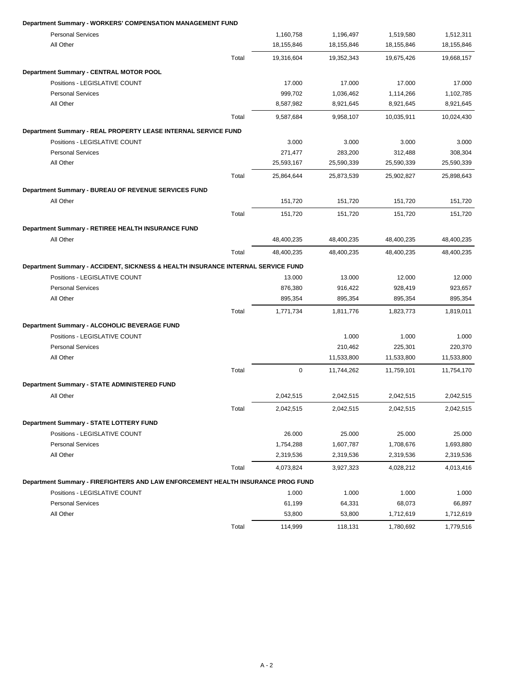### **Department Summary - WORKERS' COMPENSATION MANAGEMENT FUND**

| <b>Personal Services</b>                                                         |       | 1,160,758   | 1,196,497  | 1,519,580  | 1,512,311  |
|----------------------------------------------------------------------------------|-------|-------------|------------|------------|------------|
| All Other                                                                        |       | 18,155,846  | 18,155,846 | 18,155,846 | 18,155,846 |
|                                                                                  | Total | 19,316,604  | 19,352,343 | 19,675,426 | 19,668,157 |
| Department Summary - CENTRAL MOTOR POOL                                          |       |             |            |            |            |
| Positions - LEGISLATIVE COUNT                                                    |       | 17.000      | 17.000     | 17.000     | 17.000     |
| <b>Personal Services</b>                                                         |       | 999,702     | 1,036,462  | 1,114,266  | 1,102,785  |
| All Other                                                                        |       | 8,587,982   | 8,921,645  | 8,921,645  | 8,921,645  |
|                                                                                  | Total | 9.587.684   | 9,958,107  | 10,035,911 | 10,024,430 |
| Department Summary - REAL PROPERTY LEASE INTERNAL SERVICE FUND                   |       |             |            |            |            |
| Positions - LEGISLATIVE COUNT                                                    |       | 3.000       | 3.000      | 3.000      | 3.000      |
| <b>Personal Services</b>                                                         |       | 271,477     | 283,200    | 312,488    | 308,304    |
| All Other                                                                        |       | 25,593,167  | 25,590,339 | 25,590,339 | 25,590,339 |
|                                                                                  | Total | 25,864,644  | 25,873,539 | 25,902,827 | 25,898,643 |
| Department Summary - BUREAU OF REVENUE SERVICES FUND                             |       |             |            |            |            |
| All Other                                                                        |       | 151,720     | 151,720    | 151,720    | 151,720    |
|                                                                                  | Total | 151,720     | 151,720    | 151,720    | 151,720    |
| Department Summary - RETIREE HEALTH INSURANCE FUND                               |       |             |            |            |            |
| All Other                                                                        |       | 48,400,235  | 48,400,235 | 48,400,235 | 48,400,235 |
|                                                                                  | Total | 48,400,235  | 48,400,235 | 48,400,235 | 48,400,235 |
| Department Summary - ACCIDENT, SICKNESS & HEALTH INSURANCE INTERNAL SERVICE FUND |       |             |            |            |            |
| Positions - LEGISLATIVE COUNT                                                    |       | 13.000      | 13.000     | 12.000     | 12.000     |
| <b>Personal Services</b>                                                         |       | 876,380     | 916,422    | 928,419    | 923,657    |
| All Other                                                                        |       | 895,354     | 895,354    | 895,354    | 895,354    |
|                                                                                  | Total | 1,771,734   | 1,811,776  | 1,823,773  | 1,819,011  |
| Department Summary - ALCOHOLIC BEVERAGE FUND                                     |       |             |            |            |            |
| Positions - LEGISLATIVE COUNT                                                    |       |             | 1.000      | 1.000      | 1.000      |
| <b>Personal Services</b>                                                         |       |             | 210,462    | 225,301    | 220,370    |
| All Other                                                                        |       |             | 11,533,800 | 11,533,800 | 11,533,800 |
|                                                                                  | Total | $\mathbf 0$ | 11,744,262 | 11,759,101 | 11,754,170 |
| Department Summary - STATE ADMINISTERED FUND                                     |       |             |            |            |            |
| All Other                                                                        |       | 2,042,515   | 2,042,515  | 2,042,515  | 2,042,515  |
|                                                                                  | Total | 2,042,515   | 2,042,515  | 2,042,515  | 2,042,515  |
| Department Summary - STATE LOTTERY FUND                                          |       |             |            |            |            |
| Positions - LEGISLATIVE COUNT                                                    |       | 26.000      | 25.000     | 25.000     | 25.000     |
| <b>Personal Services</b>                                                         |       | 1,754,288   | 1,607,787  | 1,708,676  | 1,693,880  |
| All Other                                                                        |       | 2,319,536   | 2,319,536  | 2,319,536  | 2,319,536  |
|                                                                                  | Total | 4,073,824   | 3,927,323  | 4,028,212  | 4,013,416  |
| Department Summary - FIREFIGHTERS AND LAW ENFORCEMENT HEALTH INSURANCE PROG FUND |       |             |            |            |            |
| Positions - LEGISLATIVE COUNT                                                    |       | 1.000       | 1.000      | 1.000      | 1.000      |
| <b>Personal Services</b>                                                         |       | 61,199      | 64,331     | 68,073     | 66,897     |
| All Other                                                                        |       | 53,800      | 53,800     | 1,712,619  | 1,712,619  |
|                                                                                  | Total | 114,999     | 118,131    | 1,780,692  | 1,779,516  |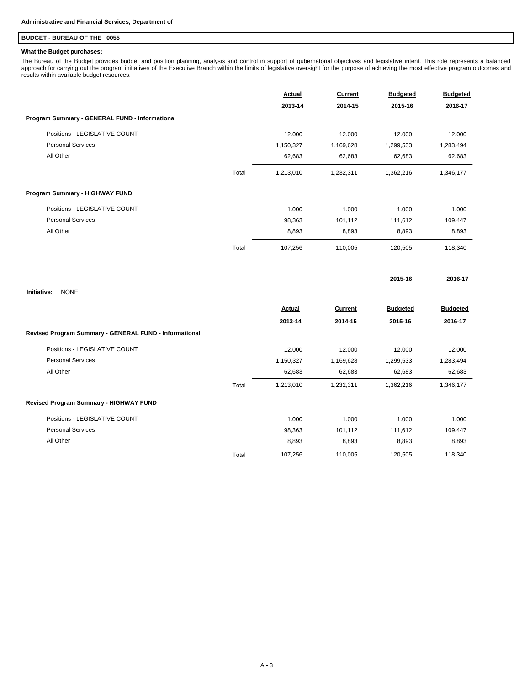## **BUDGET - BUREAU OF THE 0055**

### **What the Budget purchases:**

The Bureau of the Budget provides budget and position planning, analysis and control in support of gubernatorial objectives and legislative intent. This role represents a balanced<br>approach for carrying out the program init

|                                                        |       | <b>Actual</b> | <b>Current</b> | <b>Budgeted</b> | <b>Budgeted</b> |
|--------------------------------------------------------|-------|---------------|----------------|-----------------|-----------------|
|                                                        |       | 2013-14       | 2014-15        | 2015-16         | 2016-17         |
| Program Summary - GENERAL FUND - Informational         |       |               |                |                 |                 |
| Positions - LEGISLATIVE COUNT                          |       | 12.000        | 12.000         | 12.000          | 12.000          |
| <b>Personal Services</b>                               |       | 1,150,327     | 1,169,628      | 1,299,533       | 1,283,494       |
| All Other                                              |       | 62,683        | 62,683         | 62,683          | 62,683          |
|                                                        | Total | 1,213,010     | 1,232,311      | 1,362,216       | 1,346,177       |
| Program Summary - HIGHWAY FUND                         |       |               |                |                 |                 |
| Positions - LEGISLATIVE COUNT                          |       | 1.000         | 1.000          | 1.000           | 1.000           |
| <b>Personal Services</b>                               |       | 98,363        | 101,112        | 111,612         | 109,447         |
| All Other                                              |       | 8,893         | 8,893          | 8,893           | 8,893           |
|                                                        | Total | 107,256       | 110,005        | 120,505         | 118,340         |
| Initiative:<br><b>NONE</b>                             |       |               |                | 2015-16         | 2016-17         |
|                                                        |       | Actual        | <b>Current</b> | <b>Budgeted</b> | <b>Budgeted</b> |
|                                                        |       | 2013-14       | 2014-15        | 2015-16         | 2016-17         |
| Revised Program Summary - GENERAL FUND - Informational |       |               |                |                 |                 |
| Positions - LEGISLATIVE COUNT                          |       | 12.000        | 12.000         | 12.000          | 12.000          |
| <b>Personal Services</b>                               |       | 1,150,327     | 1,169,628      | 1,299,533       | 1,283,494       |
| All Other                                              |       | 62,683        | 62,683         | 62,683          | 62,683          |
|                                                        | Total | 1,213,010     | 1,232,311      | 1,362,216       | 1,346,177       |
| Revised Program Summary - HIGHWAY FUND                 |       |               |                |                 |                 |
| Positions - LEGISLATIVE COUNT                          |       | 1.000         | 1.000          | 1.000           | 1.000           |
| <b>Personal Services</b>                               |       | 98,363        | 101,112        | 111,612         | 109,447         |
| All Other                                              |       | 8,893         | 8,893          | 8,893           | 8,893           |
|                                                        | Total | 107,256       | 110,005        | 120,505         | 118,340         |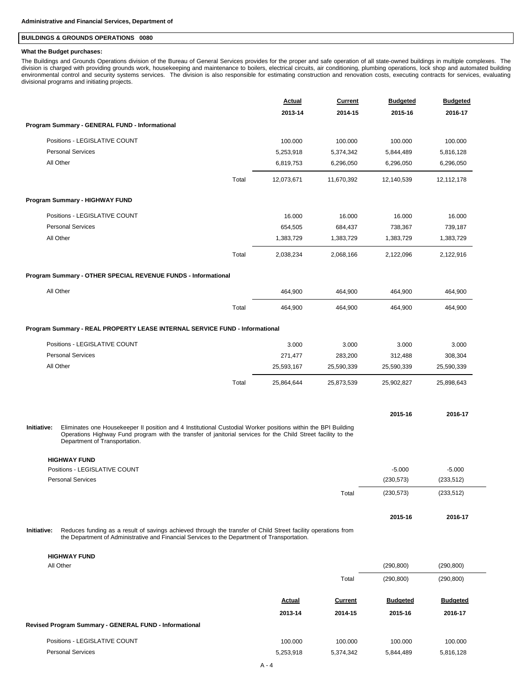### **BUILDINGS & GROUNDS OPERATIONS 0080**

#### **What the Budget purchases:**

The Buildings and Grounds Operations division of the Bureau of General Services provides for the proper and safe operation of all state-owned buildings in multiple complexes. The<br>division is charged with providing grounds environmental control and security systems services. The division is also responsible for estimating construction and renovation costs, executing contracts for services, evaluating divisional programs and initiating projects.

|                                                                                                                                                                                                                                                                                |       | <b>Actual</b><br>2013-14 | <b>Current</b><br>2014-15 | <b>Budgeted</b><br>2015-16 | <b>Budgeted</b><br>2016-17 |
|--------------------------------------------------------------------------------------------------------------------------------------------------------------------------------------------------------------------------------------------------------------------------------|-------|--------------------------|---------------------------|----------------------------|----------------------------|
| Program Summary - GENERAL FUND - Informational                                                                                                                                                                                                                                 |       |                          |                           |                            |                            |
| Positions - LEGISLATIVE COUNT                                                                                                                                                                                                                                                  |       | 100.000                  | 100.000                   | 100.000                    | 100.000                    |
| <b>Personal Services</b>                                                                                                                                                                                                                                                       |       | 5,253,918                | 5,374,342                 | 5,844,489                  | 5,816,128                  |
| All Other                                                                                                                                                                                                                                                                      |       | 6,819,753                | 6,296,050                 | 6,296,050                  | 6,296,050                  |
|                                                                                                                                                                                                                                                                                | Total | 12,073,671               | 11,670,392                | 12,140,539                 | 12,112,178                 |
| Program Summary - HIGHWAY FUND                                                                                                                                                                                                                                                 |       |                          |                           |                            |                            |
| Positions - LEGISLATIVE COUNT                                                                                                                                                                                                                                                  |       | 16.000                   | 16.000                    | 16.000                     | 16.000                     |
| <b>Personal Services</b>                                                                                                                                                                                                                                                       |       | 654,505                  | 684,437                   | 738,367                    | 739,187                    |
| All Other                                                                                                                                                                                                                                                                      |       | 1,383,729                | 1,383,729                 | 1,383,729                  | 1,383,729                  |
|                                                                                                                                                                                                                                                                                | Total | 2,038,234                | 2,068,166                 | 2,122,096                  | 2,122,916                  |
| Program Summary - OTHER SPECIAL REVENUE FUNDS - Informational                                                                                                                                                                                                                  |       |                          |                           |                            |                            |
| All Other                                                                                                                                                                                                                                                                      |       | 464,900                  | 464,900                   | 464,900                    | 464,900                    |
|                                                                                                                                                                                                                                                                                | Total | 464,900                  | 464,900                   | 464,900                    | 464,900                    |
| Program Summary - REAL PROPERTY LEASE INTERNAL SERVICE FUND - Informational                                                                                                                                                                                                    |       |                          |                           |                            |                            |
| Positions - LEGISLATIVE COUNT                                                                                                                                                                                                                                                  |       | 3.000                    | 3.000                     | 3.000                      | 3.000                      |
| <b>Personal Services</b>                                                                                                                                                                                                                                                       |       | 271,477                  | 283,200                   | 312,488                    | 308,304                    |
| All Other                                                                                                                                                                                                                                                                      |       | 25,593,167               | 25,590,339                | 25,590,339                 | 25,590,339                 |
|                                                                                                                                                                                                                                                                                | Total | 25,864,644               | 25,873,539                | 25,902,827                 | 25,898,643                 |
|                                                                                                                                                                                                                                                                                |       |                          |                           | 2015-16                    | 2016-17                    |
| Initiative:<br>Eliminates one Housekeeper II position and 4 Institutional Custodial Worker positions within the BPI Building<br>Operations Highway Fund program with the transfer of janitorial services for the Child Street facility to the<br>Department of Transportation. |       |                          |                           |                            |                            |
| <b>HIGHWAY FUND</b>                                                                                                                                                                                                                                                            |       |                          |                           |                            |                            |
| Positions - LEGISLATIVE COUNT                                                                                                                                                                                                                                                  |       |                          |                           | $-5.000$                   | $-5.000$                   |
| <b>Personal Services</b>                                                                                                                                                                                                                                                       |       |                          |                           | (230, 573)                 | (233, 512)                 |
|                                                                                                                                                                                                                                                                                |       |                          | Total                     | (230, 573)                 | (233, 512)                 |
|                                                                                                                                                                                                                                                                                |       |                          |                           | 2015-16                    | 2016-17                    |
| Initiative:<br>Reduces funding as a result of savings achieved through the transfer of Child Street facility operations from<br>the Department of Administrative and Financial Services to the Department of Transportation.                                                   |       |                          |                           |                            |                            |
| <b>HIGHWAY FUND</b>                                                                                                                                                                                                                                                            |       |                          |                           |                            |                            |
| All Other                                                                                                                                                                                                                                                                      |       |                          |                           | (290, 800)                 | (290, 800)                 |
|                                                                                                                                                                                                                                                                                |       |                          | Total                     | (290, 800)                 | (290, 800)                 |
|                                                                                                                                                                                                                                                                                |       | <b>Actual</b>            | Current                   | <b>Budgeted</b>            | <b>Budgeted</b>            |
|                                                                                                                                                                                                                                                                                |       | 2013-14                  | 2014-15                   | 2015-16                    | 2016-17                    |
| Revised Program Summary - GENERAL FUND - Informational                                                                                                                                                                                                                         |       |                          |                           |                            |                            |
| Positions - LEGISLATIVE COUNT                                                                                                                                                                                                                                                  |       | 100.000                  | 100.000                   | 100.000                    | 100.000                    |

Personal Services 5,253,918 5,374,342 5,844,489 5,816,128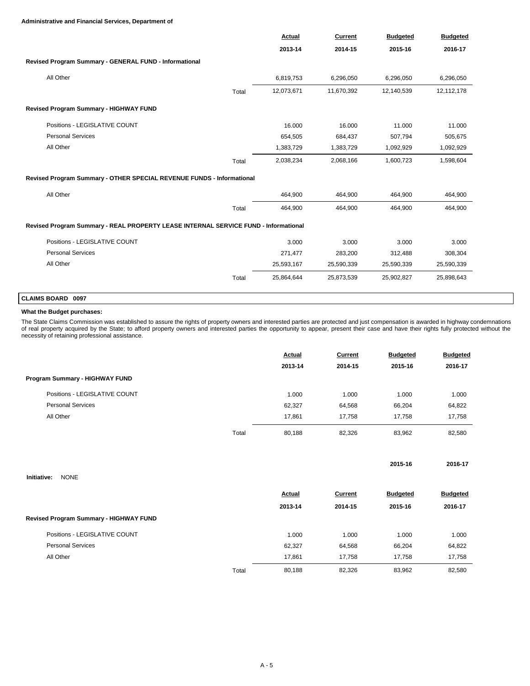### **Administrative and Financial Services, Department of**

|                                                                                     |       | Actual     | Current    | <b>Budgeted</b> | <b>Budgeted</b> |
|-------------------------------------------------------------------------------------|-------|------------|------------|-----------------|-----------------|
|                                                                                     |       | 2013-14    | 2014-15    | 2015-16         | 2016-17         |
| Revised Program Summary - GENERAL FUND - Informational                              |       |            |            |                 |                 |
| All Other                                                                           |       | 6,819,753  | 6,296,050  | 6,296,050       | 6,296,050       |
|                                                                                     | Total | 12,073,671 | 11,670,392 | 12,140,539      | 12,112,178      |
| Revised Program Summary - HIGHWAY FUND                                              |       |            |            |                 |                 |
| Positions - LEGISLATIVE COUNT                                                       |       | 16.000     | 16.000     | 11.000          | 11.000          |
| <b>Personal Services</b>                                                            |       | 654,505    | 684,437    | 507,794         | 505,675         |
| All Other                                                                           |       | 1,383,729  | 1,383,729  | 1,092,929       | 1,092,929       |
|                                                                                     | Total | 2,038,234  | 2,068,166  | 1,600,723       | 1,598,604       |
| Revised Program Summary - OTHER SPECIAL REVENUE FUNDS - Informational               |       |            |            |                 |                 |
| All Other                                                                           |       | 464,900    | 464,900    | 464,900         | 464,900         |
|                                                                                     | Total | 464,900    | 464,900    | 464,900         | 464,900         |
| Revised Program Summary - REAL PROPERTY LEASE INTERNAL SERVICE FUND - Informational |       |            |            |                 |                 |
| Positions - LEGISLATIVE COUNT                                                       |       | 3.000      | 3.000      | 3.000           | 3.000           |
| <b>Personal Services</b>                                                            |       | 271,477    | 283,200    | 312,488         | 308,304         |
| All Other                                                                           |       | 25,593,167 | 25,590,339 | 25,590,339      | 25,590,339      |
|                                                                                     |       |            |            |                 |                 |

# **CLAIMS BOARD 0097**

### **What the Budget purchases:**

The State Claims Commission was established to assure the rights of property owners and interested parties are protected and just compensation is awarded in highway condemnations<br>of real property acquired by the State; to

**2015-16 2016-17**

|                                |       | <b>Actual</b> | Current | <b>Budgeted</b> | <b>Budgeted</b> |
|--------------------------------|-------|---------------|---------|-----------------|-----------------|
|                                |       | 2013-14       | 2014-15 | 2015-16         | 2016-17         |
| Program Summary - HIGHWAY FUND |       |               |         |                 |                 |
| Positions - LEGISLATIVE COUNT  |       | 1.000         | 1.000   | 1.000           | 1.000           |
| <b>Personal Services</b>       |       | 62,327        | 64,568  | 66.204          | 64,822          |
| All Other                      |       | 17.861        | 17.758  | 17.758          | 17,758          |
|                                | Total | 80.188        | 82,326  | 83.962          | 82,580          |

| <b>NONE</b> |
|-------------|
|             |

|                                        |       | Actual  | Current | <b>Budgeted</b> | <b>Budgeted</b> |
|----------------------------------------|-------|---------|---------|-----------------|-----------------|
|                                        |       | 2013-14 | 2014-15 | 2015-16         | 2016-17         |
| Revised Program Summary - HIGHWAY FUND |       |         |         |                 |                 |
| Positions - LEGISLATIVE COUNT          |       | 1.000   | 1.000   | 1.000           | 1.000           |
| <b>Personal Services</b>               |       | 62,327  | 64,568  | 66,204          | 64,822          |
| All Other                              |       | 17.861  | 17.758  | 17.758          | 17,758          |
|                                        | Total | 80,188  | 82,326  | 83,962          | 82,580          |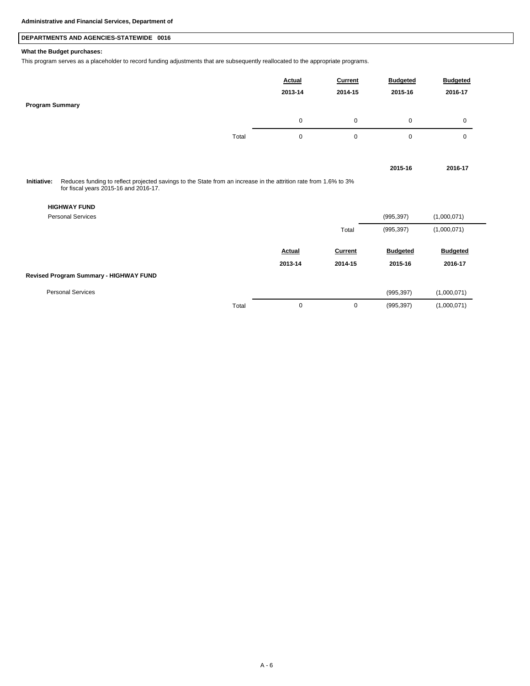## **DEPARTMENTS AND AGENCIES-STATEWIDE 0016**

### **What the Budget purchases:**

This program serves as a placeholder to record funding adjustments that are subsequently reallocated to the appropriate programs.

| <b>Program Summary</b> |                                                                                                                                                           | Actual<br>2013-14 | Current<br>2014-15 | <b>Budgeted</b><br>2015-16 | <b>Budgeted</b><br>2016-17 |
|------------------------|-----------------------------------------------------------------------------------------------------------------------------------------------------------|-------------------|--------------------|----------------------------|----------------------------|
|                        |                                                                                                                                                           | 0                 | $\mathbf 0$        | 0                          | $\Omega$                   |
|                        | Total                                                                                                                                                     | 0                 | 0                  | 0                          | $\Omega$                   |
|                        |                                                                                                                                                           |                   |                    | 2015-16                    | 2016-17                    |
| Initiative:            | Reduces funding to reflect projected savings to the State from an increase in the attrition rate from 1.6% to 3%<br>for fiscal years 2015-16 and 2016-17. |                   |                    |                            |                            |

### **HIGHWAY FUND**

| <b>Personal Services</b>               |       |               |                | (995, 397)      | (1,000,071)     |
|----------------------------------------|-------|---------------|----------------|-----------------|-----------------|
|                                        |       |               | Total          | (995, 397)      | (1,000,071)     |
|                                        |       | <b>Actual</b> | <b>Current</b> | <b>Budgeted</b> | <b>Budgeted</b> |
|                                        |       | 2013-14       | 2014-15        | 2015-16         | 2016-17         |
| Revised Program Summary - HIGHWAY FUND |       |               |                |                 |                 |
| <b>Personal Services</b>               |       |               |                | (995, 397)      | (1,000,071)     |
|                                        | Total | 0             | 0              | (995, 397)      | (1,000,071)     |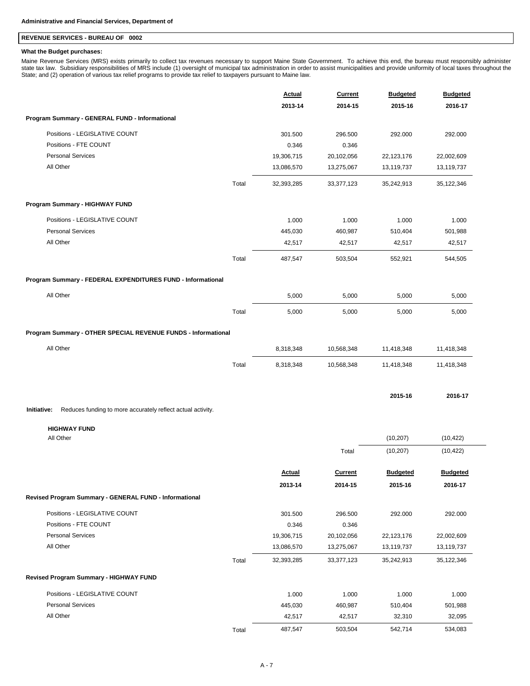## **REVENUE SERVICES - BUREAU OF 0002**

### **What the Budget purchases:**

Maine Revenue Services (MRS) exists primarily to collect tax revenues necessary to support Maine State Government. To achieve this end, the bureau must responsibly administer<br>state tax law. Subsidiary responsibilities of M State; and (2) operation of various tax relief programs to provide tax relief to taxpayers pursuant to Maine law.

|                                                                            | <b>Actual</b> | <b>Current</b> | <b>Budgeted</b> | <b>Budgeted</b> |
|----------------------------------------------------------------------------|---------------|----------------|-----------------|-----------------|
|                                                                            | 2013-14       | 2014-15        | 2015-16         | 2016-17         |
| Program Summary - GENERAL FUND - Informational                             |               |                |                 |                 |
| Positions - LEGISLATIVE COUNT                                              | 301.500       | 296.500        | 292.000         | 292.000         |
| Positions - FTE COUNT                                                      | 0.346         | 0.346          |                 |                 |
| <b>Personal Services</b>                                                   | 19,306,715    | 20,102,056     | 22,123,176      | 22,002,609      |
| All Other                                                                  | 13,086,570    | 13,275,067     | 13,119,737      | 13,119,737      |
| Total                                                                      | 32,393,285    | 33,377,123     | 35,242,913      | 35,122,346      |
| Program Summary - HIGHWAY FUND                                             |               |                |                 |                 |
| Positions - LEGISLATIVE COUNT                                              | 1.000         | 1.000          | 1.000           | 1.000           |
| <b>Personal Services</b>                                                   | 445,030       | 460,987        | 510,404         | 501,988         |
| All Other                                                                  | 42,517        | 42,517         | 42,517          | 42,517          |
| Total                                                                      | 487,547       | 503,504        | 552,921         | 544,505         |
| Program Summary - FEDERAL EXPENDITURES FUND - Informational                |               |                |                 |                 |
| All Other                                                                  | 5,000         | 5,000          | 5,000           | 5,000           |
| Total                                                                      | 5,000         | 5,000          | 5,000           | 5,000           |
| Program Summary - OTHER SPECIAL REVENUE FUNDS - Informational              |               |                |                 |                 |
| All Other                                                                  | 8,318,348     | 10,568,348     | 11,418,348      | 11,418,348      |
| Total                                                                      | 8,318,348     | 10,568,348     | 11,418,348      | 11,418,348      |
|                                                                            |               |                | 2015-16         | 2016-17         |
| Initiative:<br>Reduces funding to more accurately reflect actual activity. |               |                |                 |                 |
| <b>HIGHWAY FUND</b>                                                        |               |                |                 |                 |
| All Other                                                                  |               |                | (10, 207)       | (10, 422)       |
|                                                                            |               | Total          | (10, 207)       | (10, 422)       |
|                                                                            | Actual        | Current        | <b>Budgeted</b> | <b>Budgeted</b> |
|                                                                            | 2013-14       | 2014-15        | 2015-16         | 2016-17         |
| Revised Program Summary - GENERAL FUND - Informational                     |               |                |                 |                 |
| Positions - LEGISLATIVE COUNT                                              | 301.500       | 296.500        | 292.000         | 292.000         |
| Positions - FTE COUNT                                                      | 0.346         | 0.346          |                 |                 |
| <b>Personal Services</b>                                                   | 19,306,715    | 20,102,056     | 22,123,176      | 22,002,609      |
| All Other                                                                  | 13,086,570    | 13,275,067     | 13,119,737      | 13,119,737      |
| Total                                                                      | 32,393,285    | 33,377,123     | 35,242,913      | 35,122,346      |
| Revised Program Summary - HIGHWAY FUND                                     |               |                |                 |                 |
| Positions - LEGISLATIVE COUNT                                              | 1.000         | 1.000          | 1.000           | 1.000           |
| <b>Personal Services</b>                                                   | 445,030       | 460,987        | 510,404         | 501,988         |
| All Other                                                                  | 42,517        | 42,517         | 32,310          | 32,095          |

Total 487,547 503,504 542,714 534,083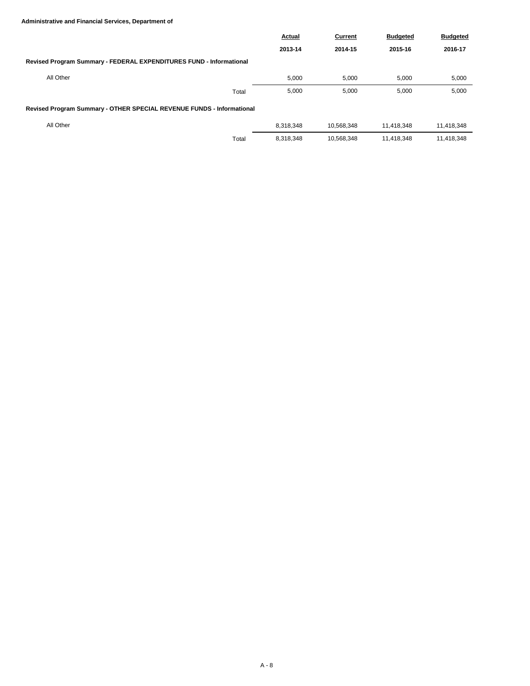### **Administrative and Financial Services, Department of**

|                                                                       | Actual    | Current    | <b>Budgeted</b> | <b>Budgeted</b> |
|-----------------------------------------------------------------------|-----------|------------|-----------------|-----------------|
|                                                                       | 2013-14   | 2014-15    | 2015-16         | 2016-17         |
| Revised Program Summary - FEDERAL EXPENDITURES FUND - Informational   |           |            |                 |                 |
| All Other                                                             | 5,000     | 5.000      | 5,000           | 5,000           |
| Total                                                                 | 5,000     | 5.000      | 5,000           | 5,000           |
| Revised Program Summary - OTHER SPECIAL REVENUE FUNDS - Informational |           |            |                 |                 |
| All Other                                                             | 8.318.348 | 10.568.348 | 11.418.348      | 11,418,348      |
| Total                                                                 | 8,318,348 | 10.568.348 | 11.418.348      | 11.418.348      |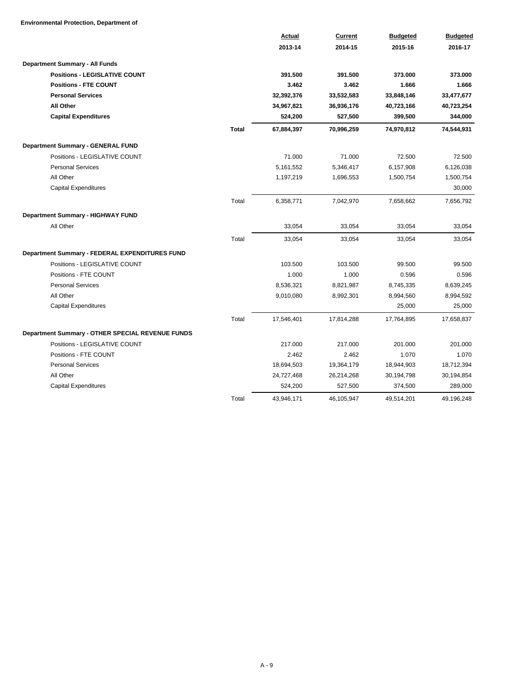**Environmental Protection, Department of**

|                                                  |              | Actual     | Current    | <b>Budgeted</b> | <b>Budgeted</b> |
|--------------------------------------------------|--------------|------------|------------|-----------------|-----------------|
|                                                  |              | 2013-14    | 2014-15    | 2015-16         | 2016-17         |
| Department Summary - All Funds                   |              |            |            |                 |                 |
| <b>Positions - LEGISLATIVE COUNT</b>             |              | 391.500    | 391.500    | 373.000         | 373.000         |
| <b>Positions - FTE COUNT</b>                     |              | 3.462      | 3.462      | 1.666           | 1.666           |
| <b>Personal Services</b>                         |              | 32,392,376 | 33,532,583 | 33,848,146      | 33,477,677      |
| <b>All Other</b>                                 |              | 34,967,821 | 36,936,176 | 40,723,166      | 40,723,254      |
| <b>Capital Expenditures</b>                      |              | 524,200    | 527,500    | 399,500         | 344,000         |
|                                                  | <b>Total</b> | 67,884,397 | 70,996,259 | 74,970,812      | 74,544,931      |
| Department Summary - GENERAL FUND                |              |            |            |                 |                 |
| Positions - LEGISLATIVE COUNT                    |              | 71.000     | 71.000     | 72.500          | 72.500          |
| <b>Personal Services</b>                         |              | 5,161,552  | 5,346,417  | 6,157,908       | 6,126,038       |
| All Other                                        |              | 1,197,219  | 1,696,553  | 1,500,754       | 1,500,754       |
| <b>Capital Expenditures</b>                      |              |            |            |                 | 30,000          |
|                                                  | Total        | 6,358,771  | 7,042,970  | 7,658,662       | 7,656,792       |
| Department Summary - HIGHWAY FUND                |              |            |            |                 |                 |
| All Other                                        |              | 33,054     | 33,054     | 33,054          | 33,054          |
|                                                  | Total        | 33,054     | 33,054     | 33,054          | 33,054          |
| Department Summary - FEDERAL EXPENDITURES FUND   |              |            |            |                 |                 |
| Positions - LEGISLATIVE COUNT                    |              | 103.500    | 103.500    | 99.500          | 99.500          |
| Positions - FTE COUNT                            |              | 1.000      | 1.000      | 0.596           | 0.596           |
| <b>Personal Services</b>                         |              | 8,536,321  | 8,821,987  | 8,745,335       | 8,639,245       |
| All Other                                        |              | 9,010,080  | 8,992,301  | 8,994,560       | 8,994,592       |
| <b>Capital Expenditures</b>                      |              |            |            | 25,000          | 25,000          |
|                                                  | Total        | 17,546,401 | 17,814,288 | 17,764,895      | 17,658,837      |
| Department Summary - OTHER SPECIAL REVENUE FUNDS |              |            |            |                 |                 |
| Positions - LEGISLATIVE COUNT                    |              | 217.000    | 217.000    | 201.000         | 201.000         |
| Positions - FTE COUNT                            |              | 2.462      | 2.462      | 1.070           | 1.070           |
| <b>Personal Services</b>                         |              | 18,694,503 | 19,364,179 | 18,944,903      | 18,712,394      |
| All Other                                        |              | 24,727,468 | 26,214,268 | 30,194,798      | 30,194,854      |
| <b>Capital Expenditures</b>                      |              | 524,200    | 527,500    | 374,500         | 289,000         |
|                                                  | Total        | 43,946,171 | 46,105,947 | 49,514,201      | 49,196,248      |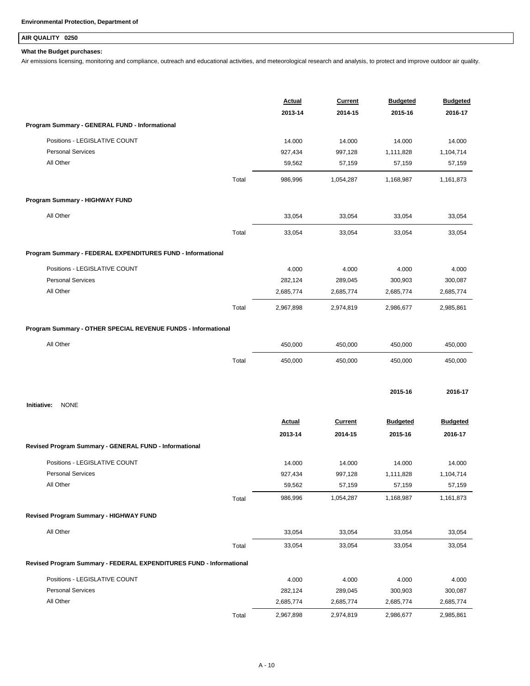## **AIR QUALITY 0250**

### **What the Budget purchases:**

Air emissions licensing, monitoring and compliance, outreach and educational activities, and meteorological research and analysis, to protect and improve outdoor air quality.

|                                                                     |       | Actual        | <b>Current</b> | <b>Budgeted</b> | <b>Budgeted</b> |
|---------------------------------------------------------------------|-------|---------------|----------------|-----------------|-----------------|
|                                                                     |       | 2013-14       | 2014-15        | 2015-16         | 2016-17         |
| Program Summary - GENERAL FUND - Informational                      |       |               |                |                 |                 |
| Positions - LEGISLATIVE COUNT                                       |       | 14.000        | 14.000         | 14.000          | 14.000          |
| <b>Personal Services</b>                                            |       | 927,434       | 997,128        | 1,111,828       | 1,104,714       |
| All Other                                                           |       | 59,562        | 57,159         | 57,159          | 57,159          |
|                                                                     | Total | 986,996       | 1,054,287      | 1,168,987       | 1,161,873       |
| Program Summary - HIGHWAY FUND                                      |       |               |                |                 |                 |
| All Other                                                           |       | 33,054        | 33,054         | 33,054          | 33,054          |
|                                                                     | Total | 33,054        | 33,054         | 33,054          | 33,054          |
|                                                                     |       |               |                |                 |                 |
| Program Summary - FEDERAL EXPENDITURES FUND - Informational         |       |               |                |                 |                 |
| Positions - LEGISLATIVE COUNT                                       |       | 4.000         | 4.000          | 4.000           | 4.000           |
| <b>Personal Services</b>                                            |       | 282,124       | 289,045        | 300,903         | 300,087         |
| All Other                                                           |       | 2,685,774     | 2,685,774      | 2,685,774       | 2,685,774       |
|                                                                     | Total | 2,967,898     | 2,974,819      | 2,986,677       | 2,985,861       |
| Program Summary - OTHER SPECIAL REVENUE FUNDS - Informational       |       |               |                |                 |                 |
| All Other                                                           |       | 450,000       | 450,000        | 450,000         | 450,000         |
|                                                                     | Total | 450,000       | 450,000        | 450,000         | 450,000         |
|                                                                     |       |               |                |                 |                 |
|                                                                     |       |               |                | 2015-16         | 2016-17         |
| <b>NONE</b><br>Initiative:                                          |       |               |                |                 |                 |
|                                                                     |       | <b>Actual</b> | <b>Current</b> | <b>Budgeted</b> | <b>Budgeted</b> |
|                                                                     |       | 2013-14       | 2014-15        | 2015-16         | 2016-17         |
| Revised Program Summary - GENERAL FUND - Informational              |       |               |                |                 |                 |
| Positions - LEGISLATIVE COUNT                                       |       | 14.000        | 14.000         | 14.000          | 14.000          |
| <b>Personal Services</b>                                            |       | 927,434       | 997,128        | 1,111,828       | 1,104,714       |
| All Other                                                           |       | 59,562        | 57,159         | 57,159          | 57,159          |
|                                                                     | Total | 986,996       | 1,054,287      | 1,168,987       | 1,161,873       |
| Revised Program Summary - HIGHWAY FUND                              |       |               |                |                 |                 |
| All Other                                                           |       | 33,054        | 33,054         | 33,054          | 33,054          |
|                                                                     | Total | 33,054        | 33,054         | 33,054          | 33,054          |
| Revised Program Summary - FEDERAL EXPENDITURES FUND - Informational |       |               |                |                 |                 |
| Positions - LEGISLATIVE COUNT                                       |       | 4.000         | 4.000          | 4.000           | 4.000           |
| <b>Personal Services</b>                                            |       | 282,124       | 289,045        | 300,903         | 300,087         |
| All Other                                                           |       | 2,685,774     | 2,685,774      | 2,685,774       | 2,685,774       |
|                                                                     | Total | 2,967,898     | 2,974,819      | 2,986,677       | 2,985,861       |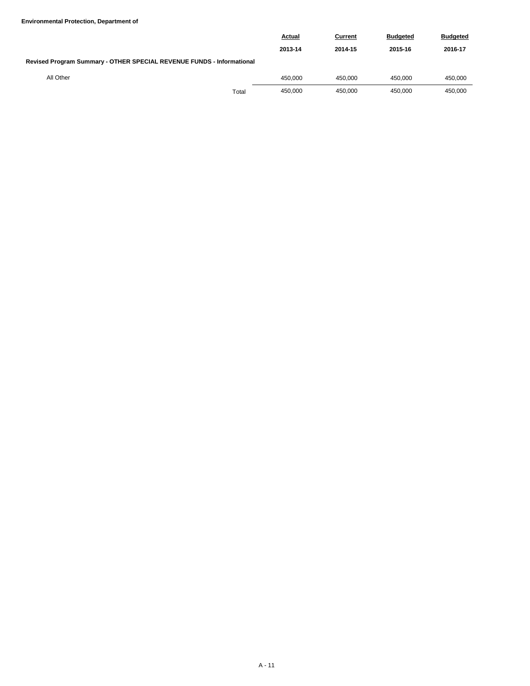|                                                                       | <b>Actual</b> | Current | <b>Budgeted</b> | <b>Budgeted</b> |
|-----------------------------------------------------------------------|---------------|---------|-----------------|-----------------|
|                                                                       | 2013-14       | 2014-15 | 2015-16         | 2016-17         |
| Revised Program Summary - OTHER SPECIAL REVENUE FUNDS - Informational |               |         |                 |                 |
| All Other                                                             | 450.000       | 450.000 | 450.000         | 450.000         |
| Total                                                                 | 450.000       | 450.000 | 450.000         | 450.000         |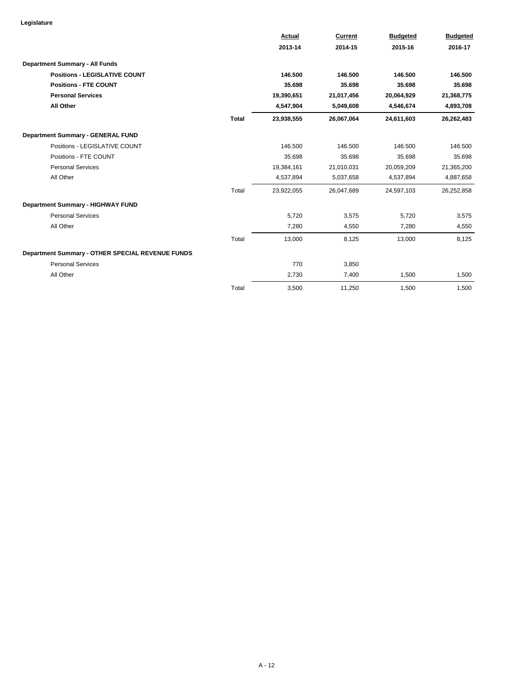|                                                  |              | <b>Actual</b> | Current    | <b>Budgeted</b> | <b>Budgeted</b> |
|--------------------------------------------------|--------------|---------------|------------|-----------------|-----------------|
|                                                  |              | 2013-14       | 2014-15    | 2015-16         | 2016-17         |
| <b>Department Summary - All Funds</b>            |              |               |            |                 |                 |
| <b>Positions - LEGISLATIVE COUNT</b>             |              | 146.500       | 146.500    | 146.500         | 146.500         |
| <b>Positions - FTE COUNT</b>                     |              | 35.698        | 35.698     | 35.698          | 35.698          |
| <b>Personal Services</b>                         |              | 19,390,651    | 21,017,456 | 20,064,929      | 21,368,775      |
| <b>All Other</b>                                 |              | 4,547,904     | 5,049,608  | 4,546,674       | 4,893,708       |
|                                                  | <b>Total</b> | 23,938,555    | 26,067,064 | 24,611,603      | 26,262,483      |
| Department Summary - GENERAL FUND                |              |               |            |                 |                 |
| Positions - LEGISLATIVE COUNT                    |              | 146.500       | 146.500    | 146.500         | 146.500         |
| Positions - FTE COUNT                            |              | 35.698        | 35.698     | 35.698          | 35.698          |
| <b>Personal Services</b>                         |              | 19,384,161    | 21,010,031 | 20,059,209      | 21,365,200      |
| All Other                                        |              | 4,537,894     | 5,037,658  | 4,537,894       | 4,887,658       |
|                                                  | Total        | 23,922,055    | 26,047,689 | 24,597,103      | 26,252,858      |
| Department Summary - HIGHWAY FUND                |              |               |            |                 |                 |
| <b>Personal Services</b>                         |              | 5,720         | 3,575      | 5,720           | 3,575           |
| All Other                                        |              | 7,280         | 4,550      | 7,280           | 4,550           |
|                                                  | Total        | 13,000        | 8,125      | 13,000          | 8,125           |
| Department Summary - OTHER SPECIAL REVENUE FUNDS |              |               |            |                 |                 |
| <b>Personal Services</b>                         |              | 770           | 3,850      |                 |                 |
| All Other                                        |              | 2,730         | 7,400      | 1,500           | 1,500           |
|                                                  | Total        | 3,500         | 11.250     | 1.500           | 1,500           |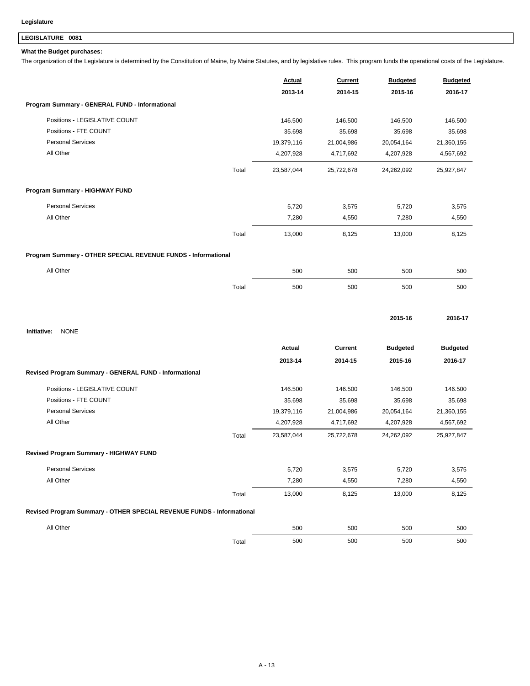## **LEGISLATURE 0081**

### **What the Budget purchases:**

The organization of the Legislature is determined by the Constitution of Maine, by Maine Statutes, and by legislative rules. This program funds the operational costs of the Legislature.

|                                                                       |       | <b>Actual</b><br>2013-14 | Current<br>2014-15 | <b>Budgeted</b><br>2015-16 | <b>Budgeted</b><br>2016-17 |
|-----------------------------------------------------------------------|-------|--------------------------|--------------------|----------------------------|----------------------------|
| Program Summary - GENERAL FUND - Informational                        |       |                          |                    |                            |                            |
| Positions - LEGISLATIVE COUNT                                         |       | 146.500                  | 146.500            | 146.500                    | 146.500                    |
| Positions - FTE COUNT                                                 |       | 35.698                   | 35.698             | 35.698                     | 35.698                     |
| <b>Personal Services</b>                                              |       | 19,379,116               | 21,004,986         | 20,054,164                 | 21,360,155                 |
| All Other                                                             |       | 4,207,928                | 4,717,692          | 4,207,928                  | 4,567,692                  |
|                                                                       | Total | 23,587,044               | 25,722,678         | 24,262,092                 | 25,927,847                 |
| Program Summary - HIGHWAY FUND                                        |       |                          |                    |                            |                            |
| <b>Personal Services</b>                                              |       | 5,720                    | 3,575              | 5,720                      | 3,575                      |
| All Other                                                             |       | 7,280                    | 4,550              | 7,280                      | 4,550                      |
|                                                                       | Total | 13,000                   | 8,125              | 13,000                     | 8,125                      |
| Program Summary - OTHER SPECIAL REVENUE FUNDS - Informational         |       |                          |                    |                            |                            |
| All Other                                                             |       | 500                      | 500                | 500                        | 500                        |
|                                                                       | Total | 500                      | 500                | 500                        | 500                        |
|                                                                       |       |                          |                    |                            |                            |
| <b>NONE</b><br>Initiative:                                            |       |                          |                    | 2015-16                    | 2016-17                    |
|                                                                       |       | <b>Actual</b>            | Current            | <b>Budgeted</b>            | <b>Budgeted</b>            |
|                                                                       |       | 2013-14                  | 2014-15            | 2015-16                    | 2016-17                    |
| Revised Program Summary - GENERAL FUND - Informational                |       |                          |                    |                            |                            |
| Positions - LEGISLATIVE COUNT                                         |       | 146.500                  | 146.500            | 146.500                    | 146.500                    |
| Positions - FTE COUNT                                                 |       | 35.698                   | 35.698             | 35.698                     | 35.698                     |
| <b>Personal Services</b>                                              |       | 19,379,116               | 21,004,986         | 20,054,164                 | 21,360,155                 |
| All Other                                                             |       | 4,207,928                | 4,717,692          | 4,207,928                  | 4,567,692                  |
|                                                                       | Total | 23,587,044               | 25,722,678         | 24,262,092                 | 25,927,847                 |
| Revised Program Summary - HIGHWAY FUND                                |       |                          |                    |                            |                            |
| <b>Personal Services</b>                                              |       | 5,720                    | 3,575              | 5,720                      | 3,575                      |
| All Other                                                             |       | 7,280                    | 4,550              | 7,280                      | 4,550                      |
|                                                                       | Total | 13,000                   | 8,125              | 13,000                     | 8,125                      |
| Revised Program Summary - OTHER SPECIAL REVENUE FUNDS - Informational |       |                          |                    |                            |                            |
|                                                                       |       |                          |                    |                            |                            |
| All Other                                                             |       | 500                      | 500                | 500                        | 500                        |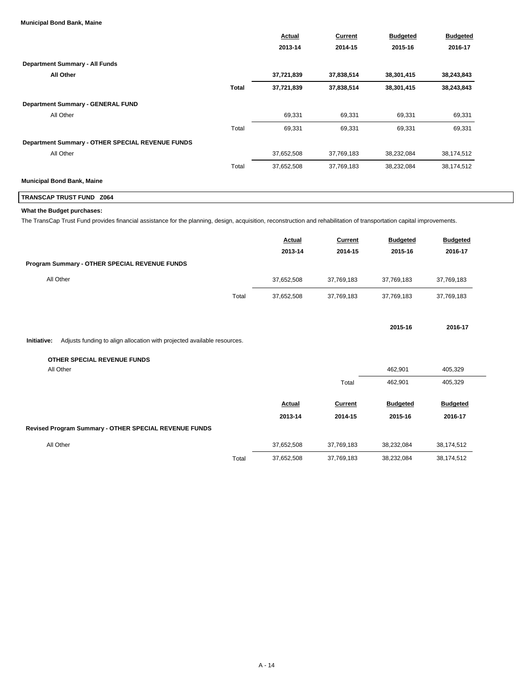#### **Municipal Bond Bank, Maine**

|                                                  |              | Actual<br>2013-14 | <b>Current</b> | <b>Budgeted</b><br>2015-16 | <b>Budgeted</b><br>2016-17 |
|--------------------------------------------------|--------------|-------------------|----------------|----------------------------|----------------------------|
|                                                  |              |                   | 2014-15        |                            |                            |
| <b>Department Summary - All Funds</b>            |              |                   |                |                            |                            |
| All Other                                        |              | 37,721,839        | 37,838,514     | 38,301,415                 | 38,243,843                 |
|                                                  | <b>Total</b> | 37,721,839        | 37,838,514     | 38,301,415                 | 38,243,843                 |
| <b>Department Summary - GENERAL FUND</b>         |              |                   |                |                            |                            |
| All Other                                        |              | 69,331            | 69,331         | 69,331                     | 69,331                     |
|                                                  | Total        | 69,331            | 69,331         | 69,331                     | 69,331                     |
| Department Summary - OTHER SPECIAL REVENUE FUNDS |              |                   |                |                            |                            |
| All Other                                        |              | 37,652,508        | 37,769,183     | 38,232,084                 | 38,174,512                 |
|                                                  | Total        | 37,652,508        | 37,769,183     | 38,232,084                 | 38,174,512                 |
| <b>Municipal Bond Bank, Maine</b>                |              |                   |                |                            |                            |

## **TRANSCAP TRUST FUND Z064**

### **What the Budget purchases:**

The TransCap Trust Fund provides financial assistance for the planning, design, acquisition, reconstruction and rehabilitation of transportation capital improvements.

|                                               |       | <b>Actual</b> | Current    | <b>Budgeted</b> | <b>Budgeted</b> |
|-----------------------------------------------|-------|---------------|------------|-----------------|-----------------|
|                                               |       | 2013-14       | 2014-15    | 2015-16         | 2016-17         |
| Program Summary - OTHER SPECIAL REVENUE FUNDS |       |               |            |                 |                 |
| All Other                                     |       | 37,652,508    | 37,769,183 | 37,769,183      | 37,769,183      |
|                                               | Total | 37,652,508    | 37,769,183 | 37,769,183      | 37,769,183      |
|                                               |       |               |            |                 |                 |

**2015-16 2016-17**

**Initiative:** Adjusts funding to align allocation with projected available resources.

### **OTHER SPECIAL REVENUE FUNDS**

| All Other                                             |       |               | 462,901    | 405,329         |                 |  |
|-------------------------------------------------------|-------|---------------|------------|-----------------|-----------------|--|
|                                                       |       |               | Total      | 462,901         | 405,329         |  |
|                                                       |       | <b>Actual</b> | Current    | <b>Budgeted</b> | <b>Budgeted</b> |  |
|                                                       |       | 2013-14       | 2014-15    | 2015-16         | 2016-17         |  |
| Revised Program Summary - OTHER SPECIAL REVENUE FUNDS |       |               |            |                 |                 |  |
| All Other                                             |       | 37,652,508    | 37,769,183 | 38,232,084      | 38,174,512      |  |
|                                                       | Total | 37,652,508    | 37,769,183 | 38,232,084      | 38,174,512      |  |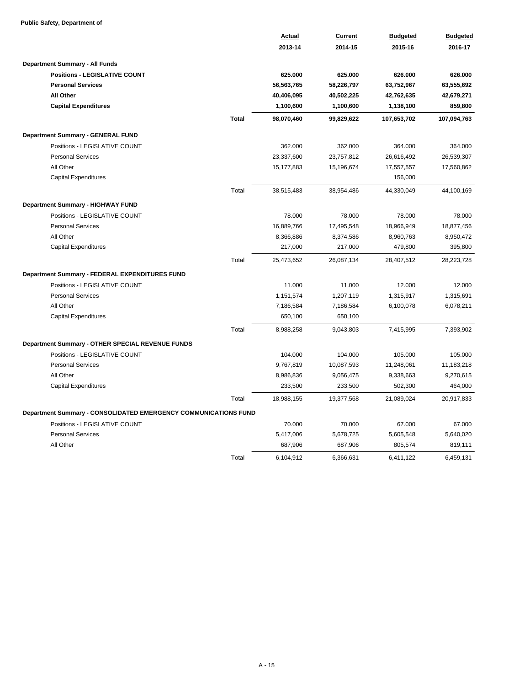### **Public Safety, Department of**

|                                                                 |              | <b>Actual</b> | <b>Current</b> | <b>Budgeted</b> | <b>Budgeted</b> |  |
|-----------------------------------------------------------------|--------------|---------------|----------------|-----------------|-----------------|--|
|                                                                 |              | 2013-14       | 2014-15        | 2015-16         | 2016-17         |  |
| <b>Department Summary - All Funds</b>                           |              |               |                |                 |                 |  |
| <b>Positions - LEGISLATIVE COUNT</b>                            |              | 625.000       | 625.000        | 626.000         | 626.000         |  |
| <b>Personal Services</b>                                        |              | 56,563,765    | 58,226,797     | 63,752,967      | 63,555,692      |  |
| All Other                                                       |              | 40,406,095    | 40,502,225     | 42,762,635      | 42,679,271      |  |
| <b>Capital Expenditures</b>                                     |              | 1,100,600     | 1,100,600      | 1,138,100       | 859,800         |  |
|                                                                 | <b>Total</b> | 98,070,460    | 99,829,622     | 107,653,702     | 107,094,763     |  |
| <b>Department Summary - GENERAL FUND</b>                        |              |               |                |                 |                 |  |
| Positions - LEGISLATIVE COUNT                                   |              | 362.000       | 362.000        | 364.000         | 364.000         |  |
| <b>Personal Services</b>                                        |              | 23,337,600    | 23,757,812     | 26,616,492      | 26,539,307      |  |
| All Other                                                       |              | 15,177,883    | 15,196,674     | 17,557,557      | 17,560,862      |  |
| <b>Capital Expenditures</b>                                     |              |               |                | 156,000         |                 |  |
|                                                                 | Total        | 38,515,483    | 38,954,486     | 44,330,049      | 44,100,169      |  |
| Department Summary - HIGHWAY FUND                               |              |               |                |                 |                 |  |
| Positions - LEGISLATIVE COUNT                                   |              | 78.000        | 78.000         | 78.000          | 78.000          |  |
| <b>Personal Services</b>                                        |              | 16,889,766    | 17,495,548     | 18,966,949      | 18,877,456      |  |
| All Other                                                       |              | 8,366,886     | 8,374,586      | 8,960,763       | 8,950,472       |  |
| <b>Capital Expenditures</b>                                     |              | 217,000       | 217,000        | 479,800         | 395,800         |  |
|                                                                 | Total        | 25,473,652    | 26,087,134     | 28,407,512      | 28,223,728      |  |
| Department Summary - FEDERAL EXPENDITURES FUND                  |              |               |                |                 |                 |  |
| Positions - LEGISLATIVE COUNT                                   |              | 11.000        | 11.000         | 12.000          | 12.000          |  |
| <b>Personal Services</b>                                        |              | 1,151,574     | 1,207,119      | 1,315,917       | 1,315,691       |  |
| All Other                                                       |              | 7,186,584     | 7,186,584      | 6,100,078       | 6,078,211       |  |
| <b>Capital Expenditures</b>                                     |              | 650,100       | 650,100        |                 |                 |  |
|                                                                 | Total        | 8,988,258     | 9,043,803      | 7,415,995       | 7,393,902       |  |
| Department Summary - OTHER SPECIAL REVENUE FUNDS                |              |               |                |                 |                 |  |
| Positions - LEGISLATIVE COUNT                                   |              | 104.000       | 104.000        | 105.000         | 105.000         |  |
| <b>Personal Services</b>                                        |              | 9,767,819     | 10,087,593     | 11,248,061      | 11,183,218      |  |
| All Other                                                       |              | 8,986,836     | 9,056,475      | 9,338,663       | 9,270,615       |  |
| <b>Capital Expenditures</b>                                     |              | 233,500       | 233,500        | 502,300         | 464,000         |  |
|                                                                 | Total        | 18,988,155    | 19,377,568     | 21,089,024      | 20,917,833      |  |
| Department Summary - CONSOLIDATED EMERGENCY COMMUNICATIONS FUND |              |               |                |                 |                 |  |
| Positions - LEGISLATIVE COUNT                                   |              | 70.000        | 70.000         | 67.000          | 67.000          |  |
| <b>Personal Services</b>                                        |              | 5,417,006     | 5,678,725      | 5,605,548       | 5,640,020       |  |
| All Other                                                       |              | 687,906       | 687,906        | 805,574         | 819,111         |  |
|                                                                 | Total        | 6,104,912     | 6,366,631      | 6,411,122       | 6,459,131       |  |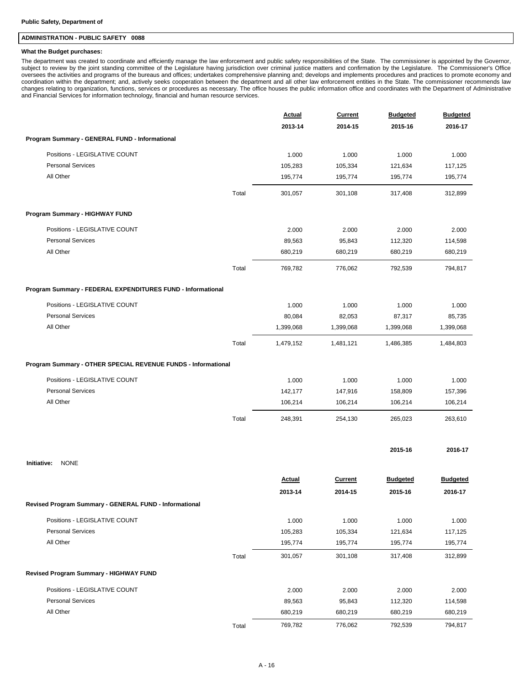### **ADMINISTRATION - PUBLIC SAFETY 0088**

#### **What the Budget purchases:**

The department was created to coordinate and efficiently manage the law enforcement and public safety responsibilities of the State. The commissioner is appointed by the Governor, subject to review by the joint standing committee of the Legislature having jurisdiction over criminal justice matters and confirmation by the Legislature. The Commissioner's Office oversees the activities and programs of the bureaus and offices; undertakes comprehensive planning and; develops and implements procedures and practices to promote economy and coordination within the department; and, actively seeks cooperation between the department and all other law enforcement entities in the State. The commissioner recommends law changes relating to organization, functions, services or procedures as necessary. The office houses the public information office and coordinates with the Department of Administrative and Financial Services for information technology, financial and human resource services.

|                                                               | <b>Actual</b>            | <b>Current</b>            | <b>Budgeted</b>            | <b>Budgeted</b>            |
|---------------------------------------------------------------|--------------------------|---------------------------|----------------------------|----------------------------|
|                                                               | 2013-14                  | 2014-15                   | 2015-16                    | 2016-17                    |
| Program Summary - GENERAL FUND - Informational                |                          |                           |                            |                            |
| Positions - LEGISLATIVE COUNT                                 | 1.000                    | 1.000                     | 1.000                      | 1.000                      |
| <b>Personal Services</b>                                      | 105,283                  | 105,334                   | 121,634                    | 117,125                    |
| All Other                                                     | 195,774                  | 195,774                   | 195,774                    | 195,774                    |
| Total                                                         | 301,057                  | 301,108                   | 317,408                    | 312,899                    |
| Program Summary - HIGHWAY FUND                                |                          |                           |                            |                            |
| Positions - LEGISLATIVE COUNT                                 | 2.000                    | 2.000                     | 2.000                      | 2.000                      |
| <b>Personal Services</b>                                      | 89,563                   | 95,843                    | 112,320                    | 114,598                    |
| All Other                                                     | 680,219                  | 680,219                   | 680,219                    | 680,219                    |
| Total                                                         | 769,782                  | 776,062                   | 792,539                    | 794,817                    |
| Program Summary - FEDERAL EXPENDITURES FUND - Informational   |                          |                           |                            |                            |
| Positions - LEGISLATIVE COUNT                                 | 1.000                    | 1.000                     | 1.000                      | 1.000                      |
| <b>Personal Services</b>                                      | 80,084                   | 82,053                    | 87,317                     | 85,735                     |
| All Other                                                     | 1,399,068                | 1,399,068                 | 1,399,068                  | 1,399,068                  |
| Total                                                         | 1,479,152                | 1,481,121                 | 1,486,385                  | 1,484,803                  |
| Program Summary - OTHER SPECIAL REVENUE FUNDS - Informational |                          |                           |                            |                            |
| Positions - LEGISLATIVE COUNT                                 | 1.000                    | 1.000                     | 1.000                      | 1.000                      |
| <b>Personal Services</b>                                      | 142,177                  | 147,916                   | 158,809                    | 157,396                    |
| All Other                                                     | 106,214                  | 106,214                   | 106,214                    | 106,214                    |
| Total                                                         | 248,391                  | 254,130                   | 265,023                    | 263,610                    |
|                                                               |                          |                           | 2015-16                    | 2016-17                    |
| <b>NONE</b><br>Initiative:                                    |                          |                           |                            |                            |
|                                                               | <b>Actual</b><br>2013-14 | <b>Current</b><br>2014-15 | <b>Budgeted</b><br>2015-16 | <b>Budgeted</b><br>2016-17 |
| Revised Program Summary - GENERAL FUND - Informational        |                          |                           |                            |                            |
| Positions - LEGISLATIVE COUNT                                 | 1.000                    | 1.000                     | 1.000                      | 1.000                      |
| <b>Personal Services</b>                                      | 105,283                  | 105,334                   | 121,634                    | 117,125                    |
| All Other                                                     | 195,774                  | 195,774                   | 195,774                    | 195,774                    |
| Total                                                         | 301,057                  | 301,108                   | 317,408                    | 312,899                    |
| Revised Program Summary - HIGHWAY FUND                        |                          |                           |                            |                            |
| Positions - LEGISLATIVE COUNT                                 | 2.000                    | 2.000                     | 2.000                      | 2.000                      |
| <b>Personal Services</b>                                      | 89,563                   | 95,843                    | 112,320                    | 114,598                    |
| All Other                                                     | 680,219                  | 680,219                   | 680,219                    | 680,219                    |
| Total                                                         | 769,782                  | 776,062                   | 792,539                    | 794,817                    |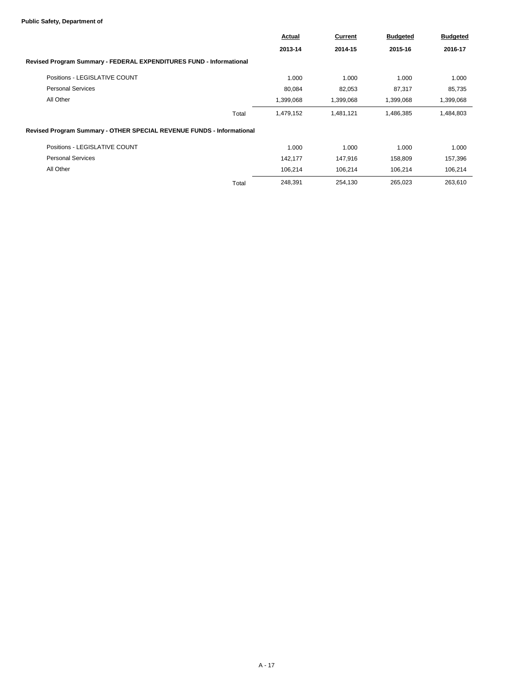### **Public Safety, Department of**

|                                                                       | Actual<br>2013-14 | Current   | <b>Budgeted</b> | <b>Budgeted</b> |
|-----------------------------------------------------------------------|-------------------|-----------|-----------------|-----------------|
|                                                                       |                   | 2014-15   | 2015-16         | 2016-17         |
| Revised Program Summary - FEDERAL EXPENDITURES FUND - Informational   |                   |           |                 |                 |
| Positions - LEGISLATIVE COUNT                                         | 1.000             | 1.000     | 1.000           | 1.000           |
| <b>Personal Services</b>                                              | 80,084            | 82,053    | 87,317          | 85,735          |
| All Other                                                             | 1,399,068         | 1,399,068 | 1,399,068       | 1,399,068       |
| Total                                                                 | 1,479,152         | 1,481,121 | 1,486,385       | 1,484,803       |
| Revised Program Summary - OTHER SPECIAL REVENUE FUNDS - Informational |                   |           |                 |                 |
| Positions - LEGISLATIVE COUNT                                         | 1.000             | 1.000     | 1.000           | 1.000           |
| <b>Personal Services</b>                                              | 142,177           | 147,916   | 158,809         | 157,396         |
| All Other                                                             | 106,214           | 106,214   | 106,214         | 106,214         |
| Total                                                                 | 248,391           | 254,130   | 265,023         | 263,610         |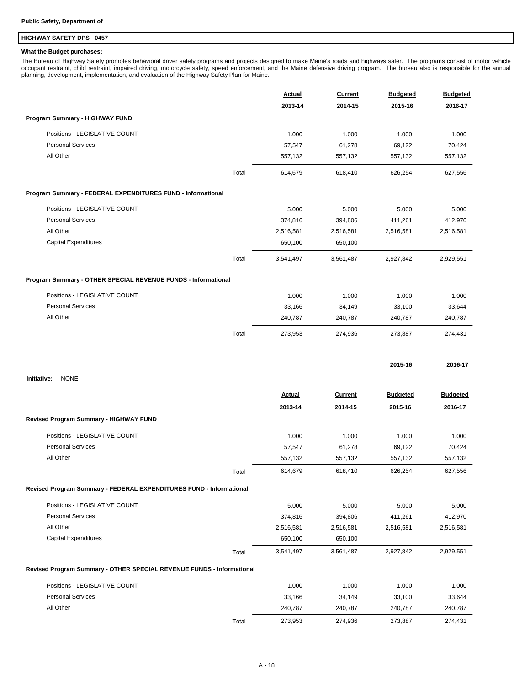## **HIGHWAY SAFETY DPS 0457**

### **What the Budget purchases:**

The Bureau of Highway Safety promotes behavioral driver safety programs and projects designed to make Maine's roads and highways safer. The programs consist of motor vehicle<br>occupant restraint, child restraint, impaired dr

|                                                                       | <b>Actual</b> | Current<br>2014-15 | <b>Budgeted</b><br>2015-16 | <b>Budgeted</b><br>2016-17 |
|-----------------------------------------------------------------------|---------------|--------------------|----------------------------|----------------------------|
|                                                                       | 2013-14       |                    |                            |                            |
| Program Summary - HIGHWAY FUND                                        |               |                    |                            |                            |
| Positions - LEGISLATIVE COUNT                                         | 1.000         | 1.000              | 1.000                      | 1.000                      |
| <b>Personal Services</b>                                              | 57,547        | 61,278             | 69,122                     | 70,424                     |
| All Other                                                             | 557,132       | 557,132            | 557,132                    | 557,132                    |
| Total                                                                 | 614,679       | 618,410            | 626,254                    | 627,556                    |
| Program Summary - FEDERAL EXPENDITURES FUND - Informational           |               |                    |                            |                            |
| Positions - LEGISLATIVE COUNT                                         | 5.000         | 5.000              | 5.000                      | 5.000                      |
| <b>Personal Services</b>                                              | 374,816       | 394,806            | 411,261                    | 412,970                    |
| All Other                                                             | 2,516,581     | 2,516,581          | 2,516,581                  | 2,516,581                  |
| <b>Capital Expenditures</b>                                           | 650,100       | 650,100            |                            |                            |
| Total                                                                 | 3,541,497     | 3,561,487          | 2,927,842                  | 2,929,551                  |
| Program Summary - OTHER SPECIAL REVENUE FUNDS - Informational         |               |                    |                            |                            |
| Positions - LEGISLATIVE COUNT                                         | 1.000         | 1.000              | 1.000                      | 1.000                      |
| <b>Personal Services</b>                                              | 33,166        | 34,149             | 33,100                     | 33,644                     |
| All Other                                                             | 240,787       | 240,787            | 240,787                    | 240,787                    |
| Total                                                                 | 273,953       | 274,936            | 273,887                    | 274,431                    |
|                                                                       |               |                    | 2015-16                    | 2016-17                    |
| <b>NONE</b><br>Initiative:                                            |               |                    |                            |                            |
|                                                                       | <b>Actual</b> | <b>Current</b>     | <b>Budgeted</b>            | <b>Budgeted</b>            |
|                                                                       | 2013-14       | 2014-15            | 2015-16                    | 2016-17                    |
| Revised Program Summary - HIGHWAY FUND                                |               |                    |                            |                            |
| Positions - LEGISLATIVE COUNT                                         | 1.000         | 1.000              | 1.000                      | 1.000                      |
| <b>Personal Services</b>                                              | 57,547        | 61,278             | 69,122                     | 70,424                     |
| All Other                                                             | 557,132       | 557,132            | 557,132                    | 557,132                    |
| Total                                                                 | 614,679       | 618,410            | 626,254                    | 627,556                    |
| Revised Program Summary - FEDERAL EXPENDITURES FUND - Informational   |               |                    |                            |                            |
| Positions - LEGISLATIVE COUNT                                         | 5.000         | 5.000              | 5.000                      | 5.000                      |
| <b>Personal Services</b>                                              | 374,816       | 394,806            | 411,261                    | 412,970                    |
| All Other                                                             | 2,516,581     | 2,516,581          | 2,516,581                  | 2,516,581                  |
| <b>Capital Expenditures</b>                                           | 650,100       | 650,100            |                            |                            |
| Total                                                                 | 3,541,497     | 3,561,487          | 2,927,842                  | 2,929,551                  |
| Revised Program Summary - OTHER SPECIAL REVENUE FUNDS - Informational |               |                    |                            |                            |
| Positions - LEGISLATIVE COUNT                                         | 1.000         | 1.000              | 1.000                      | 1.000                      |
| <b>Personal Services</b>                                              | 33,166        | 34,149             | 33,100                     | 33,644                     |
| All Other                                                             | 240,787       | 240,787            | 240,787                    | 240,787                    |
| Total                                                                 | 273,953       | 274,936            | 273,887                    | 274,431                    |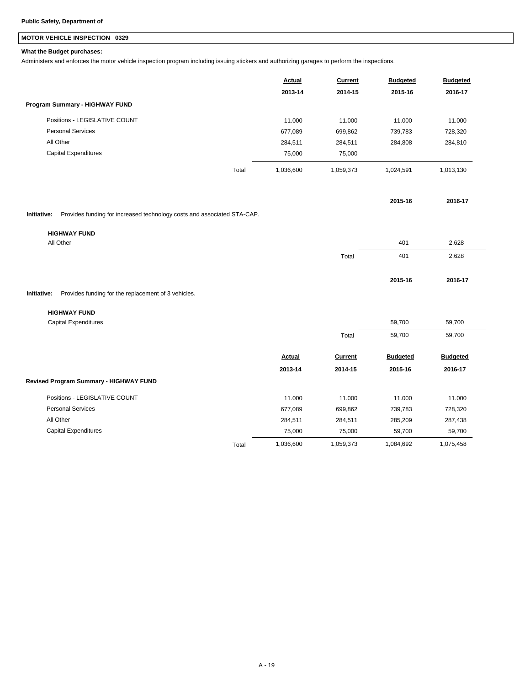## **MOTOR VEHICLE INSPECTION 0329**

### **What the Budget purchases:**

Administers and enforces the motor vehicle inspection program including issuing stickers and authorizing garages to perform the inspections.

|                                | Actual             | <b>Current</b> | <b>Budgeted</b> | <b>Budgeted</b> |
|--------------------------------|--------------------|----------------|-----------------|-----------------|
|                                | 2013-14            | 2014-15        | 2015-16         | 2016-17         |
| Program Summary - HIGHWAY FUND |                    |                |                 |                 |
| Positions - LEGISLATIVE COUNT  | 11.000             | 11.000         | 11.000          | 11.000          |
| <b>Personal Services</b>       | 677.089            | 699,862        | 739,783         | 728,320         |
| All Other                      | 284,511            | 284,511        | 284,808         | 284,810         |
| <b>Capital Expenditures</b>    | 75,000             | 75.000         |                 |                 |
|                                | Total<br>1.036.600 | 1,059,373      | 1.024.591       | 1,013,130       |

**Initiative:** Provides funding for increased technology costs and associated STA-CAP.

| <b>HIGHWAY FUND</b> |       |         |         |  |
|---------------------|-------|---------|---------|--|
| All Other           |       | 401     | 2,628   |  |
|                     | Total | 401     | 2,628   |  |
|                     |       |         |         |  |
|                     |       | 2015-16 | 2016-17 |  |

**2015-16 2016-17**

**Initiative:** Provides funding for the replacement of 3 vehicles.

#### **HIGHWAY FUND**

| <b>Capital Expenditures</b>            |       |           |           | 59,700          | 59,700          |  |
|----------------------------------------|-------|-----------|-----------|-----------------|-----------------|--|
|                                        |       |           | Total     | 59,700          | 59,700          |  |
|                                        |       | Actual    | Current   | <b>Budgeted</b> | <b>Budgeted</b> |  |
|                                        |       | 2013-14   | 2014-15   | 2015-16         | 2016-17         |  |
| Revised Program Summary - HIGHWAY FUND |       |           |           |                 |                 |  |
| Positions - LEGISLATIVE COUNT          |       | 11.000    | 11.000    | 11.000          | 11.000          |  |
| <b>Personal Services</b>               |       | 677,089   | 699,862   | 739,783         | 728,320         |  |
| All Other                              |       | 284,511   | 284,511   | 285,209         | 287,438         |  |
| <b>Capital Expenditures</b>            |       | 75,000    | 75,000    | 59,700          | 59,700          |  |
|                                        | Total | 1,036,600 | 1,059,373 | 1,084,692       | 1,075,458       |  |
|                                        |       |           |           |                 |                 |  |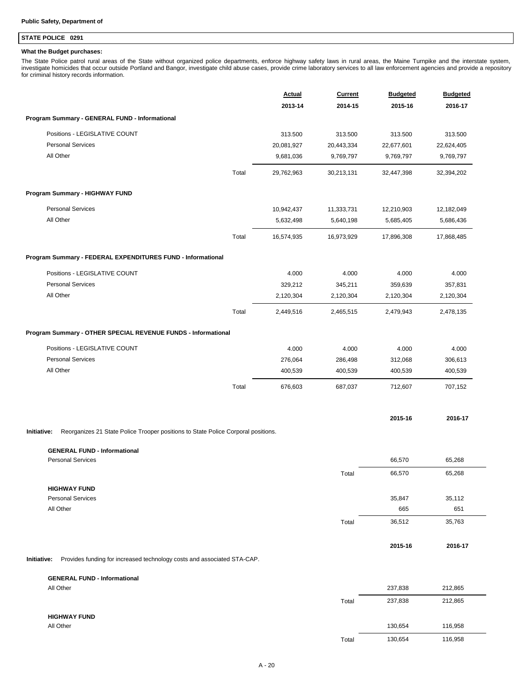## **STATE POLICE 0291**

### **What the Budget purchases:**

The State Police patrol rural areas of the State without organized police departments, enforce highway safety laws in rural areas, the Maine Turnpike and the interstate system,<br>investigate homicides that occur outside Port for criminal history records information.

|                                                                                                  | <b>Actual</b> | <b>Current</b> | <b>Budgeted</b> | <b>Budgeted</b> |
|--------------------------------------------------------------------------------------------------|---------------|----------------|-----------------|-----------------|
|                                                                                                  | 2013-14       | 2014-15        | 2015-16         | 2016-17         |
| Program Summary - GENERAL FUND - Informational                                                   |               |                |                 |                 |
| Positions - LEGISLATIVE COUNT                                                                    | 313.500       | 313.500        | 313.500         | 313.500         |
| <b>Personal Services</b>                                                                         | 20,081,927    | 20,443,334     | 22,677,601      | 22,624,405      |
| All Other                                                                                        | 9,681,036     | 9,769,797      | 9,769,797       | 9,769,797       |
| Total                                                                                            | 29,762,963    | 30,213,131     | 32,447,398      | 32,394,202      |
| Program Summary - HIGHWAY FUND                                                                   |               |                |                 |                 |
| <b>Personal Services</b>                                                                         | 10,942,437    | 11,333,731     | 12,210,903      | 12,182,049      |
| All Other                                                                                        | 5,632,498     | 5,640,198      | 5,685,405       | 5,686,436       |
| Total                                                                                            | 16,574,935    | 16,973,929     | 17,896,308      | 17,868,485      |
| Program Summary - FEDERAL EXPENDITURES FUND - Informational                                      |               |                |                 |                 |
| Positions - LEGISLATIVE COUNT                                                                    | 4.000         | 4.000          | 4.000           | 4.000           |
| <b>Personal Services</b>                                                                         | 329,212       | 345,211        | 359,639         | 357,831         |
| All Other                                                                                        | 2,120,304     | 2,120,304      | 2,120,304       | 2,120,304       |
| Total                                                                                            | 2,449,516     | 2,465,515      | 2,479,943       | 2,478,135       |
| Program Summary - OTHER SPECIAL REVENUE FUNDS - Informational                                    |               |                |                 |                 |
| Positions - LEGISLATIVE COUNT                                                                    | 4.000         | 4.000          | 4.000           | 4.000           |
| <b>Personal Services</b>                                                                         | 276,064       | 286,498        | 312,068         | 306,613         |
| All Other                                                                                        | 400,539       | 400,539        | 400,539         | 400,539         |
| Total                                                                                            | 676,603       | 687,037        | 712,607         | 707,152         |
|                                                                                                  |               |                | 2015-16         | 2016-17         |
| Initiative:<br>Reorganizes 21 State Police Trooper positions to State Police Corporal positions. |               |                |                 |                 |
| <b>GENERAL FUND - Informational</b>                                                              |               |                |                 |                 |
| <b>Personal Services</b>                                                                         |               |                | 66,570          | 65,268          |
|                                                                                                  |               | Total          | 66,570          | 65,268          |
| <b>HIGHWAY FUND</b>                                                                              |               |                |                 |                 |
| <b>Personal Services</b>                                                                         |               |                | 35,847          | 35,112          |
| All Other                                                                                        |               |                | 665             | 651             |
|                                                                                                  |               | Total          | 36,512          | 35,763          |
|                                                                                                  |               |                | 2015-16         | 2016-17         |
| Provides funding for increased technology costs and associated STA-CAP.<br>Initiative:           |               |                |                 |                 |
| <b>GENERAL FUND - Informational</b>                                                              |               |                |                 |                 |

| -----------------   |       |         |         |  |
|---------------------|-------|---------|---------|--|
| All Other           |       | 237,838 | 212,865 |  |
|                     | Total | 237,838 | 212,865 |  |
| <b>HIGHWAY FUND</b> |       |         |         |  |
| All Other           |       | 130,654 | 116,958 |  |
|                     | Total | 130,654 | 116,958 |  |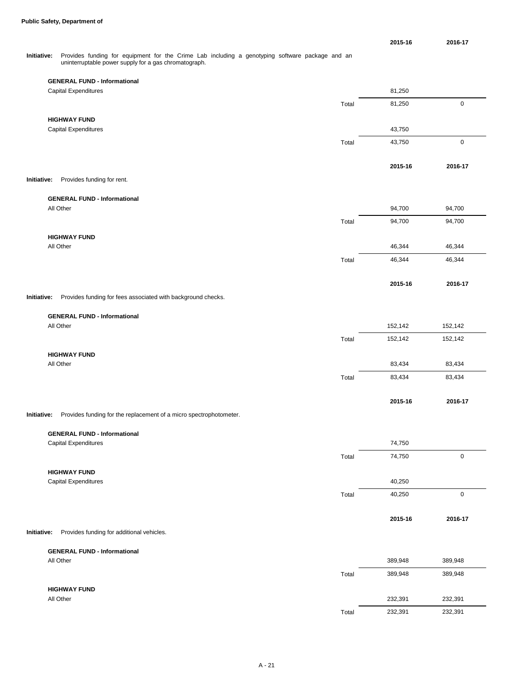**2015-16 2016-17**

**2015-16 2016-17**

**2015-16 2016-17**

**2015-16 2016-17**

**2015-16 2016-17**

#### Provides funding for equipment for the Crime Lab including a genotyping software package and an uninterruptable power supply for a gas chromatograph. **Initiative:**

|             | <b>GENERAL FUND - Informational</b>                                |       |         |             |
|-------------|--------------------------------------------------------------------|-------|---------|-------------|
|             | <b>Capital Expenditures</b>                                        |       | 81,250  |             |
|             |                                                                    | Total | 81,250  | $\pmb{0}$   |
|             | <b>HIGHWAY FUND</b>                                                |       |         |             |
|             | <b>Capital Expenditures</b>                                        |       | 43,750  |             |
|             |                                                                    | Total | 43,750  | $\pmb{0}$   |
|             |                                                                    |       |         |             |
|             |                                                                    |       | 2015-16 | 2016-1      |
| Initiative: | Provides funding for rent.                                         |       |         |             |
|             |                                                                    |       |         |             |
|             | <b>GENERAL FUND - Informational</b>                                |       |         |             |
|             | All Other                                                          |       | 94,700  | 94,700      |
|             |                                                                    | Total | 94,700  | 94,700      |
|             | <b>HIGHWAY FUND</b>                                                |       |         |             |
|             | All Other                                                          |       | 46,344  | 46,344      |
|             |                                                                    | Total | 46,344  | 46,344      |
|             |                                                                    |       |         |             |
|             |                                                                    |       | 2015-16 | 2016-1      |
| Initiative: | Provides funding for fees associated with background checks.       |       |         |             |
|             |                                                                    |       |         |             |
|             | <b>GENERAL FUND - Informational</b>                                |       |         |             |
|             | All Other                                                          |       | 152,142 | 152,142     |
|             |                                                                    | Total | 152,142 | 152,142     |
|             | <b>HIGHWAY FUND</b>                                                |       |         |             |
|             | All Other                                                          |       | 83,434  | 83,434      |
|             |                                                                    | Total | 83,434  | 83,434      |
|             |                                                                    |       |         |             |
|             |                                                                    |       | 2015-16 | 2016-1      |
| Initiative: | Provides funding for the replacement of a micro spectrophotometer. |       |         |             |
|             |                                                                    |       |         |             |
|             | <b>GENERAL FUND - Informational</b>                                |       |         |             |
|             | Capital Expenditures                                               |       | 74,750  |             |
|             |                                                                    | Total | 74,750  | $\mathbf 0$ |
|             | <b>HIGHWAY FUND</b>                                                |       |         |             |
|             | Capital Expenditures                                               |       | 40,250  |             |
|             |                                                                    | Total | 40,250  | $\mathbf 0$ |
|             |                                                                    |       |         |             |
|             |                                                                    |       | 2015-16 | 2016-1      |
|             |                                                                    |       |         |             |
| Initiative: | Provides funding for additional vehicles.                          |       |         |             |
|             | <b>GENERAL FUND - Informational</b>                                |       |         |             |
|             | All Other                                                          |       | 389,948 | 389,948     |
|             |                                                                    |       |         |             |

| AII UUICI           |       | <b>JUJ,J40</b> | <u>JUY,J40</u> |
|---------------------|-------|----------------|----------------|
|                     | Total | 389,948        | 389,948        |
| <b>HIGHWAY FUND</b> |       |                |                |
| All Other           |       | 232,391        | 232,391        |
|                     | Total | 232,391        | 232,391        |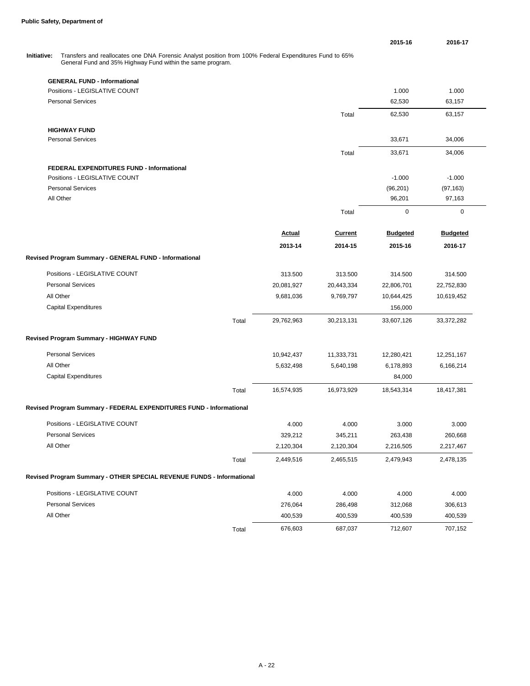**2015-16 2016-17 GENERAL FUND - Informational** Positions - LEGISLATIVE COUNT **1.000** 1.000 1.000 1.000 1.000 1.000 1.000 1.000 1.000 1.000 1.000 1.000 1.000 1.000 1.000 1.000 1.000 1.000 1.000 1.000 1.000 1.000 1.000 1.000 1.000 1.000 1.000 1.000 1.000 1.000 1.000 1.00 Personal Services 63,157 63,157 Total 62,530 63,157 **HIGHWAY FUND** Personal Services 33,671 34,006 Total 33,671 34,006 **FEDERAL EXPENDITURES FUND - Informational** Positions - LEGISLATIVE COUNT **All and STATIST COUNT** -1.000 -1.000 -1.000 -1.000 -1.000 -1.000 -1.000 -1.000 -1.000 Personal Services (96,201) (97,163) All Other 96,201 97,163 Total 0 0 0 Transfers and reallocates one DNA Forensic Analyst position from 100% Federal Expenditures Fund to 65% General Fund and 35% Highway Fund within the same program. **Initiative: Actual 2013-14 Current 2014-15 Budgeted 2015-16 Budgeted 2016-17 Revised Program Summary - GENERAL FUND - Informational** Positions - LEGISLATIVE COUNT 313.500 313.500 314.500 314.500 Personal Services 20,081,927 20,443,334 22,806,701 22,752,830 All Other 9,681,036 9,769,797 10,644,425 10,619,452 Capital Expenditures 156,000 Total 29,762,963 30,213,131 33,607,126 33,372,282 **Revised Program Summary - HIGHWAY FUND** Personal Services 10,942,437 11,333,731 12,280,421 12,280,421 12,251,167 All Other 5,632,498 5,640,198 6,178,893 6,166,214 Capital Expenditures 84,000 Total 16,574,935 16,973,929 18,543,314 18,417,381 **Revised Program Summary - FEDERAL EXPENDITURES FUND - Informational** Positions - LEGISLATIVE COUNT COUNT CONSERVATION CONSERVATION AND ACCOUNT A 4.000 4.000 4.000 3.000 3.000 Personal Services 329,212 345,211 263,438 260,668 All Other 2,120,304 2,120,304 2,216,505 2,217,467 Total 2,449,516 2,465,515 2,479,943 2,478,135 **Revised Program Summary - OTHER SPECIAL REVENUE FUNDS - Informational**

| Positions - LEGISLATIVE COUNT | 4.000                  | 4.000   | 4.000   | 4.000   |
|-------------------------------|------------------------|---------|---------|---------|
| <b>Personal Services</b>      | 276.064                | 286.498 | 312.068 | 306,613 |
| All Other                     | 400.539                | 400.539 | 400.539 | 400.539 |
|                               | 676.603<br>$\tau$ otal | 687,037 | 712.607 | 707,152 |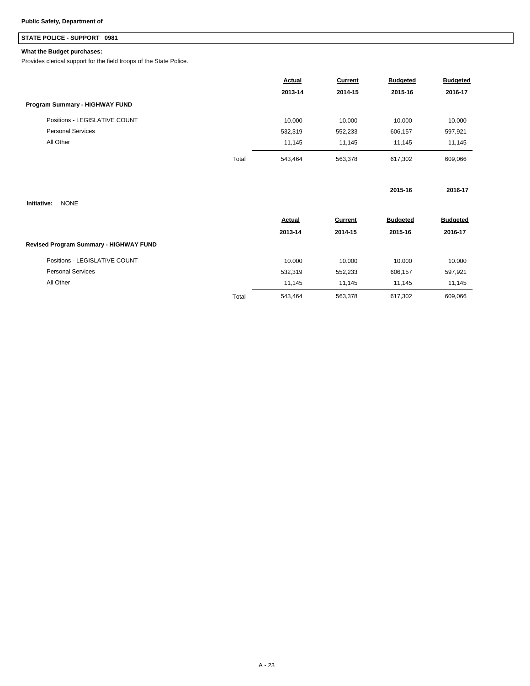## **STATE POLICE - SUPPORT 0981**

### **What the Budget purchases:**

Provides clerical support for the field troops of the State Police.

|                                        |       | Actual  | Current | <b>Budgeted</b> | <b>Budgeted</b> |
|----------------------------------------|-------|---------|---------|-----------------|-----------------|
|                                        |       | 2013-14 | 2014-15 | 2015-16         | 2016-17         |
| Program Summary - HIGHWAY FUND         |       |         |         |                 |                 |
| Positions - LEGISLATIVE COUNT          |       | 10.000  | 10.000  | 10.000          | 10.000          |
| <b>Personal Services</b>               |       | 532,319 | 552,233 | 606,157         | 597,921         |
| All Other                              |       | 11,145  | 11,145  | 11,145          | 11,145          |
|                                        | Total | 543,464 | 563,378 | 617,302         | 609,066         |
| <b>NONE</b><br>Initiative:             |       |         |         | 2015-16         | 2016-17         |
|                                        |       |         |         |                 |                 |
|                                        |       | Actual  | Current | <b>Budgeted</b> | <b>Budgeted</b> |
|                                        |       | 2013-14 | 2014-15 | 2015-16         | 2016-17         |
| Revised Program Summary - HIGHWAY FUND |       |         |         |                 |                 |
| Positions - LEGISLATIVE COUNT          |       | 10.000  | 10.000  | 10.000          | 10.000          |
| <b>Personal Services</b>               |       | 532,319 | 552,233 | 606,157         | 597,921         |
| All Other                              |       | 11,145  | 11,145  | 11,145          | 11,145          |
|                                        | Total | 543,464 | 563,378 | 617,302         | 609,066         |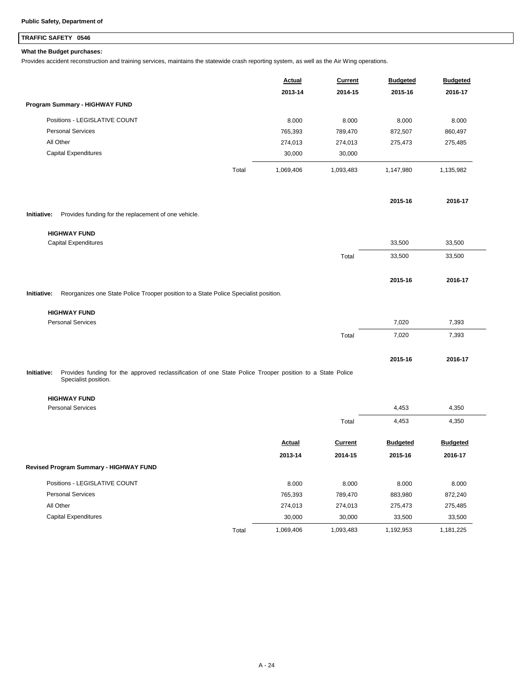## **TRAFFIC SAFETY 0546**

### **What the Budget purchases:**

Provides accident reconstruction and training services, maintains the statewide crash reporting system, as well as the Air Wing operations.

|                                                                                                     |       | <b>Actual</b><br>2013-14 | <b>Current</b><br>2014-15 | <b>Budgeted</b><br>2015-16 | <b>Budgeted</b><br>2016-17 |
|-----------------------------------------------------------------------------------------------------|-------|--------------------------|---------------------------|----------------------------|----------------------------|
| Program Summary - HIGHWAY FUND                                                                      |       |                          |                           |                            |                            |
| Positions - LEGISLATIVE COUNT                                                                       |       | 8.000                    | 8.000                     | 8.000                      | 8.000                      |
| <b>Personal Services</b>                                                                            |       | 765,393                  | 789,470                   | 872,507                    | 860,497                    |
| All Other                                                                                           |       | 274,013                  | 274,013                   | 275,473                    | 275,485                    |
| Capital Expenditures                                                                                |       | 30,000                   | 30,000                    |                            |                            |
|                                                                                                     | Total | 1,069,406                | 1,093,483                 | 1,147,980                  | 1,135,982                  |
|                                                                                                     |       |                          |                           | 2015-16                    | 2016-17                    |
| Initiative:<br>Provides funding for the replacement of one vehicle.                                 |       |                          |                           |                            |                            |
| <b>HIGHWAY FUND</b>                                                                                 |       |                          |                           |                            |                            |
| <b>Capital Expenditures</b>                                                                         |       |                          |                           | 33,500                     | 33,500                     |
|                                                                                                     |       |                          | Total                     | 33,500                     | 33,500                     |
|                                                                                                     |       |                          |                           | 2015-16                    | 2016-17                    |
| Reorganizes one State Police Trooper position to a State Police Specialist position.<br>Initiative: |       |                          |                           |                            |                            |
| <b>HIGHWAY FUND</b>                                                                                 |       |                          |                           |                            |                            |
| <b>Personal Services</b>                                                                            |       |                          |                           | 7,020                      | 7,393                      |
|                                                                                                     |       |                          | Total                     | 7,020                      | 7,393                      |
|                                                                                                     |       |                          |                           | 2015-16                    | 2016-17                    |

Provides funding for the approved reclassification of one State Police Trooper position to a State Police Specialist position. **Initiative:**

**HIGHWAY FUND**

| <b>Personal Services</b>                      |       |           |           | 4,453           | 4,350           |
|-----------------------------------------------|-------|-----------|-----------|-----------------|-----------------|
|                                               |       |           | Total     | 4,453           | 4,350           |
|                                               |       | Actual    | Current   | <b>Budgeted</b> | <b>Budgeted</b> |
|                                               |       | 2013-14   | 2014-15   | 2015-16         | 2016-17         |
| <b>Revised Program Summary - HIGHWAY FUND</b> |       |           |           |                 |                 |
| Positions - LEGISLATIVE COUNT                 |       | 8.000     | 8.000     | 8.000           | 8.000           |
| <b>Personal Services</b>                      |       | 765,393   | 789,470   | 883,980         | 872,240         |
| All Other                                     |       | 274,013   | 274,013   | 275,473         | 275,485         |
| <b>Capital Expenditures</b>                   |       | 30,000    | 30,000    | 33,500          | 33,500          |
|                                               | Total | 1,069,406 | 1,093,483 | 1,192,953       | 1,181,225       |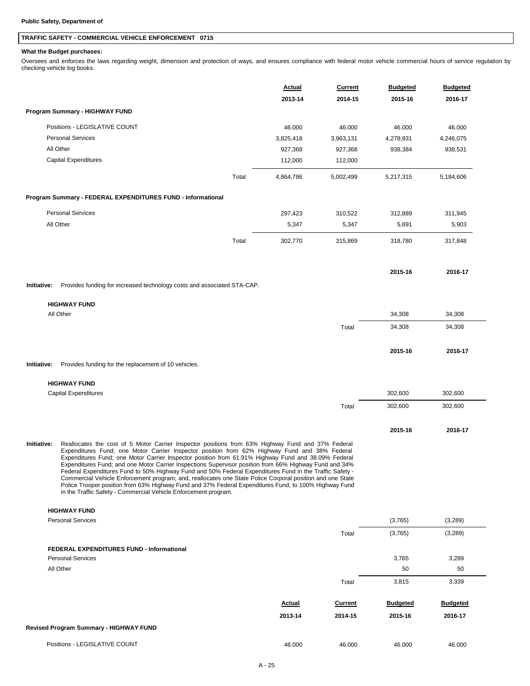## **TRAFFIC SAFETY - COMMERCIAL VEHICLE ENFORCEMENT 0715**

### **What the Budget purchases:**

Oversees and enforces the laws regarding weight, dimension and protection of ways, and ensures compliance with federal motor vehicle commercial hours of service regulation by checking vehicle log books.

|             |                                                                                                                                                                                                                                                                                                                                                                                                                                                                                                                                                                                                                                                                                                                                                                                                                         |       | <b>Actual</b><br>2013-14 | Current<br>2014-15 | <b>Budgeted</b><br>2015-16 | <b>Budgeted</b><br>2016-17 |
|-------------|-------------------------------------------------------------------------------------------------------------------------------------------------------------------------------------------------------------------------------------------------------------------------------------------------------------------------------------------------------------------------------------------------------------------------------------------------------------------------------------------------------------------------------------------------------------------------------------------------------------------------------------------------------------------------------------------------------------------------------------------------------------------------------------------------------------------------|-------|--------------------------|--------------------|----------------------------|----------------------------|
|             | Program Summary - HIGHWAY FUND                                                                                                                                                                                                                                                                                                                                                                                                                                                                                                                                                                                                                                                                                                                                                                                          |       |                          |                    |                            |                            |
|             | Positions - LEGISLATIVE COUNT                                                                                                                                                                                                                                                                                                                                                                                                                                                                                                                                                                                                                                                                                                                                                                                           |       | 46.000                   | 46.000             | 46.000                     | 46.000                     |
|             | <b>Personal Services</b>                                                                                                                                                                                                                                                                                                                                                                                                                                                                                                                                                                                                                                                                                                                                                                                                |       | 3,825,418                | 3,963,131          | 4,278,931                  | 4,246,075                  |
|             | All Other                                                                                                                                                                                                                                                                                                                                                                                                                                                                                                                                                                                                                                                                                                                                                                                                               |       | 927,368                  | 927,368            | 938,384                    | 938,531                    |
|             | <b>Capital Expenditures</b>                                                                                                                                                                                                                                                                                                                                                                                                                                                                                                                                                                                                                                                                                                                                                                                             |       | 112,000                  | 112,000            |                            |                            |
|             |                                                                                                                                                                                                                                                                                                                                                                                                                                                                                                                                                                                                                                                                                                                                                                                                                         | Total | 4,864,786                | 5,002,499          | 5,217,315                  | 5,184,606                  |
|             | Program Summary - FEDERAL EXPENDITURES FUND - Informational                                                                                                                                                                                                                                                                                                                                                                                                                                                                                                                                                                                                                                                                                                                                                             |       |                          |                    |                            |                            |
|             | <b>Personal Services</b>                                                                                                                                                                                                                                                                                                                                                                                                                                                                                                                                                                                                                                                                                                                                                                                                |       | 297,423                  | 310,522            | 312,889                    | 311,945                    |
|             | All Other                                                                                                                                                                                                                                                                                                                                                                                                                                                                                                                                                                                                                                                                                                                                                                                                               |       | 5,347                    | 5,347              | 5,891                      | 5,903                      |
|             |                                                                                                                                                                                                                                                                                                                                                                                                                                                                                                                                                                                                                                                                                                                                                                                                                         | Total | 302,770                  | 315,869            | 318,780                    | 317,848                    |
|             |                                                                                                                                                                                                                                                                                                                                                                                                                                                                                                                                                                                                                                                                                                                                                                                                                         |       |                          |                    |                            |                            |
| Initiative: | Provides funding for increased technology costs and associated STA-CAP.                                                                                                                                                                                                                                                                                                                                                                                                                                                                                                                                                                                                                                                                                                                                                 |       |                          |                    | 2015-16                    | 2016-17                    |
|             |                                                                                                                                                                                                                                                                                                                                                                                                                                                                                                                                                                                                                                                                                                                                                                                                                         |       |                          |                    |                            |                            |
|             | <b>HIGHWAY FUND</b><br>All Other                                                                                                                                                                                                                                                                                                                                                                                                                                                                                                                                                                                                                                                                                                                                                                                        |       |                          |                    | 34,308                     | 34,308                     |
|             |                                                                                                                                                                                                                                                                                                                                                                                                                                                                                                                                                                                                                                                                                                                                                                                                                         |       |                          | Total              | 34,308                     | 34,308                     |
|             |                                                                                                                                                                                                                                                                                                                                                                                                                                                                                                                                                                                                                                                                                                                                                                                                                         |       |                          |                    |                            |                            |
|             |                                                                                                                                                                                                                                                                                                                                                                                                                                                                                                                                                                                                                                                                                                                                                                                                                         |       |                          |                    | 2015-16                    | 2016-17                    |
| Initiative: | Provides funding for the replacement of 10 vehicles.                                                                                                                                                                                                                                                                                                                                                                                                                                                                                                                                                                                                                                                                                                                                                                    |       |                          |                    |                            |                            |
|             | <b>HIGHWAY FUND</b>                                                                                                                                                                                                                                                                                                                                                                                                                                                                                                                                                                                                                                                                                                                                                                                                     |       |                          |                    |                            |                            |
|             | <b>Capital Expenditures</b>                                                                                                                                                                                                                                                                                                                                                                                                                                                                                                                                                                                                                                                                                                                                                                                             |       |                          |                    | 302,600                    | 302,600                    |
|             |                                                                                                                                                                                                                                                                                                                                                                                                                                                                                                                                                                                                                                                                                                                                                                                                                         |       |                          | Total              | 302,600                    | 302,600                    |
|             |                                                                                                                                                                                                                                                                                                                                                                                                                                                                                                                                                                                                                                                                                                                                                                                                                         |       |                          |                    | 2015-16                    | 2016-17                    |
| Initiative: | Reallocates the cost of 5 Motor Carrier Inspector positions from 63% Highway Fund and 37% Federal<br>Expenditures Fund; one Motor Carrier Inspector position from 62% Highway Fund and 38% Federal<br>Expenditures Fund; one Motor Carrier Inspector position from 61.91% Highway Fund and 38.09% Federal<br>Expenditures Fund; and one Motor Carrier Inspections Supervisor position from 66% Highway Fund and 34%<br>Federal Expenditures Fund to 50% Highway Fund and 50% Federal Expenditures Fund in the Traffic Safety -<br>Commercial Vehicle Enforcement program; and, reallocates one State Police Corporal position and one State<br>Police Trooper position from 63% Highway Fund and 37% Federal Expenditures Fund, to 100% Highway Fund<br>in the Traffic Safety - Commercial Vehicle Enforcement program. |       |                          |                    |                            |                            |
|             | <b>HIGHWAY FUND</b>                                                                                                                                                                                                                                                                                                                                                                                                                                                                                                                                                                                                                                                                                                                                                                                                     |       |                          |                    |                            |                            |
|             | <b>Personal Services</b>                                                                                                                                                                                                                                                                                                                                                                                                                                                                                                                                                                                                                                                                                                                                                                                                |       |                          |                    | (3,765)                    | (3,289)                    |
|             |                                                                                                                                                                                                                                                                                                                                                                                                                                                                                                                                                                                                                                                                                                                                                                                                                         |       |                          | Total              | (3,765)                    | (3,289)                    |
|             | <b>FEDERAL EXPENDITURES FUND - Informational</b>                                                                                                                                                                                                                                                                                                                                                                                                                                                                                                                                                                                                                                                                                                                                                                        |       |                          |                    |                            |                            |
|             | <b>Personal Services</b>                                                                                                                                                                                                                                                                                                                                                                                                                                                                                                                                                                                                                                                                                                                                                                                                |       |                          |                    | 3,765                      | 3,289                      |
|             | All Other                                                                                                                                                                                                                                                                                                                                                                                                                                                                                                                                                                                                                                                                                                                                                                                                               |       |                          |                    | 50                         | 50                         |
|             |                                                                                                                                                                                                                                                                                                                                                                                                                                                                                                                                                                                                                                                                                                                                                                                                                         |       |                          | Total              | 3,815                      | 3,339                      |
|             |                                                                                                                                                                                                                                                                                                                                                                                                                                                                                                                                                                                                                                                                                                                                                                                                                         |       | <b>Actual</b>            | <b>Current</b>     | <b>Budgeted</b>            | <b>Budgeted</b>            |
|             |                                                                                                                                                                                                                                                                                                                                                                                                                                                                                                                                                                                                                                                                                                                                                                                                                         |       | 2013-14                  | 2014-15            | 2015-16                    | 2016-17                    |
|             | <b>Revised Program Summary - HIGHWAY FUND</b>                                                                                                                                                                                                                                                                                                                                                                                                                                                                                                                                                                                                                                                                                                                                                                           |       |                          |                    |                            |                            |
|             | Positions - LEGISLATIVE COUNT                                                                                                                                                                                                                                                                                                                                                                                                                                                                                                                                                                                                                                                                                                                                                                                           |       | 46.000                   | 46.000             | 46.000                     | 46.000                     |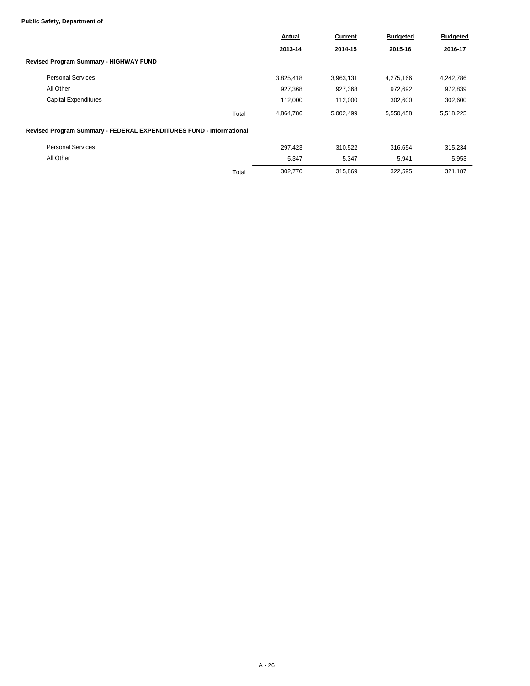### **Public Safety, Department of**

|                                                                     | <b>Actual</b> | Current   | <b>Budgeted</b> | <b>Budgeted</b> |
|---------------------------------------------------------------------|---------------|-----------|-----------------|-----------------|
|                                                                     | 2013-14       | 2014-15   | 2015-16         | 2016-17         |
| Revised Program Summary - HIGHWAY FUND                              |               |           |                 |                 |
| <b>Personal Services</b>                                            | 3,825,418     | 3,963,131 | 4,275,166       | 4,242,786       |
| All Other                                                           | 927,368       | 927,368   | 972,692         | 972,839         |
| <b>Capital Expenditures</b>                                         | 112,000       | 112,000   | 302,600         | 302,600         |
| Total                                                               | 4,864,786     | 5,002,499 | 5,550,458       | 5,518,225       |
| Revised Program Summary - FEDERAL EXPENDITURES FUND - Informational |               |           |                 |                 |
| <b>Personal Services</b>                                            | 297,423       | 310,522   | 316,654         | 315,234         |
| All Other                                                           | 5,347         | 5,347     | 5,941           | 5,953           |
| Total                                                               | 302,770       | 315,869   | 322,595         | 321,187         |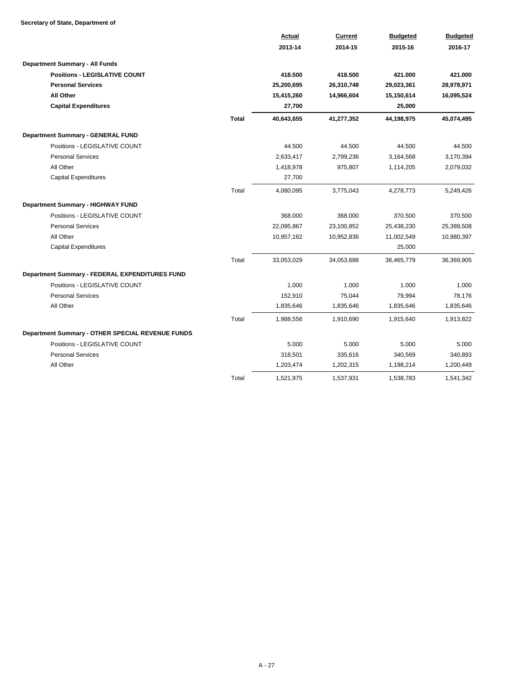### **Secretary of State, Department of**

|                                                  |              | Actual     | <b>Current</b> | <b>Budgeted</b> | <b>Budgeted</b> |
|--------------------------------------------------|--------------|------------|----------------|-----------------|-----------------|
|                                                  |              | 2013-14    | 2014-15        | 2015-16         | 2016-17         |
| <b>Department Summary - All Funds</b>            |              |            |                |                 |                 |
| <b>Positions - LEGISLATIVE COUNT</b>             |              | 418.500    | 418.500        | 421.000         | 421.000         |
| <b>Personal Services</b>                         |              | 25,200,695 | 26,310,748     | 29,023,361      | 28,978,971      |
| <b>All Other</b>                                 |              | 15,415,260 | 14,966,604     | 15,150,614      | 16,095,524      |
| <b>Capital Expenditures</b>                      |              | 27,700     |                | 25,000          |                 |
|                                                  | <b>Total</b> | 40,643,655 | 41,277,352     | 44,198,975      | 45,074,495      |
| Department Summary - GENERAL FUND                |              |            |                |                 |                 |
| Positions - LEGISLATIVE COUNT                    |              | 44.500     | 44.500         | 44.500          | 44.500          |
| <b>Personal Services</b>                         |              | 2,633,417  | 2,799,236      | 3,164,568       | 3,170,394       |
| All Other                                        |              | 1,418,978  | 975,807        | 1,114,205       | 2,079,032       |
| <b>Capital Expenditures</b>                      |              | 27,700     |                |                 |                 |
|                                                  | Total        | 4,080,095  | 3,775,043      | 4,278,773       | 5,249,426       |
| Department Summary - HIGHWAY FUND                |              |            |                |                 |                 |
| Positions - LEGISLATIVE COUNT                    |              | 368.000    | 368.000        | 370.500         | 370.500         |
| <b>Personal Services</b>                         |              | 22,095,867 | 23,100,852     | 25,438,230      | 25,389,508      |
| All Other                                        |              | 10,957,162 | 10,952,836     | 11,002,549      | 10,980,397      |
| <b>Capital Expenditures</b>                      |              |            |                | 25,000          |                 |
|                                                  | Total        | 33,053,029 | 34,053,688     | 36,465,779      | 36,369,905      |
| Department Summary - FEDERAL EXPENDITURES FUND   |              |            |                |                 |                 |
| Positions - LEGISLATIVE COUNT                    |              | 1.000      | 1.000          | 1.000           | 1.000           |
| <b>Personal Services</b>                         |              | 152,910    | 75,044         | 79,994          | 78,176          |
| All Other                                        |              | 1,835,646  | 1,835,646      | 1,835,646       | 1,835,646       |
|                                                  | Total        | 1,988,556  | 1,910,690      | 1,915,640       | 1,913,822       |
| Department Summary - OTHER SPECIAL REVENUE FUNDS |              |            |                |                 |                 |
| Positions - LEGISLATIVE COUNT                    |              | 5.000      | 5.000          | 5.000           | 5.000           |
| <b>Personal Services</b>                         |              | 318,501    | 335,616        | 340,569         | 340,893         |
| All Other                                        |              | 1,203,474  | 1,202,315      | 1,198,214       | 1,200,449       |
|                                                  | Total        | 1,521,975  | 1,537,931      | 1,538,783       | 1,541,342       |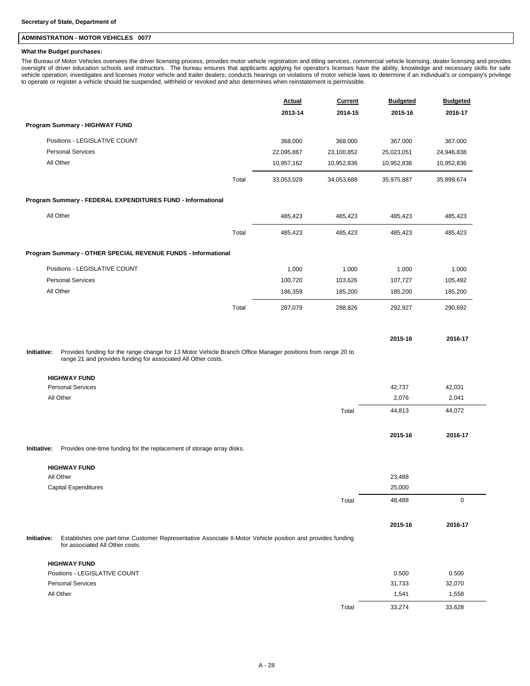### **ADMINISTRATION - MOTOR VEHICLES 0077**

### **What the Budget purchases:**

The Bureau of Motor Vehicles oversees the driver licensing process, provides motor vehicle registration and titling services, commercial vehicle licensing, dealer licensing and provides<br>oversight of driver education school vehicle operation; investigates and licenses motor vehicle and trailer dealers; conducts hearings on violations of motor vehicle laws to determine if an individual's or company's privilege to operate or register a vehicle should be suspended, withheld or revoked and also determines when reinstatement is permissible.

|                                                                                                                                                                                                                    |       | <b>Actual</b> | <b>Current</b> | <b>Budgeted</b> | <b>Budgeted</b> |
|--------------------------------------------------------------------------------------------------------------------------------------------------------------------------------------------------------------------|-------|---------------|----------------|-----------------|-----------------|
|                                                                                                                                                                                                                    |       | 2013-14       | 2014-15        | 2015-16         | 2016-17         |
| Program Summary - HIGHWAY FUND                                                                                                                                                                                     |       |               |                |                 |                 |
| Positions - LEGISLATIVE COUNT                                                                                                                                                                                      |       | 368.000       | 368.000        | 367.000         | 367.000         |
| <b>Personal Services</b>                                                                                                                                                                                           |       | 22,095,867    | 23,100,852     | 25,023,051      | 24,946,838      |
| All Other                                                                                                                                                                                                          |       | 10,957,162    | 10,952,836     | 10,952,836      | 10,952,836      |
|                                                                                                                                                                                                                    | Total | 33,053,029    | 34,053,688     | 35,975,887      | 35,899,674      |
| Program Summary - FEDERAL EXPENDITURES FUND - Informational                                                                                                                                                        |       |               |                |                 |                 |
| All Other                                                                                                                                                                                                          |       | 485,423       | 485,423        | 485,423         | 485,423         |
|                                                                                                                                                                                                                    | Total | 485,423       | 485,423        | 485,423         | 485,423         |
| Program Summary - OTHER SPECIAL REVENUE FUNDS - Informational                                                                                                                                                      |       |               |                |                 |                 |
| Positions - LEGISLATIVE COUNT                                                                                                                                                                                      |       | 1.000         | 1.000          | 1.000           | 1.000           |
| <b>Personal Services</b>                                                                                                                                                                                           |       | 100,720       | 103,626        | 107,727         | 105,492         |
| All Other                                                                                                                                                                                                          |       | 186,359       | 185,200        | 185,200         | 185,200         |
|                                                                                                                                                                                                                    | Total | 287,079       | 288,826        | 292,927         | 290,692         |
|                                                                                                                                                                                                                    |       |               |                |                 |                 |
|                                                                                                                                                                                                                    |       |               |                | 2015-16         | 2016-17         |
| Provides funding for the range change for 13 Motor Vehicle Branch Office Manager positions from range 20 to<br>Initiative:<br>range 21 and provides funding for associated All Other costs.<br><b>HIGHWAY FUND</b> |       |               |                |                 |                 |
| <b>Personal Services</b>                                                                                                                                                                                           |       |               |                | 42,737          | 42,031          |
| All Other                                                                                                                                                                                                          |       |               |                | 2,076           | 2,041           |
|                                                                                                                                                                                                                    |       |               | Total          | 44,813          | 44,072          |
|                                                                                                                                                                                                                    |       |               |                | 2015-16         | 2016-17         |
| Provides one-time funding for the replacement of storage array disks.<br>Initiative:                                                                                                                               |       |               |                |                 |                 |
| <b>HIGHWAY FUND</b>                                                                                                                                                                                                |       |               |                |                 |                 |
| All Other                                                                                                                                                                                                          |       |               |                | 23,488          |                 |
| Capital Expenditures                                                                                                                                                                                               |       |               |                | 25,000          |                 |
|                                                                                                                                                                                                                    |       |               | Total          | 48,488          | $\mathbf 0$     |
|                                                                                                                                                                                                                    |       |               |                | 2015-16         | 2016-17         |
| Establishes one part-time Customer Representative Associate II-Motor Vehicle position and provides funding<br>Initiative:<br>for associated All Other costs.                                                       |       |               |                |                 |                 |
| <b>HIGHWAY FUND</b>                                                                                                                                                                                                |       |               |                |                 |                 |
| Positions - LEGISLATIVE COUNT                                                                                                                                                                                      |       |               |                | 0.500           | 0.500           |
| <b>Personal Services</b>                                                                                                                                                                                           |       |               |                | 31,733          | 32,070          |
| All Other                                                                                                                                                                                                          |       |               |                | 1,541           | 1,558           |
|                                                                                                                                                                                                                    |       |               | Total          | 33,274          | 33,628          |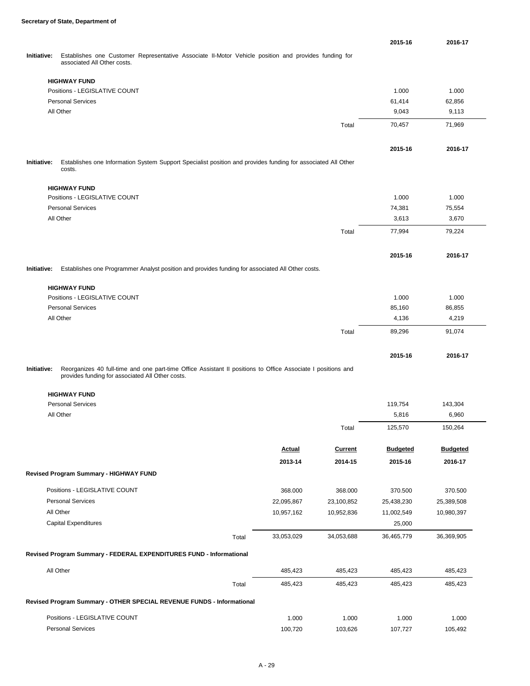|             |                                                                                                              |       |               |                | 2015-16         | 2016-17         |
|-------------|--------------------------------------------------------------------------------------------------------------|-------|---------------|----------------|-----------------|-----------------|
| Initiative: | Establishes one Customer Representative Associate II-Motor Vehicle position and provides funding for         |       |               |                |                 |                 |
|             | associated All Other costs.                                                                                  |       |               |                |                 |                 |
|             | <b>HIGHWAY FUND</b>                                                                                          |       |               |                |                 |                 |
|             | Positions - LEGISLATIVE COUNT                                                                                |       |               |                | 1.000           | 1.000           |
|             | <b>Personal Services</b>                                                                                     |       |               |                | 61,414          | 62,856          |
|             | All Other                                                                                                    |       |               |                | 9,043           | 9,113           |
|             |                                                                                                              |       |               | Total          | 70,457          | 71,969          |
|             |                                                                                                              |       |               |                |                 |                 |
|             |                                                                                                              |       |               |                | 2015-16         | 2016-17         |
| Initiative: | Establishes one Information System Support Specialist position and provides funding for associated All Other |       |               |                |                 |                 |
|             | costs.                                                                                                       |       |               |                |                 |                 |
|             | <b>HIGHWAY FUND</b>                                                                                          |       |               |                |                 |                 |
|             | Positions - LEGISLATIVE COUNT                                                                                |       |               |                | 1.000           | 1.000           |
|             | <b>Personal Services</b>                                                                                     |       |               |                | 74,381          | 75,554          |
|             | All Other                                                                                                    |       |               |                | 3,613           | 3,670           |
|             |                                                                                                              |       |               | Total          | 77,994          | 79,224          |
|             |                                                                                                              |       |               |                |                 |                 |
|             |                                                                                                              |       |               |                | 2015-16         | 2016-17         |
| Initiative: | Establishes one Programmer Analyst position and provides funding for associated All Other costs.             |       |               |                |                 |                 |
|             | <b>HIGHWAY FUND</b>                                                                                          |       |               |                |                 |                 |
|             | Positions - LEGISLATIVE COUNT                                                                                |       |               |                | 1.000           | 1.000           |
|             | <b>Personal Services</b>                                                                                     |       |               |                | 85,160          | 86,855          |
|             | All Other                                                                                                    |       |               |                | 4,136           | 4,219           |
|             |                                                                                                              |       |               | Total          | 89,296          | 91,074          |
|             |                                                                                                              |       |               |                |                 |                 |
|             |                                                                                                              |       |               |                | 2015-16         | 2016-17         |
| Initiative: | Reorganizes 40 full-time and one part-time Office Assistant II positions to Office Associate I positions and |       |               |                |                 |                 |
|             | provides funding for associated All Other costs.                                                             |       |               |                |                 |                 |
|             | <b>HIGHWAY FUND</b>                                                                                          |       |               |                |                 |                 |
|             | <b>Personal Services</b>                                                                                     |       |               |                | 119,754         | 143,304         |
|             | All Other                                                                                                    |       |               |                | 5,816           | 6,960           |
|             |                                                                                                              |       |               | Total          | 125,570         | 150,264         |
|             |                                                                                                              |       |               |                |                 |                 |
|             |                                                                                                              |       | <b>Actual</b> | <b>Current</b> | <b>Budgeted</b> | <b>Budgeted</b> |
|             |                                                                                                              |       | 2013-14       | 2014-15        | 2015-16         | 2016-17         |
|             | Revised Program Summary - HIGHWAY FUND                                                                       |       |               |                |                 |                 |
|             | Positions - LEGISLATIVE COUNT                                                                                |       | 368.000       | 368.000        | 370.500         | 370.500         |
|             | <b>Personal Services</b>                                                                                     |       | 22,095,867    | 23,100,852     | 25,438,230      | 25,389,508      |
|             | All Other                                                                                                    |       | 10,957,162    | 10,952,836     | 11,002,549      | 10,980,397      |
|             | <b>Capital Expenditures</b>                                                                                  |       |               |                | 25,000          |                 |
|             |                                                                                                              | Total | 33,053,029    | 34,053,688     | 36,465,779      | 36,369,905      |
|             | Revised Program Summary - FEDERAL EXPENDITURES FUND - Informational                                          |       |               |                |                 |                 |
|             |                                                                                                              |       |               |                |                 |                 |
|             | All Other                                                                                                    |       | 485,423       | 485,423        | 485,423         | 485,423         |
|             |                                                                                                              | Total | 485,423       | 485,423        | 485,423         | 485,423         |
|             | Revised Program Summary - OTHER SPECIAL REVENUE FUNDS - Informational                                        |       |               |                |                 |                 |
|             |                                                                                                              |       |               |                |                 |                 |
|             | Positions - LEGISLATIVE COUNT                                                                                |       | 1.000         | 1.000          | 1.000           | 1.000           |
|             | <b>Personal Services</b>                                                                                     |       | 100,720       | 103,626        | 107,727         | 105,492         |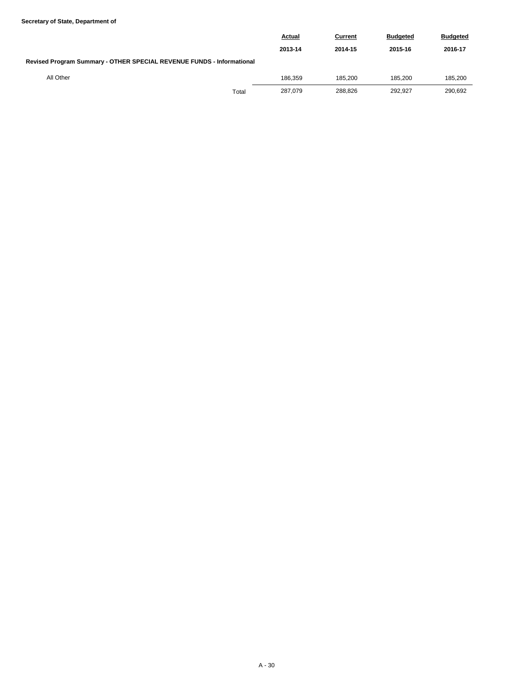### **Secretary of State, Department of**

|                                                                       |       | <b>Actual</b> | Current | <b>Budgeted</b> | <b>Budgeted</b> |  |  |  |  |
|-----------------------------------------------------------------------|-------|---------------|---------|-----------------|-----------------|--|--|--|--|
|                                                                       |       | 2013-14       | 2014-15 | 2015-16         | 2016-17         |  |  |  |  |
| Revised Program Summary - OTHER SPECIAL REVENUE FUNDS - Informational |       |               |         |                 |                 |  |  |  |  |
| All Other                                                             |       | 186.359       | 185.200 | 185.200         | 185,200         |  |  |  |  |
|                                                                       | Total | 287.079       | 288.826 | 292.927         | 290.692         |  |  |  |  |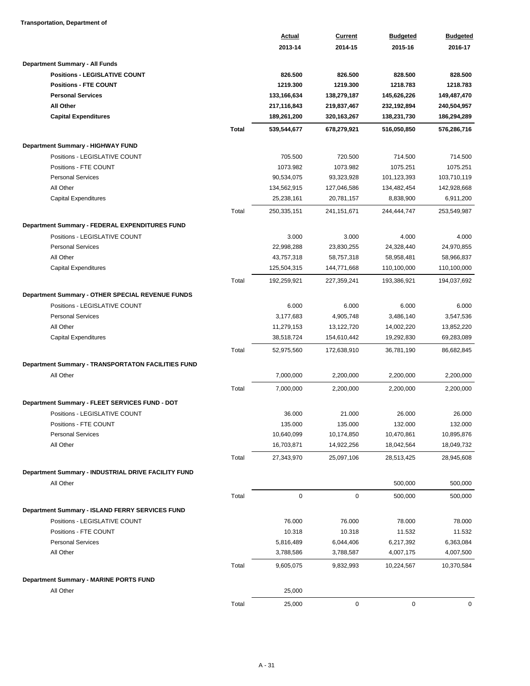### **Transportation, Department of**

|                                                           |              | <b>Actual</b>       | <b>Current</b>      | <b>Budgeted</b>     | <b>Budgeted</b>          |
|-----------------------------------------------------------|--------------|---------------------|---------------------|---------------------|--------------------------|
|                                                           |              | 2013-14             | 2014-15             | 2015-16             | 2016-17                  |
| Department Summary - All Funds                            |              |                     |                     |                     |                          |
| <b>Positions - LEGISLATIVE COUNT</b>                      |              | 826.500             | 826.500             | 828,500             | 828.500                  |
| <b>Positions - FTE COUNT</b>                              |              | 1219.300            | 1219.300            | 1218.783            | 1218.783                 |
| <b>Personal Services</b>                                  |              | 133,166,634         | 138,279,187         | 145,626,226         | 149,487,470              |
| <b>All Other</b>                                          |              | 217,116,843         | 219,837,467         | 232,192,894         | 240,504,957              |
| <b>Capital Expenditures</b>                               |              | 189,261,200         | 320, 163, 267       | 138,231,730         | 186,294,289              |
|                                                           | <b>Total</b> | 539,544,677         | 678,279,921         | 516,050,850         | 576,286,716              |
| Department Summary - HIGHWAY FUND                         |              |                     |                     |                     |                          |
| Positions - LEGISLATIVE COUNT                             |              | 705.500             | 720.500             | 714.500             | 714.500                  |
| Positions - FTE COUNT                                     |              | 1073.982            | 1073.982            | 1075.251            | 1075.251                 |
| <b>Personal Services</b>                                  |              | 90,534,075          | 93,323,928          | 101,123,393         | 103,710,119              |
| All Other                                                 |              | 134,562,915         | 127,046,586         | 134,482,454         | 142,928,668              |
| Capital Expenditures                                      |              | 25,238,161          | 20,781,157          | 8,838,900           | 6,911,200                |
|                                                           | Total        | 250,335,151         | 241, 151, 671       | 244,444,747         | 253,549,987              |
|                                                           |              |                     |                     |                     |                          |
| Department Summary - FEDERAL EXPENDITURES FUND            |              |                     |                     |                     |                          |
| Positions - LEGISLATIVE COUNT<br><b>Personal Services</b> |              | 3.000<br>22,998,288 | 3.000<br>23,830,255 | 4.000<br>24,328,440 | 4.000                    |
| All Other                                                 |              | 43,757,318          | 58,757,318          | 58,958,481          | 24,970,855<br>58,966,837 |
| Capital Expenditures                                      |              | 125,504,315         | 144,771,668         | 110,100,000         | 110,100,000              |
|                                                           | Total        |                     |                     |                     | 194,037,692              |
|                                                           |              | 192,259,921         | 227,359,241         | 193,386,921         |                          |
| Department Summary - OTHER SPECIAL REVENUE FUNDS          |              |                     |                     |                     |                          |
| Positions - LEGISLATIVE COUNT                             |              | 6.000               | 6.000               | 6.000               | 6.000                    |
| <b>Personal Services</b>                                  |              | 3,177,683           | 4,905,748           | 3,486,140           | 3,547,536                |
| All Other                                                 |              | 11,279,153          | 13,122,720          | 14,002,220          | 13,852,220               |
| <b>Capital Expenditures</b>                               |              | 38,518,724          | 154,610,442         | 19,292,830          | 69,283,089               |
|                                                           | Total        | 52,975,560          | 172,638,910         | 36,781,190          | 86,682,845               |
| Department Summary - TRANSPORTATON FACILITIES FUND        |              |                     |                     |                     |                          |
| All Other                                                 |              | 7,000,000           | 2,200,000           | 2,200,000           | 2,200,000                |
|                                                           | Total        | 7,000,000           | 2,200,000           | 2,200,000           | 2,200,000                |
| Department Summary - FLEET SERVICES FUND - DOT            |              |                     |                     |                     |                          |
| Positions - LEGISLATIVE COUNT                             |              | 36.000              | 21.000              | 26.000              | 26.000                   |
| Positions - FTE COUNT                                     |              | 135.000             | 135.000             | 132.000             | 132.000                  |
| <b>Personal Services</b>                                  |              | 10,640,099          | 10,174,850          | 10,470,861          | 10,895,876               |
| All Other                                                 |              | 16,703,871          | 14,922,256          | 18,042,564          | 18,049,732               |
|                                                           | Total        | 27,343,970          | 25,097,106          | 28,513,425          | 28,945,608               |
| Department Summary - INDUSTRIAL DRIVE FACILITY FUND       |              |                     |                     |                     |                          |
| All Other                                                 |              |                     |                     | 500,000             | 500,000                  |
|                                                           | Total        | 0                   | $\mathsf 0$         | 500,000             | 500,000                  |
|                                                           |              |                     |                     |                     |                          |
| Department Summary - ISLAND FERRY SERVICES FUND           |              |                     |                     |                     |                          |
| Positions - LEGISLATIVE COUNT                             |              | 76.000              | 76.000              | 78.000              | 78.000                   |
| Positions - FTE COUNT                                     |              | 10.318              | 10.318              | 11.532              | 11.532                   |
| <b>Personal Services</b>                                  |              | 5,816,489           | 6,044,406           | 6,217,392           | 6,363,084                |
| All Other                                                 |              | 3,788,586           | 3,788,587           | 4,007,175           | 4,007,500                |
|                                                           | Total        | 9,605,075           | 9,832,993           | 10,224,567          | 10,370,584               |
| Department Summary - MARINE PORTS FUND                    |              |                     |                     |                     |                          |
| All Other                                                 |              | 25,000              |                     |                     |                          |
|                                                           | Total        | 25,000              | 0                   | $\mathbf 0$         | 0                        |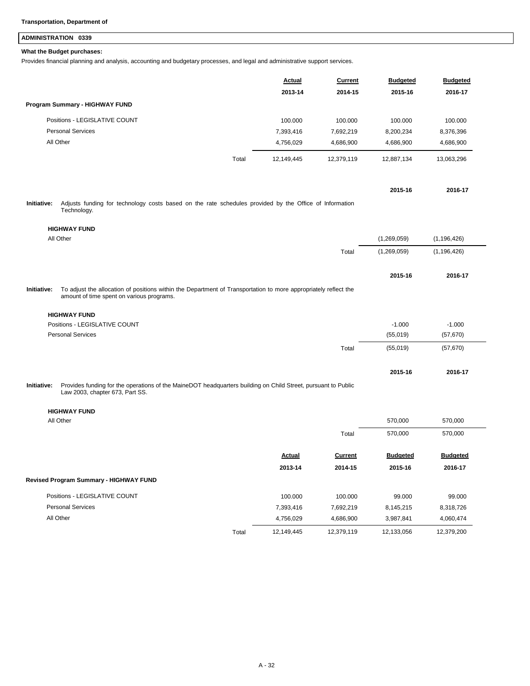## **ADMINISTRATION 0339**

### **What the Budget purchases:**

Provides financial planning and analysis, accounting and budgetary processes, and legal and administrative support services.

|             |                                                                                                                                                              | <u>Actual</u> | <b>Current</b> | <b>Budgeted</b> | <b>Budgeted</b> |
|-------------|--------------------------------------------------------------------------------------------------------------------------------------------------------------|---------------|----------------|-----------------|-----------------|
|             |                                                                                                                                                              | 2013-14       | 2014-15        | 2015-16         | 2016-17         |
|             | Program Summary - HIGHWAY FUND                                                                                                                               |               |                |                 |                 |
|             | Positions - LEGISLATIVE COUNT                                                                                                                                | 100.000       | 100.000        | 100.000         | 100.000         |
|             | <b>Personal Services</b>                                                                                                                                     | 7,393,416     | 7,692,219      | 8,200,234       | 8,376,396       |
|             | All Other                                                                                                                                                    | 4,756,029     | 4,686,900      | 4,686,900       | 4,686,900       |
|             | Total                                                                                                                                                        | 12,149,445    | 12,379,119     | 12,887,134      | 13,063,296      |
|             |                                                                                                                                                              |               |                |                 |                 |
|             |                                                                                                                                                              |               |                | 2015-16         | 2016-17         |
| Initiative: | Adjusts funding for technology costs based on the rate schedules provided by the Office of Information<br>Technology.                                        |               |                |                 |                 |
|             | <b>HIGHWAY FUND</b>                                                                                                                                          |               |                |                 |                 |
|             | All Other                                                                                                                                                    |               |                | (1,269,059)     | (1, 196, 426)   |
|             |                                                                                                                                                              |               | Total          | (1,269,059)     | (1, 196, 426)   |
|             |                                                                                                                                                              |               |                | 2015-16         | 2016-17         |
| Initiative: | To adjust the allocation of positions within the Department of Transportation to more appropriately reflect the<br>amount of time spent on various programs. |               |                |                 |                 |
|             | <b>HIGHWAY FUND</b>                                                                                                                                          |               |                |                 |                 |
|             | Positions - LEGISLATIVE COUNT                                                                                                                                |               |                | $-1.000$        | $-1.000$        |
|             | <b>Personal Services</b>                                                                                                                                     |               |                | (55,019)        | (57, 670)       |
|             |                                                                                                                                                              |               | Total          | (55,019)        | (57, 670)       |
|             |                                                                                                                                                              |               |                | 2015-16         | 2016-17         |
| Initiative: | Provides funding for the operations of the MaineDOT headquarters building on Child Street, pursuant to Public<br>Law 2003, chapter 673, Part SS.             |               |                |                 |                 |
|             | <b>HIGHWAY FUND</b>                                                                                                                                          |               |                |                 |                 |
|             | All Other                                                                                                                                                    |               |                | 570,000         | 570,000         |
|             |                                                                                                                                                              |               | Total          | 570,000         | 570,000         |
|             |                                                                                                                                                              | <b>Actual</b> | <b>Current</b> | <b>Budgeted</b> | <b>Budgeted</b> |
|             |                                                                                                                                                              | 2013-14       | 2014-15        | 2015-16         | 2016-17         |
|             | <b>Revised Program Summary - HIGHWAY FUND</b>                                                                                                                |               |                |                 |                 |
|             | Positions - LEGISLATIVE COUNT                                                                                                                                | 100.000       | 100.000        | 99.000          | 99.000          |
|             | <b>Personal Services</b>                                                                                                                                     | 7,393,416     | 7,692,219      | 8,145,215       | 8,318,726       |

All Other 4,756,029 4,686,900 3,987,841 4,060,474

Total 12,149,445 12,379,119 12,133,056 12,379,200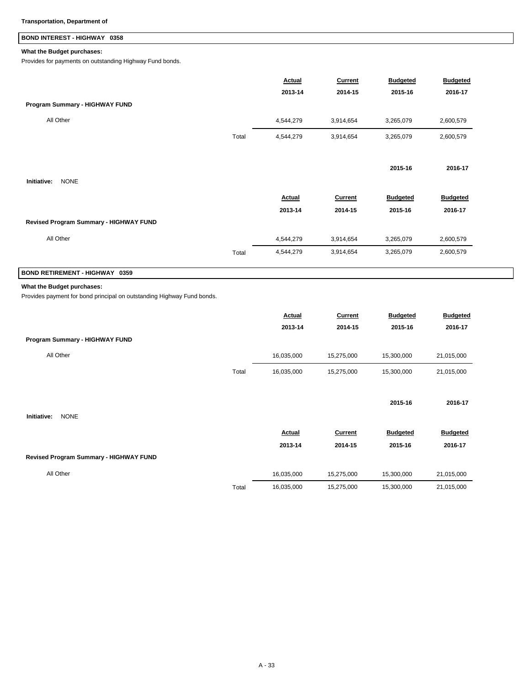## **BOND INTEREST - HIGHWAY 0358**

### **What the Budget purchases:**

Provides for payments on outstanding Highway Fund bonds.

|                                        | <b>Actual</b> | <b>Current</b> | <b>Budgeted</b> | <b>Budgeted</b> |
|----------------------------------------|---------------|----------------|-----------------|-----------------|
| Program Summary - HIGHWAY FUND         | 2013-14       | 2014-15        | 2015-16         | 2016-17         |
| All Other                              | 4,544,279     | 3,914,654      | 3,265,079       | 2,600,579       |
| Total                                  | 4,544,279     | 3,914,654      | 3,265,079       | 2,600,579       |
|                                        |               |                |                 |                 |
|                                        |               |                | 2015-16         | 2016-17         |
| Initiative:<br><b>NONE</b>             |               |                |                 |                 |
|                                        | Actual        | Current        | <b>Budgeted</b> | <b>Budgeted</b> |
|                                        | 2013-14       | 2014-15        | 2015-16         | 2016-17         |
| Revised Program Summary - HIGHWAY FUND |               |                |                 |                 |
| All Other                              | 4,544,279     | 3,914,654      | 3,265,079       | 2,600,579       |
| Total                                  | 4,544,279     | 3,914,654      | 3,265,079       | 2,600,579       |

## **BOND RETIREMENT - HIGHWAY 0359**

### **What the Budget purchases:**

Provides payment for bond principal on outstanding Highway Fund bonds.

|                                        |       | Actual        | Current        | <b>Budgeted</b> | <b>Budgeted</b> |
|----------------------------------------|-------|---------------|----------------|-----------------|-----------------|
|                                        |       | 2013-14       | 2014-15        | 2015-16         | 2016-17         |
| Program Summary - HIGHWAY FUND         |       |               |                |                 |                 |
| All Other                              |       | 16,035,000    | 15,275,000     | 15,300,000      | 21,015,000      |
|                                        | Total | 16,035,000    | 15,275,000     | 15,300,000      | 21,015,000      |
|                                        |       |               |                |                 |                 |
|                                        |       |               |                | 2015-16         | 2016-17         |
| <b>NONE</b><br>Initiative:             |       |               |                |                 |                 |
|                                        |       | <b>Actual</b> | <b>Current</b> | <b>Budgeted</b> | <b>Budgeted</b> |
|                                        |       | 2013-14       | 2014-15        | 2015-16         | 2016-17         |
| Revised Program Summary - HIGHWAY FUND |       |               |                |                 |                 |
| All Other                              |       | 16,035,000    | 15,275,000     | 15,300,000      | 21,015,000      |
|                                        | Total | 16,035,000    | 15,275,000     | 15,300,000      | 21,015,000      |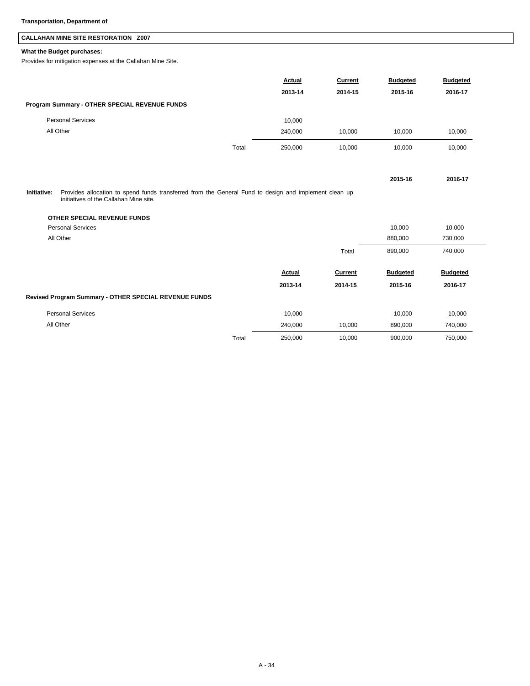## **CALLAHAN MINE SITE RESTORATION Z007**

## **What the Budget purchases:**

Provides for mitigation expenses at the Callahan Mine Site.

|                                                                                                                                                                | Actual           | <b>Current</b> | <b>Budgeted</b> | <b>Budgeted</b> |
|----------------------------------------------------------------------------------------------------------------------------------------------------------------|------------------|----------------|-----------------|-----------------|
|                                                                                                                                                                | 2013-14          | 2014-15        | 2015-16         | 2016-17         |
| Program Summary - OTHER SPECIAL REVENUE FUNDS                                                                                                                  |                  |                |                 |                 |
| <b>Personal Services</b>                                                                                                                                       | 10,000           |                |                 |                 |
| All Other                                                                                                                                                      | 240,000          | 10,000         | 10,000          | 10,000          |
|                                                                                                                                                                | Total<br>250,000 | 10,000         | 10,000          | 10,000          |
|                                                                                                                                                                |                  |                | 2015-16         | 2016-17         |
| Provides allocation to spend funds transferred from the General Fund to design and implement clean up<br>Initiative:<br>initiatives of the Callahan Mine site. |                  |                |                 |                 |
| OTHER SPECIAL REVENUE FUNDS                                                                                                                                    |                  |                |                 |                 |
| <b>Personal Services</b>                                                                                                                                       |                  |                | 10,000          | 10,000          |
| All Other                                                                                                                                                      |                  |                | 880,000         | 730,000         |
|                                                                                                                                                                |                  | Total          | 890,000         | 740,000         |
|                                                                                                                                                                | Actual           | <b>Current</b> | <b>Budgeted</b> | <b>Budgeted</b> |
|                                                                                                                                                                | 2013-14          | 2014-15        | 2015-16         | 2016-17         |
| Revised Program Summary - OTHER SPECIAL REVENUE FUNDS                                                                                                          |                  |                |                 |                 |
| <b>Personal Services</b>                                                                                                                                       | 10,000           |                | 10,000          | 10,000          |
| All Other                                                                                                                                                      | 240,000          | 10.000         | 890,000         | 740,000         |

Total 250,000 10,000 900,000 750,000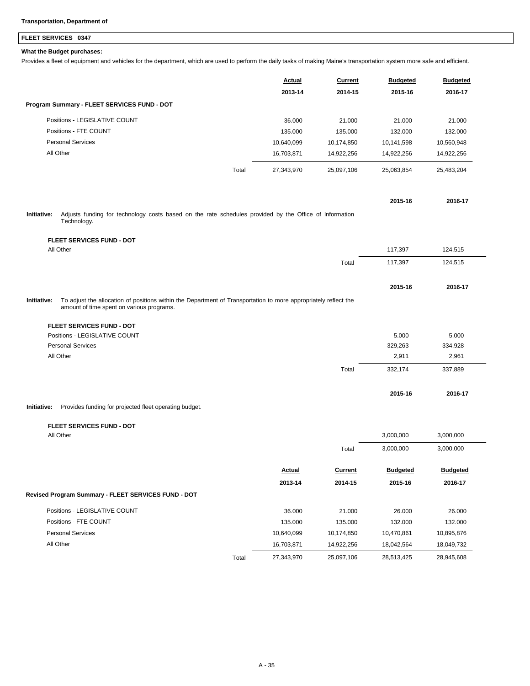## **FLEET SERVICES 0347**

### **What the Budget purchases:**

Provides a fleet of equipment and vehicles for the department, which are used to perform the daily tasks of making Maine's transportation system more safe and efficient.

|                                                                                                                                                                             | Actual     | Current    | <b>Budgeted</b> | <b>Budgeted</b> |
|-----------------------------------------------------------------------------------------------------------------------------------------------------------------------------|------------|------------|-----------------|-----------------|
|                                                                                                                                                                             | 2013-14    | 2014-15    | 2015-16         | 2016-17         |
| Program Summary - FLEET SERVICES FUND - DOT                                                                                                                                 |            |            |                 |                 |
| Positions - LEGISLATIVE COUNT                                                                                                                                               | 36.000     | 21.000     | 21.000          | 21.000          |
| Positions - FTE COUNT                                                                                                                                                       | 135.000    | 135.000    | 132.000         | 132.000         |
| <b>Personal Services</b>                                                                                                                                                    | 10,640,099 | 10,174,850 | 10,141,598      | 10,560,948      |
| All Other                                                                                                                                                                   | 16,703,871 | 14,922,256 | 14,922,256      | 14,922,256      |
| Total                                                                                                                                                                       | 27,343,970 | 25,097,106 | 25,063,854      | 25,483,204      |
|                                                                                                                                                                             |            |            | 2015-16         | 2016-17         |
| Initiative:<br>Adjusts funding for technology costs based on the rate schedules provided by the Office of Information<br>Technology.                                        |            |            |                 |                 |
| <b>FLEET SERVICES FUND - DOT</b>                                                                                                                                            |            |            |                 |                 |
| All Other                                                                                                                                                                   |            |            | 117,397         | 124,515         |
|                                                                                                                                                                             |            | Total      | 117,397         | 124,515         |
|                                                                                                                                                                             |            |            | 2015-16         | 2016-17         |
| To adjust the allocation of positions within the Department of Transportation to more appropriately reflect the<br>Initiative:<br>amount of time spent on various programs. |            |            |                 |                 |
| <b>FLEET SERVICES FUND - DOT</b>                                                                                                                                            |            |            |                 |                 |
| Positions - LEGISLATIVE COUNT                                                                                                                                               |            |            | 5.000           | 5.000           |
| <b>Personal Services</b>                                                                                                                                                    |            |            | 329,263         | 334,928         |
| All Other                                                                                                                                                                   |            |            | 2,911           | 2,961           |
|                                                                                                                                                                             |            | Total      | 332,174         | 337,889         |
|                                                                                                                                                                             |            |            | 2015-16         | 2016-17         |
| Provides funding for projected fleet operating budget.<br>Initiative:                                                                                                       |            |            |                 |                 |

#### **FLEET SERVICES FUND - DOT**

| All Other                                           |       |            |                | 3,000,000       | 3,000,000       |  |
|-----------------------------------------------------|-------|------------|----------------|-----------------|-----------------|--|
|                                                     |       |            | Total          | 3,000,000       | 3,000,000       |  |
|                                                     |       | Actual     | <b>Current</b> | <b>Budgeted</b> | <b>Budgeted</b> |  |
|                                                     |       | 2013-14    | 2014-15        | 2015-16         | 2016-17         |  |
| Revised Program Summary - FLEET SERVICES FUND - DOT |       |            |                |                 |                 |  |
| Positions - LEGISLATIVE COUNT                       |       | 36.000     | 21.000         | 26.000          | 26,000          |  |
| Positions - FTE COUNT                               |       | 135.000    | 135.000        | 132.000         | 132.000         |  |
| <b>Personal Services</b>                            |       | 10,640,099 | 10,174,850     | 10,470,861      | 10,895,876      |  |
| All Other                                           |       | 16,703,871 | 14,922,256     | 18,042,564      | 18,049,732      |  |
|                                                     | Total | 27,343,970 | 25,097,106     | 28,513,425      | 28,945,608      |  |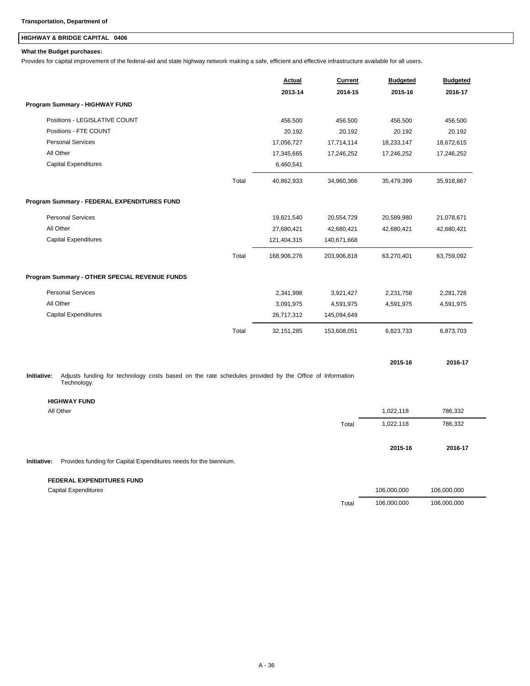## **HIGHWAY & BRIDGE CAPITAL 0406**

### **What the Budget purchases:**

Provides for capital improvement of the federal-aid and state highway network making a safe, efficient and effective infrastructure available for all users.

|                                                                                                                                      |       | <b>Actual</b> | <b>Current</b> | <b>Budgeted</b> | <b>Budgeted</b> |
|--------------------------------------------------------------------------------------------------------------------------------------|-------|---------------|----------------|-----------------|-----------------|
|                                                                                                                                      |       | 2013-14       | 2014-15        | 2015-16         | 2016-17         |
| Program Summary - HIGHWAY FUND                                                                                                       |       |               |                |                 |                 |
| Positions - LEGISLATIVE COUNT                                                                                                        |       | 456.500       | 456.500        | 456.500         | 456.500         |
| Positions - FTE COUNT                                                                                                                |       | 20.192        | 20.192         | 20.192          | 20.192          |
| <b>Personal Services</b>                                                                                                             |       | 17,056,727    | 17,714,114     | 18,233,147      | 18,672,615      |
| All Other                                                                                                                            |       | 17,345,665    | 17,246,252     | 17,246,252      | 17,246,252      |
| <b>Capital Expenditures</b>                                                                                                          |       | 6,460,541     |                |                 |                 |
|                                                                                                                                      | Total | 40,862,933    | 34,960,366     | 35,479,399      | 35,918,867      |
| Program Summary - FEDERAL EXPENDITURES FUND                                                                                          |       |               |                |                 |                 |
| <b>Personal Services</b>                                                                                                             |       | 19,821,540    | 20,554,729     | 20,589,980      | 21,078,671      |
| All Other                                                                                                                            |       | 27,680,421    | 42,680,421     | 42,680,421      | 42,680,421      |
| <b>Capital Expenditures</b>                                                                                                          |       | 121,404,315   | 140,671,668    |                 |                 |
|                                                                                                                                      | Total | 168,906,276   | 203,906,818    | 63,270,401      | 63,759,092      |
| Program Summary - OTHER SPECIAL REVENUE FUNDS                                                                                        |       |               |                |                 |                 |
| <b>Personal Services</b>                                                                                                             |       | 2,341,998     | 3,921,427      | 2,231,758       | 2,281,728       |
| All Other                                                                                                                            |       | 3,091,975     | 4,591,975      | 4,591,975       | 4,591,975       |
| Capital Expenditures                                                                                                                 |       | 26,717,312    | 145,094,649    |                 |                 |
|                                                                                                                                      | Total | 32, 151, 285  | 153,608,051    | 6,823,733       | 6,873,703       |
|                                                                                                                                      |       |               |                | 2015-16         | 2016-17         |
| Adjusts funding for technology costs based on the rate schedules provided by the Office of Information<br>Initiative:<br>Technology. |       |               |                |                 |                 |
| <b>HIGHWAY FUND</b>                                                                                                                  |       |               |                |                 |                 |
| All Other                                                                                                                            |       |               |                | 1,022,118       | 786,332         |
|                                                                                                                                      |       |               | Total          | 1,022,118       | 786,332         |
|                                                                                                                                      |       |               |                | 2015-16         | 2016-17         |
| Initiative:<br>Provides funding for Capital Expenditures needs for the biennium.                                                     |       |               |                |                 |                 |
| <b>FEDERAL EXPENDITURES FUND</b>                                                                                                     |       |               |                |                 |                 |
| <b>Capital Expenditures</b>                                                                                                          |       |               |                | 106,000,000     | 106,000,000     |

Total 106,000,000 106,000,000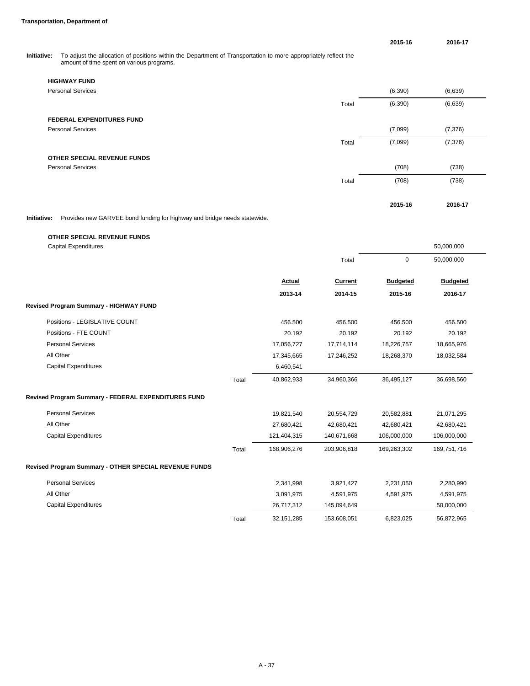**2015-16 2016-17**

**Initiative:** To adjust the allocation of positions within the Department of Transportation to more appropriately reflect the annount of time spent on various programs.

| <b>HIGHWAY FUND</b>              |       |          |          |
|----------------------------------|-------|----------|----------|
| <b>Personal Services</b>         |       | (6, 390) | (6,639)  |
|                                  | Total | (6, 390) | (6,639)  |
| <b>FEDERAL EXPENDITURES FUND</b> |       |          |          |
| <b>Personal Services</b>         |       | (7,099)  | (7, 376) |
|                                  | Total | (7,099)  | (7, 376) |
| OTHER SPECIAL REVENUE FUNDS      |       |          |          |
| <b>Personal Services</b>         |       | (708)    | (738)    |
|                                  | Total | (708)    | (738)    |
|                                  |       |          |          |
|                                  |       | 2015-16  | 2016-17  |

**Initiative:** Provides new GARVEE bond funding for highway and bridge needs statewide.

| <b>OTHER SPECIAL REVENUE FUNDS</b>                    |       |              |             |                 |                 |
|-------------------------------------------------------|-------|--------------|-------------|-----------------|-----------------|
| <b>Capital Expenditures</b>                           |       |              |             |                 | 50,000,000      |
|                                                       |       |              | Total       | $\mathbf 0$     | 50,000,000      |
|                                                       |       | Actual       | Current     | <b>Budgeted</b> | <b>Budgeted</b> |
|                                                       |       | 2013-14      | 2014-15     | 2015-16         | 2016-17         |
| Revised Program Summary - HIGHWAY FUND                |       |              |             |                 |                 |
| Positions - LEGISLATIVE COUNT                         |       | 456.500      | 456.500     | 456.500         | 456.500         |
| Positions - FTE COUNT                                 |       | 20.192       | 20.192      | 20.192          | 20.192          |
| <b>Personal Services</b>                              |       | 17,056,727   | 17,714,114  | 18,226,757      | 18,665,976      |
| All Other                                             |       | 17,345,665   | 17,246,252  | 18,268,370      | 18,032,584      |
| <b>Capital Expenditures</b>                           |       | 6,460,541    |             |                 |                 |
|                                                       | Total | 40,862,933   | 34,960,366  | 36,495,127      | 36,698,560      |
| Revised Program Summary - FEDERAL EXPENDITURES FUND   |       |              |             |                 |                 |
| <b>Personal Services</b>                              |       | 19,821,540   | 20,554,729  | 20,582,881      | 21,071,295      |
| All Other                                             |       | 27,680,421   | 42,680,421  | 42,680,421      | 42,680,421      |
| <b>Capital Expenditures</b>                           |       | 121,404,315  | 140,671,668 | 106,000,000     | 106,000,000     |
|                                                       | Total | 168,906,276  | 203,906,818 | 169,263,302     | 169,751,716     |
| Revised Program Summary - OTHER SPECIAL REVENUE FUNDS |       |              |             |                 |                 |
| <b>Personal Services</b>                              |       | 2,341,998    | 3,921,427   | 2,231,050       | 2,280,990       |
| All Other                                             |       | 3,091,975    | 4,591,975   | 4,591,975       | 4,591,975       |
| <b>Capital Expenditures</b>                           |       | 26,717,312   | 145,094,649 |                 | 50,000,000      |
|                                                       | Total | 32, 151, 285 | 153,608,051 | 6,823,025       | 56,872,965      |
|                                                       |       |              |             |                 |                 |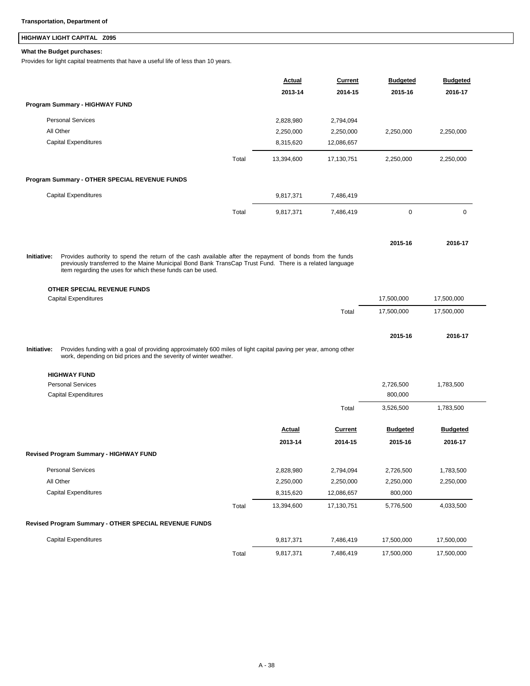## **HIGHWAY LIGHT CAPITAL Z095**

### **What the Budget purchases:**

Provides for light capital treatments that have a useful life of less than 10 years.

|             |                                                                                                                                                                                                                                                                                    |       | Actual     | Current        | <b>Budgeted</b> | <b>Budgeted</b> |
|-------------|------------------------------------------------------------------------------------------------------------------------------------------------------------------------------------------------------------------------------------------------------------------------------------|-------|------------|----------------|-----------------|-----------------|
|             |                                                                                                                                                                                                                                                                                    |       | 2013-14    | 2014-15        | 2015-16         | 2016-17         |
|             | Program Summary - HIGHWAY FUND                                                                                                                                                                                                                                                     |       |            |                |                 |                 |
|             | <b>Personal Services</b>                                                                                                                                                                                                                                                           |       | 2,828,980  | 2,794,094      |                 |                 |
|             | All Other                                                                                                                                                                                                                                                                          |       | 2,250,000  | 2,250,000      | 2,250,000       | 2,250,000       |
|             | <b>Capital Expenditures</b>                                                                                                                                                                                                                                                        |       | 8,315,620  | 12,086,657     |                 |                 |
|             |                                                                                                                                                                                                                                                                                    | Total | 13,394,600 | 17,130,751     | 2,250,000       | 2,250,000       |
|             | Program Summary - OTHER SPECIAL REVENUE FUNDS                                                                                                                                                                                                                                      |       |            |                |                 |                 |
|             | <b>Capital Expenditures</b>                                                                                                                                                                                                                                                        |       | 9,817,371  | 7,486,419      |                 |                 |
|             |                                                                                                                                                                                                                                                                                    | Total | 9,817,371  | 7,486,419      | $\mathbf 0$     | 0               |
|             |                                                                                                                                                                                                                                                                                    |       |            |                |                 |                 |
|             |                                                                                                                                                                                                                                                                                    |       |            |                | 2015-16         | 2016-17         |
| Initiative: | Provides authority to spend the return of the cash available after the repayment of bonds from the funds<br>previously transferred to the Maine Municipal Bond Bank TransCap Trust Fund. There is a related language<br>item regarding the uses for which these funds can be used. |       |            |                |                 |                 |
|             | OTHER SPECIAL REVENUE FUNDS                                                                                                                                                                                                                                                        |       |            |                |                 |                 |
|             | <b>Capital Expenditures</b>                                                                                                                                                                                                                                                        |       |            |                | 17,500,000      | 17,500,000      |
|             |                                                                                                                                                                                                                                                                                    |       |            | Total          | 17,500,000      | 17,500,000      |
|             |                                                                                                                                                                                                                                                                                    |       |            |                | 2015-16         | 2016-17         |
| Initiative: | Provides funding with a goal of providing approximately 600 miles of light capital paving per year, among other<br>work, depending on bid prices and the severity of winter weather.                                                                                               |       |            |                |                 |                 |
|             | <b>HIGHWAY FUND</b>                                                                                                                                                                                                                                                                |       |            |                |                 |                 |
|             | <b>Personal Services</b>                                                                                                                                                                                                                                                           |       |            |                | 2,726,500       | 1,783,500       |
|             | <b>Capital Expenditures</b>                                                                                                                                                                                                                                                        |       |            |                | 800,000         |                 |
|             |                                                                                                                                                                                                                                                                                    |       |            | Total          | 3,526,500       | 1,783,500       |
|             |                                                                                                                                                                                                                                                                                    |       | Actual     | <b>Current</b> | <b>Budgeted</b> | <b>Budgeted</b> |
|             |                                                                                                                                                                                                                                                                                    |       | 2013-14    | 2014-15        | 2015-16         | 2016-17         |
|             | Revised Program Summary - HIGHWAY FUND                                                                                                                                                                                                                                             |       |            |                |                 |                 |
|             | <b>Personal Services</b>                                                                                                                                                                                                                                                           |       | 2,828,980  | 2,794,094      | 2,726,500       | 1,783,500       |
|             | All Other                                                                                                                                                                                                                                                                          |       | 2,250,000  | 2,250,000      | 2,250,000       | 2,250,000       |
|             | <b>Capital Expenditures</b>                                                                                                                                                                                                                                                        |       | 8,315,620  | 12,086,657     | 800,000         |                 |
|             |                                                                                                                                                                                                                                                                                    | Total | 13,394,600 | 17,130,751     | 5,776,500       | 4,033,500       |
|             | Revised Program Summary - OTHER SPECIAL REVENUE FUNDS                                                                                                                                                                                                                              |       |            |                |                 |                 |
|             | <b>Capital Expenditures</b>                                                                                                                                                                                                                                                        |       | 9,817,371  | 7,486,419      | 17,500,000      | 17,500,000      |
|             |                                                                                                                                                                                                                                                                                    | Total | 9,817,371  | 7,486,419      | 17,500,000      | 17,500,000      |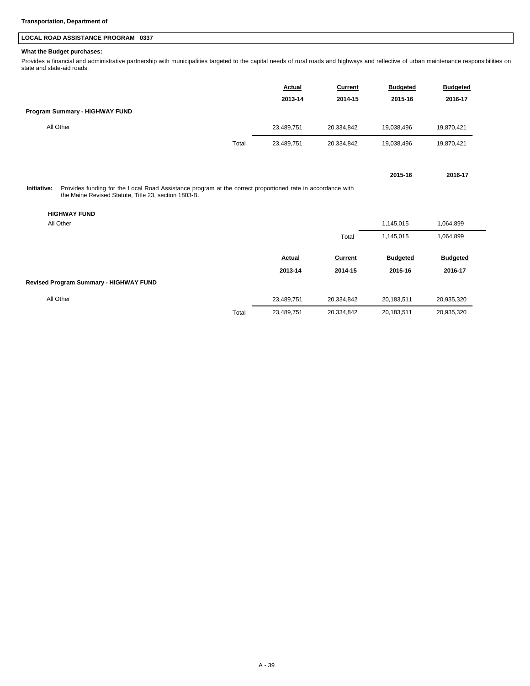## **LOCAL ROAD ASSISTANCE PROGRAM 0337**

### **What the Budget purchases:**

Provides a financial and administrative partnership with municipalities targeted to the capital needs of rural roads and highways and reflective of urban maintenance responsibilities on state and state-aid roads.

|                                                                                                                                                                                                                       |       | Actual<br>2013-14 | <b>Current</b><br>2014-15 | <b>Budgeted</b><br>2015-16 | <b>Budgeted</b><br>2016-17 |
|-----------------------------------------------------------------------------------------------------------------------------------------------------------------------------------------------------------------------|-------|-------------------|---------------------------|----------------------------|----------------------------|
| Program Summary - HIGHWAY FUND                                                                                                                                                                                        |       |                   |                           |                            |                            |
| All Other                                                                                                                                                                                                             |       |                   |                           |                            |                            |
|                                                                                                                                                                                                                       |       | 23,489,751        | 20,334,842                | 19,038,496                 | 19,870,421                 |
|                                                                                                                                                                                                                       | Total | 23,489,751        | 20,334,842                | 19,038,496                 | 19,870,421                 |
|                                                                                                                                                                                                                       |       |                   |                           | 2015-16                    | 2016-17                    |
| Provides funding for the Local Road Assistance program at the correct proportioned rate in accordance with<br>Initiative:<br>the Maine Revised Statute, Title 23, section 1803-B.<br><b>HIGHWAY FUND</b><br>All Other |       |                   |                           | 1,145,015                  | 1,064,899                  |
|                                                                                                                                                                                                                       |       |                   | Total                     | 1,145,015                  | 1,064,899                  |
|                                                                                                                                                                                                                       |       | Actual            | <b>Current</b>            | <b>Budgeted</b>            | <b>Budgeted</b>            |
|                                                                                                                                                                                                                       |       | 2013-14           | 2014-15                   | 2015-16                    | 2016-17                    |
| Revised Program Summary - HIGHWAY FUND                                                                                                                                                                                |       |                   |                           |                            |                            |
| All Other                                                                                                                                                                                                             |       | 23,489,751        | 20,334,842                | 20,183,511                 | 20,935,320                 |
|                                                                                                                                                                                                                       | Total | 23,489,751        | 20,334,842                | 20,183,511                 | 20,935,320                 |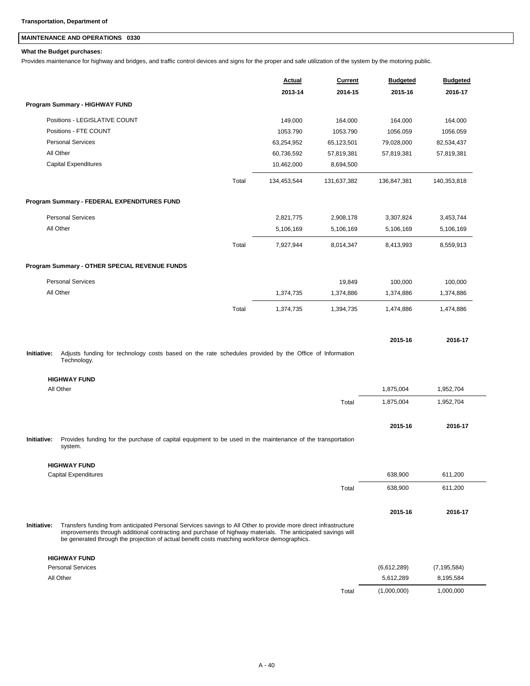## **MAINTENANCE AND OPERATIONS 0330**

### **What the Budget purchases:**

Provides maintenance for highway and bridges, and traffic control devices and signs for the proper and safe utilization of the system by the motoring public.

|             |                                                                                                                                                                                                                                                                                                                                |       | <b>Actual</b><br>2013-14 | <b>Current</b><br>2014-15 | <b>Budgeted</b><br>2015-16 | <b>Budgeted</b><br>2016-17 |
|-------------|--------------------------------------------------------------------------------------------------------------------------------------------------------------------------------------------------------------------------------------------------------------------------------------------------------------------------------|-------|--------------------------|---------------------------|----------------------------|----------------------------|
|             | Program Summary - HIGHWAY FUND                                                                                                                                                                                                                                                                                                 |       |                          |                           |                            |                            |
|             | Positions - LEGISLATIVE COUNT                                                                                                                                                                                                                                                                                                  |       | 149.000                  | 164.000                   | 164.000                    | 164.000                    |
|             | Positions - FTE COUNT                                                                                                                                                                                                                                                                                                          |       | 1053.790                 | 1053.790                  | 1056.059                   | 1056.059                   |
|             | <b>Personal Services</b>                                                                                                                                                                                                                                                                                                       |       | 63,254,952               | 65,123,501                | 79,028,000                 | 82,534,437                 |
|             | All Other                                                                                                                                                                                                                                                                                                                      |       | 60,736,592               | 57,819,381                | 57,819,381                 | 57,819,381                 |
|             | Capital Expenditures                                                                                                                                                                                                                                                                                                           |       | 10,462,000               | 8,694,500                 |                            |                            |
|             |                                                                                                                                                                                                                                                                                                                                | Total | 134,453,544              | 131,637,382               | 136,847,381                | 140,353,818                |
|             | Program Summary - FEDERAL EXPENDITURES FUND                                                                                                                                                                                                                                                                                    |       |                          |                           |                            |                            |
|             | <b>Personal Services</b>                                                                                                                                                                                                                                                                                                       |       | 2,821,775                | 2,908,178                 | 3,307,824                  | 3,453,744                  |
|             | All Other                                                                                                                                                                                                                                                                                                                      |       | 5,106,169                | 5,106,169                 | 5,106,169                  | 5,106,169                  |
|             |                                                                                                                                                                                                                                                                                                                                | Total | 7,927,944                | 8,014,347                 | 8,413,993                  | 8,559,913                  |
|             | Program Summary - OTHER SPECIAL REVENUE FUNDS                                                                                                                                                                                                                                                                                  |       |                          |                           |                            |                            |
|             | <b>Personal Services</b>                                                                                                                                                                                                                                                                                                       |       |                          | 19,849                    | 100,000                    | 100,000                    |
|             | All Other                                                                                                                                                                                                                                                                                                                      |       | 1,374,735                | 1,374,886                 | 1,374,886                  | 1,374,886                  |
|             |                                                                                                                                                                                                                                                                                                                                | Total | 1,374,735                | 1,394,735                 | 1,474,886                  | 1,474,886                  |
|             |                                                                                                                                                                                                                                                                                                                                |       |                          |                           |                            |                            |
| Initiative: | Adjusts funding for technology costs based on the rate schedules provided by the Office of Information                                                                                                                                                                                                                         |       |                          |                           | 2015-16                    | 2016-17                    |
|             | Technology.                                                                                                                                                                                                                                                                                                                    |       |                          |                           |                            |                            |
|             | <b>HIGHWAY FUND</b>                                                                                                                                                                                                                                                                                                            |       |                          |                           |                            |                            |
|             | All Other                                                                                                                                                                                                                                                                                                                      |       |                          |                           | 1,875,004                  | 1,952,704                  |
|             |                                                                                                                                                                                                                                                                                                                                |       |                          | Total                     | 1,875,004                  | 1,952,704                  |
|             |                                                                                                                                                                                                                                                                                                                                |       |                          |                           | 2015-16                    | 2016-17                    |
| Initiative: | Provides funding for the purchase of capital equipment to be used in the maintenance of the transportation<br>system.                                                                                                                                                                                                          |       |                          |                           |                            |                            |
|             | <b>HIGHWAY FUND</b>                                                                                                                                                                                                                                                                                                            |       |                          |                           |                            |                            |
|             | <b>Capital Expenditures</b>                                                                                                                                                                                                                                                                                                    |       |                          |                           | 638,900                    | 611,200                    |
|             |                                                                                                                                                                                                                                                                                                                                |       |                          | Total                     | 638,900                    | 611,200                    |
|             |                                                                                                                                                                                                                                                                                                                                |       |                          |                           | 2015-16                    | 2016-17                    |
| Initiative: | Transfers funding from anticipated Personal Services savings to All Other to provide more direct infrastructure<br>improvements through additional contracting and purchase of highway materials. The anticipated savings will<br>be generated through the projection of actual benefit costs matching workforce demographics. |       |                          |                           |                            |                            |
|             | <b>HIGHWAY FUND</b>                                                                                                                                                                                                                                                                                                            |       |                          |                           |                            |                            |
|             | <b>Personal Services</b>                                                                                                                                                                                                                                                                                                       |       |                          |                           | (6,612,289)                | (7, 195, 584)              |
|             | All Other                                                                                                                                                                                                                                                                                                                      |       |                          |                           | 5,612,289                  | 8,195,584                  |
|             |                                                                                                                                                                                                                                                                                                                                |       |                          | Total                     | (1,000,000)                | 1,000,000                  |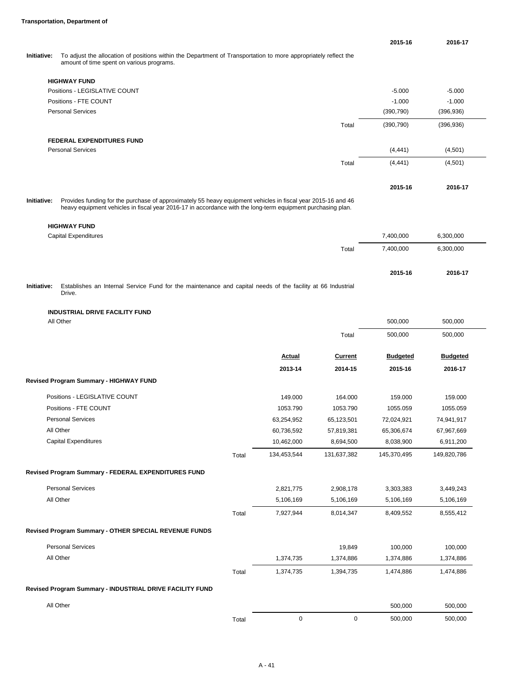|                    |                                                                                                                                                                                                                             | 2015-16    | 2016-17    |
|--------------------|-----------------------------------------------------------------------------------------------------------------------------------------------------------------------------------------------------------------------------|------------|------------|
| <b>Initiative:</b> | To adjust the allocation of positions within the Department of Transportation to more appropriately reflect the<br>amount of time spent on various programs.                                                                |            |            |
|                    | <b>HIGHWAY FUND</b>                                                                                                                                                                                                         |            |            |
|                    | Positions - LEGISLATIVE COUNT                                                                                                                                                                                               | $-5.000$   | $-5.000$   |
|                    | Positions - FTE COUNT                                                                                                                                                                                                       | $-1.000$   | $-1.000$   |
|                    | <b>Personal Services</b>                                                                                                                                                                                                    | (390, 790) | (396, 936) |
|                    | Total                                                                                                                                                                                                                       | (390, 790) | (396, 936) |
|                    | <b>FEDERAL EXPENDITURES FUND</b>                                                                                                                                                                                            |            |            |
|                    | <b>Personal Services</b>                                                                                                                                                                                                    | (4, 441)   | (4,501)    |
|                    | Total                                                                                                                                                                                                                       | (4, 441)   | (4,501)    |
|                    |                                                                                                                                                                                                                             | 2015-16    | 2016-17    |
| Initiative:        | Provides funding for the purchase of approximately 55 heavy equipment vehicles in fiscal year 2015-16 and 46<br>heavy equipment vehicles in fiscal year 2016-17 in accordance with the long-term equipment purchasing plan. |            |            |
|                    | <b>HIGHWAY FUND</b>                                                                                                                                                                                                         |            |            |

|             | Capital Expenditures                                                                                        | 7.400.000 | 6,300,000 |
|-------------|-------------------------------------------------------------------------------------------------------------|-----------|-----------|
|             | Total                                                                                                       | 7.400.000 | 6.300.000 |
|             |                                                                                                             | 2015-16   | 2016-17   |
| Initiative: | Establishes an Internal Service Fund for the maintenance and capital needs of the facility at 66 Industrial |           |           |

Drive.

## **INDUSTRIAL DRIVE FACILITY FUND**

| All Other                                                |       |               |                | 500,000         | 500,000         |
|----------------------------------------------------------|-------|---------------|----------------|-----------------|-----------------|
|                                                          |       |               | Total          | 500,000         | 500,000         |
|                                                          |       | <b>Actual</b> | <b>Current</b> | <b>Budgeted</b> | <b>Budgeted</b> |
|                                                          |       | 2013-14       | 2014-15        | 2015-16         | 2016-17         |
| Revised Program Summary - HIGHWAY FUND                   |       |               |                |                 |                 |
| Positions - LEGISLATIVE COUNT                            |       | 149.000       | 164.000        | 159.000         | 159.000         |
| Positions - FTE COUNT                                    |       | 1053.790      | 1053.790       | 1055.059        | 1055.059        |
| <b>Personal Services</b>                                 |       | 63,254,952    | 65,123,501     | 72,024,921      | 74,941,917      |
| All Other                                                |       | 60,736,592    | 57,819,381     | 65,306,674      | 67,967,669      |
| <b>Capital Expenditures</b>                              |       | 10,462,000    | 8,694,500      | 8,038,900       | 6,911,200       |
|                                                          | Total | 134,453,544   | 131,637,382    | 145,370,495     | 149,820,786     |
| Revised Program Summary - FEDERAL EXPENDITURES FUND      |       |               |                |                 |                 |
| <b>Personal Services</b>                                 |       | 2,821,775     | 2,908,178      | 3,303,383       | 3,449,243       |
| All Other                                                |       | 5,106,169     | 5,106,169      | 5,106,169       | 5,106,169       |
|                                                          | Total | 7,927,944     | 8,014,347      | 8,409,552       | 8,555,412       |
| Revised Program Summary - OTHER SPECIAL REVENUE FUNDS    |       |               |                |                 |                 |
| <b>Personal Services</b>                                 |       |               | 19,849         | 100,000         | 100,000         |
| All Other                                                |       | 1,374,735     | 1,374,886      | 1,374,886       | 1,374,886       |
|                                                          | Total | 1,374,735     | 1,394,735      | 1,474,886       | 1,474,886       |
| Revised Program Summary - INDUSTRIAL DRIVE FACILITY FUND |       |               |                |                 |                 |
| All Other                                                |       |               |                | 500,000         | 500,000         |
|                                                          | Total | $\mathbf 0$   | 0              | 500,000         | 500,000         |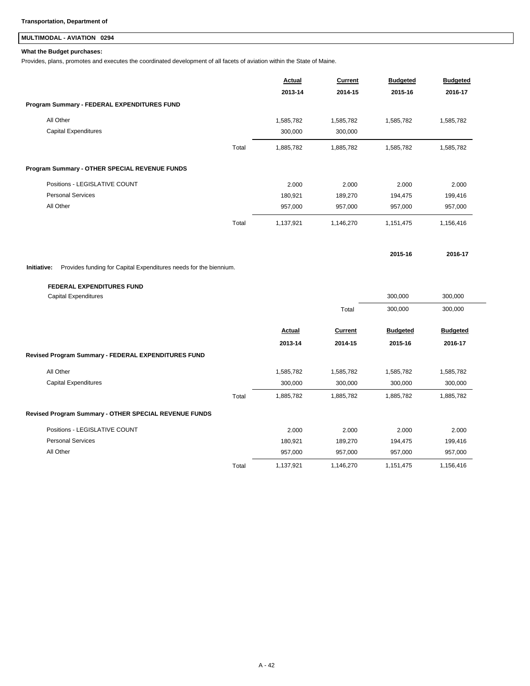## **MULTIMODAL - AVIATION 0294**

### **What the Budget purchases:**

Provides, plans, promotes and executes the coordinated development of all facets of aviation within the State of Maine.

|                                                                                  |       | <b>Actual</b> | <b>Current</b> | <b>Budgeted</b> | <b>Budgeted</b> |
|----------------------------------------------------------------------------------|-------|---------------|----------------|-----------------|-----------------|
|                                                                                  |       | 2013-14       | 2014-15        | 2015-16         | 2016-17         |
| Program Summary - FEDERAL EXPENDITURES FUND                                      |       |               |                |                 |                 |
| All Other                                                                        |       | 1,585,782     | 1,585,782      | 1,585,782       | 1,585,782       |
| <b>Capital Expenditures</b>                                                      |       | 300,000       | 300,000        |                 |                 |
|                                                                                  | Total | 1,885,782     | 1,885,782      | 1,585,782       | 1,585,782       |
| Program Summary - OTHER SPECIAL REVENUE FUNDS                                    |       |               |                |                 |                 |
| Positions - LEGISLATIVE COUNT                                                    |       | 2.000         | 2.000          | 2.000           | 2.000           |
| <b>Personal Services</b>                                                         |       | 180,921       | 189,270        | 194,475         | 199,416         |
| All Other                                                                        |       | 957,000       | 957,000        | 957,000         | 957,000         |
|                                                                                  | Total | 1,137,921     | 1,146,270      | 1,151,475       | 1,156,416       |
|                                                                                  |       |               |                | 2015-16         | 2016-17         |
| Initiative:<br>Provides funding for Capital Expenditures needs for the biennium. |       |               |                |                 |                 |
| <b>FEDERAL EXPENDITURES FUND</b>                                                 |       |               |                |                 |                 |
| <b>Capital Expenditures</b>                                                      |       |               |                | 300,000         | 300,000         |
|                                                                                  |       |               | Total          | 300,000         | 300,000         |
|                                                                                  |       | Actual        | <b>Current</b> | <b>Budgeted</b> | <b>Budgeted</b> |
|                                                                                  |       | 2013-14       | 2014-15        | 2015-16         | 2016-17         |
| Revised Program Summary - FEDERAL EXPENDITURES FUND                              |       |               |                |                 |                 |
| All Other                                                                        |       | 1,585,782     | 1,585,782      | 1,585,782       | 1,585,782       |
| <b>Capital Expenditures</b>                                                      |       | 300,000       | 300,000        | 300,000         | 300,000         |
|                                                                                  | Total | 1,885,782     | 1,885,782      | 1,885,782       | 1,885,782       |
| Revised Program Summary - OTHER SPECIAL REVENUE FUNDS                            |       |               |                |                 |                 |
| Positions - LEGISLATIVE COUNT                                                    |       | 2.000         | 2.000          | 2.000           | 2.000           |
| <b>Personal Services</b>                                                         |       | 180,921       | 189,270        | 194,475         | 199,416         |
| All Other                                                                        |       | 957,000       | 957,000        | 957,000         | 957,000         |
|                                                                                  | Total | 1,137,921     | 1,146,270      | 1,151,475       | 1,156,416       |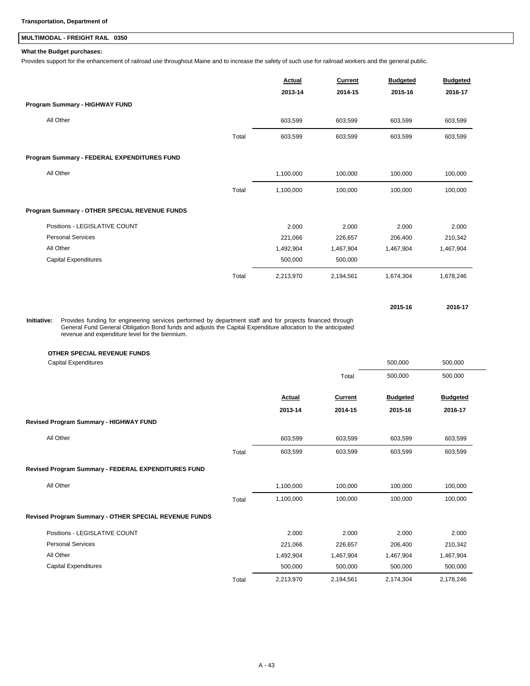## **MULTIMODAL - FREIGHT RAIL 0350**

### **What the Budget purchases:**

Provides support for the enhancement of railroad use throughout Maine and to increase the safety of such use for railroad workers and the general public.

|                                               |       | Actual<br>2013-14 | Current<br>2014-15 | <b>Budgeted</b><br>2015-16 | <b>Budgeted</b><br>2016-17 |
|-----------------------------------------------|-------|-------------------|--------------------|----------------------------|----------------------------|
| Program Summary - HIGHWAY FUND                |       |                   |                    |                            |                            |
| All Other                                     |       | 603,599           | 603,599            | 603,599                    | 603,599                    |
|                                               | Total | 603,599           | 603,599            | 603,599                    | 603,599                    |
| Program Summary - FEDERAL EXPENDITURES FUND   |       |                   |                    |                            |                            |
| All Other                                     |       | 1,100,000         | 100,000            | 100,000                    | 100,000                    |
|                                               | Total | 1,100,000         | 100,000            | 100,000                    | 100,000                    |
| Program Summary - OTHER SPECIAL REVENUE FUNDS |       |                   |                    |                            |                            |
| Positions - LEGISLATIVE COUNT                 |       | 2.000             | 2.000              | 2.000                      | 2.000                      |
| <b>Personal Services</b>                      |       | 221,066           | 226,657            | 206,400                    | 210,342                    |
| All Other                                     |       | 1,492,904         | 1,467,904          | 1,467,904                  | 1,467,904                  |
| Capital Expenditures                          |       | 500,000           | 500,000            |                            |                            |
|                                               | Total | 2,213,970         | 2,194,561          | 1,674,304                  | 1,678,246                  |

Provides funding for engineering services performed by department staff and for projects financed through General Fund General Obligation Bond funds and adjusts the Capital Expenditure allocation to the anticipated revenue and expenditure level for the biennium. **Initiative:**

### **OTHER SPECIAL REVENUE FUNDS**

| <b>Capital Expenditures</b>                           |       |           |                | 500,000         | 500,000         |
|-------------------------------------------------------|-------|-----------|----------------|-----------------|-----------------|
|                                                       |       |           | Total          | 500,000         | 500,000         |
|                                                       |       | Actual    | <b>Current</b> | <b>Budgeted</b> | <b>Budgeted</b> |
|                                                       |       | 2013-14   | 2014-15        | 2015-16         | 2016-17         |
| Revised Program Summary - HIGHWAY FUND                |       |           |                |                 |                 |
| All Other                                             |       | 603,599   | 603,599        | 603,599         | 603,599         |
|                                                       | Total | 603,599   | 603,599        | 603,599         | 603,599         |
| Revised Program Summary - FEDERAL EXPENDITURES FUND   |       |           |                |                 |                 |
| All Other                                             |       | 1,100,000 | 100,000        | 100,000         | 100,000         |
|                                                       | Total | 1,100,000 | 100,000        | 100,000         | 100,000         |
| Revised Program Summary - OTHER SPECIAL REVENUE FUNDS |       |           |                |                 |                 |
| Positions - LEGISLATIVE COUNT                         |       | 2.000     | 2.000          | 2.000           | 2.000           |
| <b>Personal Services</b>                              |       | 221,066   | 226,657        | 206,400         | 210,342         |
| All Other                                             |       | 1,492,904 | 1,467,904      | 1,467,904       | 1,467,904       |
| Capital Expenditures                                  |       | 500,000   | 500,000        | 500,000         | 500,000         |
|                                                       | Total | 2,213,970 | 2,194,561      | 2,174,304       | 2,178,246       |

**2015-16 2016-17**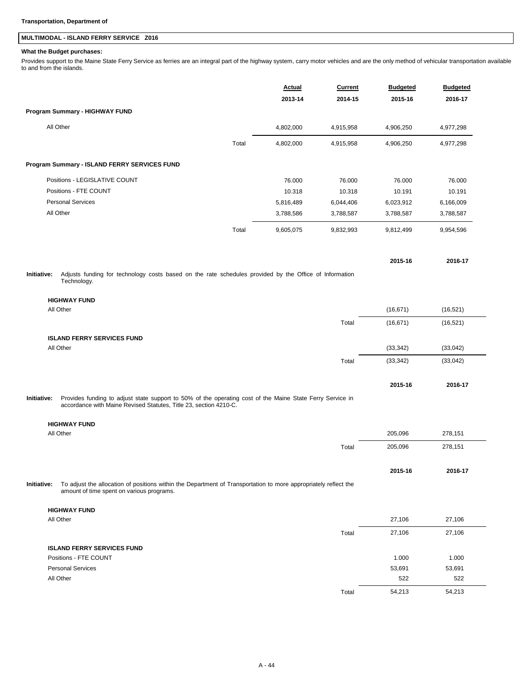## **MULTIMODAL - ISLAND FERRY SERVICE Z016**

### **What the Budget purchases:**

Provides support to the Maine State Ferry Service as ferries are an integral part of the highway system, carry motor vehicles and are the only method of vehicular transportation available to and from the islands.

|             |                                                                                                                                                                                | Actual    | Current   | <b>Budgeted</b> | <b>Budgeted</b> |
|-------------|--------------------------------------------------------------------------------------------------------------------------------------------------------------------------------|-----------|-----------|-----------------|-----------------|
|             |                                                                                                                                                                                | 2013-14   | 2014-15   | 2015-16         | 2016-17         |
|             | Program Summary - HIGHWAY FUND                                                                                                                                                 |           |           |                 |                 |
|             | All Other                                                                                                                                                                      | 4,802,000 | 4,915,958 | 4,906,250       | 4,977,298       |
|             | Total                                                                                                                                                                          | 4,802,000 | 4,915,958 | 4,906,250       | 4,977,298       |
|             | Program Summary - ISLAND FERRY SERVICES FUND                                                                                                                                   |           |           |                 |                 |
|             | Positions - LEGISLATIVE COUNT                                                                                                                                                  | 76.000    | 76.000    | 76.000          | 76.000          |
|             | Positions - FTE COUNT                                                                                                                                                          | 10.318    | 10.318    | 10.191          | 10.191          |
|             | <b>Personal Services</b>                                                                                                                                                       | 5,816,489 | 6,044,406 | 6,023,912       | 6,166,009       |
|             | All Other                                                                                                                                                                      | 3,788,586 | 3,788,587 | 3,788,587       | 3,788,587       |
|             | Total                                                                                                                                                                          | 9,605,075 | 9,832,993 | 9,812,499       | 9,954,596       |
|             |                                                                                                                                                                                |           |           | 2015-16         | 2016-17         |
| Initiative: | Adjusts funding for technology costs based on the rate schedules provided by the Office of Information<br>Technology.                                                          |           |           |                 |                 |
|             | <b>HIGHWAY FUND</b>                                                                                                                                                            |           |           |                 |                 |
|             | All Other                                                                                                                                                                      |           |           | (16, 671)       | (16, 521)       |
|             |                                                                                                                                                                                |           | Total     | (16, 671)       | (16, 521)       |
|             |                                                                                                                                                                                |           |           |                 |                 |
|             | <b>ISLAND FERRY SERVICES FUND</b><br>All Other                                                                                                                                 |           |           | (33, 342)       | (33,042)        |
|             |                                                                                                                                                                                |           | Total     | (33, 342)       | (33,042)        |
|             |                                                                                                                                                                                |           |           |                 |                 |
|             |                                                                                                                                                                                |           |           | 2015-16         | 2016-17         |
| Initiative: | Provides funding to adjust state support to 50% of the operating cost of the Maine State Ferry Service in<br>accordance with Maine Revised Statutes, Title 23, section 4210-C. |           |           |                 |                 |
|             | <b>HIGHWAY FUND</b>                                                                                                                                                            |           |           |                 |                 |
|             | All Other                                                                                                                                                                      |           |           | 205,096         | 278,151         |
|             |                                                                                                                                                                                |           | Total     | 205,096         | 278,151         |
|             |                                                                                                                                                                                |           |           | 2015-16         | 2016-17         |
| Initiative: | To adjust the allocation of positions within the Department of Transportation to more appropriately reflect the<br>amount of time spent on various programs.                   |           |           |                 |                 |
|             | <b>HIGHWAY FUND</b>                                                                                                                                                            |           |           |                 |                 |
|             | All Other                                                                                                                                                                      |           |           | 27,106          | 27,106          |
|             |                                                                                                                                                                                |           | Total     | 27,106          | 27,106          |
|             | <b>ISLAND FERRY SERVICES FUND</b>                                                                                                                                              |           |           |                 |                 |
|             | Positions - FTE COUNT                                                                                                                                                          |           |           | 1.000           | 1.000           |
|             | <b>Personal Services</b>                                                                                                                                                       |           |           | 53,691          | 53,691          |
|             | All Other                                                                                                                                                                      |           |           | 522             | 522             |
|             |                                                                                                                                                                                |           |           |                 |                 |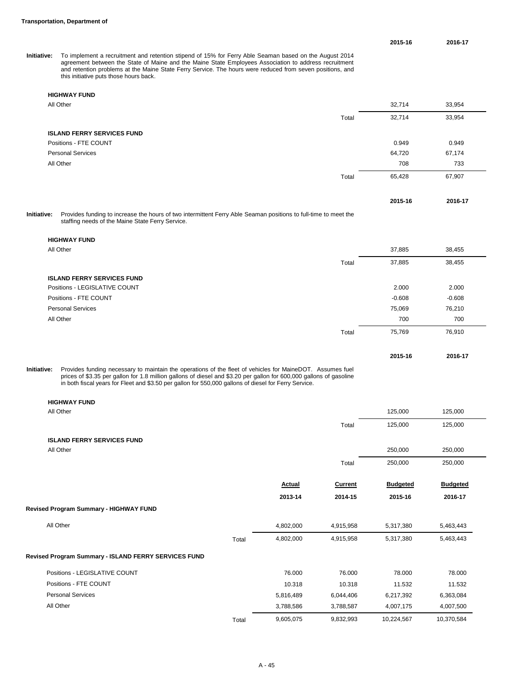**2015-16 2016-17**

To implement a recruitment and retention stipend of 15% for Ferry Able Seaman based on the August 2014<br>agreement between the State of Maine and the Maine State Employees Association to address recruitment<br>and retention pro **Initiative:**

### **HIGHWAY FUND**

| All Other                                                                                                                                                                                                                                                                                                                                         |       | 32,714  | 33,954  |  |
|---------------------------------------------------------------------------------------------------------------------------------------------------------------------------------------------------------------------------------------------------------------------------------------------------------------------------------------------------|-------|---------|---------|--|
|                                                                                                                                                                                                                                                                                                                                                   | Total | 32,714  | 33,954  |  |
| <b>ISLAND FERRY SERVICES FUND</b>                                                                                                                                                                                                                                                                                                                 |       |         |         |  |
| Positions - FTE COUNT                                                                                                                                                                                                                                                                                                                             |       | 0.949   | 0.949   |  |
| <b>Personal Services</b>                                                                                                                                                                                                                                                                                                                          |       | 64,720  | 67,174  |  |
| All Other                                                                                                                                                                                                                                                                                                                                         |       | 708     | 733     |  |
|                                                                                                                                                                                                                                                                                                                                                   | Total | 65,428  | 67,907  |  |
|                                                                                                                                                                                                                                                                                                                                                   |       | 2015-16 | 2016-17 |  |
| $\mathcal{A}$ . The state of the state of the state of the state of the state of the state of the state of the state of the state of the state of the state of the state of the state of the state of the state of the state of th<br>$\mathbf{r}$ , and $\mathbf{r}$ , and $\mathbf{r}$ , and $\mathbf{r}$ , and $\mathbf{r}$ , and $\mathbf{r}$ |       |         |         |  |

Provides funding to increase the hours of two intermittent Ferry Able Seaman positions to full-time to meet the staffing needs of the Maine State Ferry Service. **Initiative:**

| Provides funding necessary to maintain the operations of the fleet of vehicles for MaineDOT. Assumes fuel<br><b>Initiative:</b><br>prices of CO.OF per sollen fer 1.0 million sollene of diesel and CO.OO per sollen for COO.OOO sollene of gooding |       | 2015-16  | 2016-17  |
|-----------------------------------------------------------------------------------------------------------------------------------------------------------------------------------------------------------------------------------------------------|-------|----------|----------|
|                                                                                                                                                                                                                                                     | Total | 75,769   | 76,910   |
| All Other                                                                                                                                                                                                                                           |       | 700      | 700      |
| <b>Personal Services</b>                                                                                                                                                                                                                            |       | 75,069   | 76,210   |
| Positions - FTE COUNT                                                                                                                                                                                                                               |       | $-0.608$ | $-0.608$ |
| Positions - LEGISLATIVE COUNT                                                                                                                                                                                                                       |       | 2.000    | 2.000    |
| <b>ISLAND FERRY SERVICES FUND</b>                                                                                                                                                                                                                   |       |          |          |
|                                                                                                                                                                                                                                                     | Total | 37,885   | 38,455   |
| All Other                                                                                                                                                                                                                                           |       | 37,885   | 38,455   |
| <b>HIGHWAY FUND</b>                                                                                                                                                                                                                                 |       |          |          |

Provides funding necessary to maintain the operations of the fleet of vehicles for MaineDOT. Assumes fuel<br>prices of \$3.35 per gallon for 1.8 million gallons of diesel and \$3.20 per gallon for 600,000 gallons of gasoline<br>i

| <b>HIGHWAY FUND</b>                                  |       |               |                |                 |                 |
|------------------------------------------------------|-------|---------------|----------------|-----------------|-----------------|
| All Other                                            |       |               |                | 125,000         | 125,000         |
|                                                      |       |               | Total          | 125,000         | 125,000         |
| <b>ISLAND FERRY SERVICES FUND</b>                    |       |               |                |                 |                 |
| All Other                                            |       |               |                | 250,000         | 250,000         |
|                                                      |       |               | Total          | 250,000         | 250,000         |
|                                                      |       | <b>Actual</b> | <b>Current</b> | <b>Budgeted</b> | <b>Budgeted</b> |
|                                                      |       | 2013-14       | 2014-15        | 2015-16         | 2016-17         |
| Revised Program Summary - HIGHWAY FUND               |       |               |                |                 |                 |
| All Other                                            |       | 4,802,000     | 4,915,958      | 5,317,380       | 5,463,443       |
|                                                      | Total | 4,802,000     | 4,915,958      | 5,317,380       | 5,463,443       |
| Revised Program Summary - ISLAND FERRY SERVICES FUND |       |               |                |                 |                 |
| Positions - LEGISLATIVE COUNT                        |       | 76.000        | 76.000         | 78.000          | 78.000          |
| Positions - FTE COUNT                                |       | 10.318        | 10.318         | 11.532          | 11.532          |
| <b>Personal Services</b>                             |       | 5,816,489     | 6,044,406      | 6,217,392       | 6,363,084       |
| All Other                                            |       | 3,788,586     | 3,788,587      | 4,007,175       | 4,007,500       |
|                                                      | Total | 9,605,075     | 9,832,993      | 10,224,567      | 10,370,584      |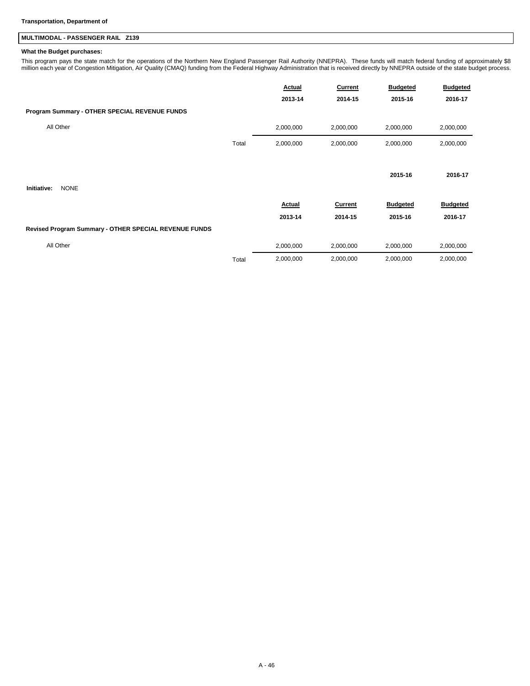## **MULTIMODAL - PASSENGER RAIL Z139**

### **What the Budget purchases:**

This program pays the state match for the operations of the Northern New England Passenger Rail Authority (NNEPRA). These funds will match federal funding of approximately \$8<br>million each year of Congestion Mitigation, Air

|                                                       |       | Actual    | Current   | <b>Budgeted</b> | <b>Budgeted</b> |
|-------------------------------------------------------|-------|-----------|-----------|-----------------|-----------------|
|                                                       |       | 2013-14   | 2014-15   | 2015-16         | 2016-17         |
| Program Summary - OTHER SPECIAL REVENUE FUNDS         |       |           |           |                 |                 |
| All Other                                             |       | 2,000,000 | 2,000,000 | 2,000,000       | 2,000,000       |
|                                                       | Total | 2,000,000 | 2,000,000 | 2,000,000       | 2,000,000       |
|                                                       |       |           |           |                 |                 |
|                                                       |       |           |           | 2015-16         | 2016-17         |
| <b>NONE</b><br>Initiative:                            |       |           |           |                 |                 |
|                                                       |       | Actual    | Current   | <b>Budgeted</b> | <b>Budgeted</b> |
|                                                       |       | 2013-14   | 2014-15   | 2015-16         | 2016-17         |
| Revised Program Summary - OTHER SPECIAL REVENUE FUNDS |       |           |           |                 |                 |
| All Other                                             |       | 2,000,000 | 2,000,000 | 2,000,000       | 2,000,000       |
|                                                       | Total | 2,000,000 | 2,000,000 | 2,000,000       | 2,000,000       |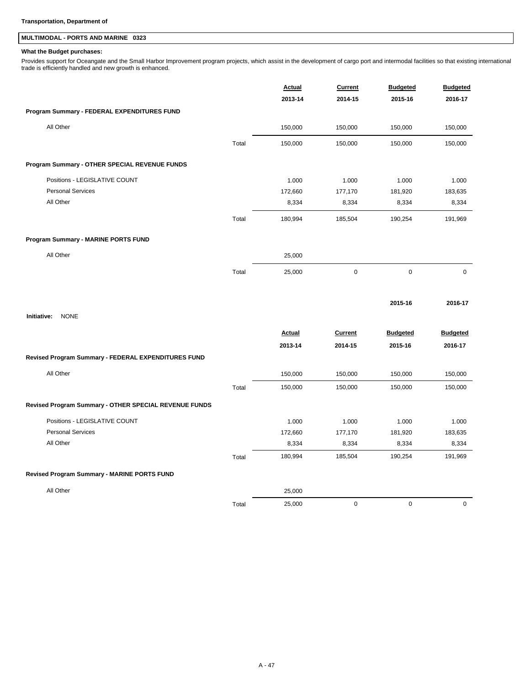## **MULTIMODAL - PORTS AND MARINE 0323**

### **What the Budget purchases:**

Provides support for Oceangate and the Small Harbor Improvement program projects, which assist in the development of cargo port and intermodal facilities so that existing international<br>trade is efficiently handled and new

|                                                       |       | <b>Actual</b> | <b>Current</b> | <b>Budgeted</b> | <b>Budgeted</b> |
|-------------------------------------------------------|-------|---------------|----------------|-----------------|-----------------|
|                                                       |       | 2013-14       | 2014-15        | 2015-16         | 2016-17         |
| Program Summary - FEDERAL EXPENDITURES FUND           |       |               |                |                 |                 |
| All Other                                             |       | 150,000       | 150,000        | 150,000         | 150,000         |
|                                                       | Total | 150,000       | 150,000        | 150,000         | 150,000         |
| Program Summary - OTHER SPECIAL REVENUE FUNDS         |       |               |                |                 |                 |
| Positions - LEGISLATIVE COUNT                         |       | 1.000         | 1.000          | 1.000           | 1.000           |
| <b>Personal Services</b>                              |       | 172,660       | 177,170        | 181,920         | 183,635         |
| All Other                                             |       | 8,334         | 8,334          | 8,334           | 8,334           |
|                                                       | Total | 180,994       | 185,504        | 190,254         | 191,969         |
| Program Summary - MARINE PORTS FUND                   |       |               |                |                 |                 |
| All Other                                             |       | 25,000        |                |                 |                 |
|                                                       | Total | 25,000        | $\mathbf 0$    | $\pmb{0}$       | $\mathbf 0$     |
|                                                       |       |               |                | 2015-16         | 2016-17         |
| Initiative:<br><b>NONE</b>                            |       |               |                |                 |                 |
|                                                       |       | <b>Actual</b> | <b>Current</b> | <b>Budgeted</b> | <b>Budgeted</b> |
|                                                       |       | 2013-14       | 2014-15        | 2015-16         | 2016-17         |
| Revised Program Summary - FEDERAL EXPENDITURES FUND   |       |               |                |                 |                 |
| All Other                                             |       | 150,000       | 150,000        | 150,000         | 150,000         |
|                                                       | Total | 150,000       | 150,000        | 150,000         | 150,000         |
| Revised Program Summary - OTHER SPECIAL REVENUE FUNDS |       |               |                |                 |                 |
| Positions - LEGISLATIVE COUNT                         |       | 1.000         | 1.000          | 1.000           | 1.000           |
| <b>Personal Services</b>                              |       | 172,660       | 177,170        | 181,920         | 183,635         |
| All Other                                             |       | 8,334         | 8,334          | 8,334           | 8,334           |
|                                                       | Total | 180,994       | 185,504        | 190,254         | 191,969         |
| Revised Program Summary - MARINE PORTS FUND           |       |               |                |                 |                 |
| All Other                                             |       | 25,000        |                |                 |                 |
|                                                       | Total | 25,000        | $\mathbf 0$    | $\mathbf 0$     | $\mathsf 0$     |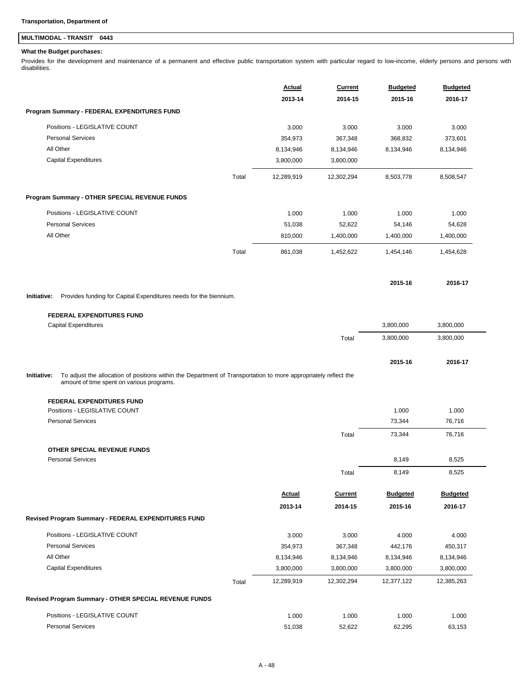## **MULTIMODAL - TRANSIT 0443**

### **What the Budget purchases:**

Provides for the development and maintenance of a permanent and effective public transportation system with particular regard to low-income, elderly persons and persons with disabilities.

|                                                                                                                                                                             | Actual        | Current        | <b>Budgeted</b> | <b>Budgeted</b> |
|-----------------------------------------------------------------------------------------------------------------------------------------------------------------------------|---------------|----------------|-----------------|-----------------|
| Program Summary - FEDERAL EXPENDITURES FUND                                                                                                                                 | 2013-14       | 2014-15        | 2015-16         | 2016-17         |
|                                                                                                                                                                             |               |                |                 |                 |
| Positions - LEGISLATIVE COUNT                                                                                                                                               | 3.000         | 3.000          | 3.000           | 3.000           |
| <b>Personal Services</b>                                                                                                                                                    | 354,973       | 367,348        | 368,832         | 373,601         |
| All Other                                                                                                                                                                   | 8,134,946     | 8,134,946      | 8,134,946       | 8,134,946       |
| <b>Capital Expenditures</b>                                                                                                                                                 | 3,800,000     | 3,800,000      |                 |                 |
| Total                                                                                                                                                                       | 12,289,919    | 12,302,294     | 8,503,778       | 8,508,547       |
| Program Summary - OTHER SPECIAL REVENUE FUNDS                                                                                                                               |               |                |                 |                 |
| Positions - LEGISLATIVE COUNT                                                                                                                                               | 1.000         | 1.000          | 1.000           | 1.000           |
| <b>Personal Services</b>                                                                                                                                                    | 51,038        | 52,622         | 54,146          | 54,628          |
| All Other                                                                                                                                                                   | 810,000       | 1,400,000      | 1,400,000       | 1,400,000       |
| Total                                                                                                                                                                       | 861,038       | 1,452,622      | 1,454,146       | 1,454,628       |
|                                                                                                                                                                             |               |                | 2015-16         | 2016-17         |
| Provides funding for Capital Expenditures needs for the biennium.<br>Initiative:                                                                                            |               |                |                 |                 |
| <b>FEDERAL EXPENDITURES FUND</b>                                                                                                                                            |               |                |                 |                 |
| <b>Capital Expenditures</b>                                                                                                                                                 |               |                | 3,800,000       | 3,800,000       |
|                                                                                                                                                                             |               | Total          | 3,800,000       | 3,800,000       |
|                                                                                                                                                                             |               |                | 2015-16         | 2016-17         |
| To adjust the allocation of positions within the Department of Transportation to more appropriately reflect the<br>Initiative:<br>amount of time spent on various programs. |               |                |                 |                 |
| <b>FEDERAL EXPENDITURES FUND</b>                                                                                                                                            |               |                |                 |                 |
| Positions - LEGISLATIVE COUNT                                                                                                                                               |               |                | 1.000           | 1.000           |
| <b>Personal Services</b>                                                                                                                                                    |               |                | 73,344          |                 |
|                                                                                                                                                                             |               |                |                 | 76,716          |
|                                                                                                                                                                             |               | Total          | 73,344          | 76,716          |
| OTHER SPECIAL REVENUE FUNDS                                                                                                                                                 |               |                |                 |                 |
| <b>Personal Services</b>                                                                                                                                                    |               |                | 8,149           | 8,525           |
|                                                                                                                                                                             |               | Total          | 8,149           | 8,525           |
|                                                                                                                                                                             | <b>Actual</b> | <b>Current</b> | <b>Budgeted</b> | <b>Budgeted</b> |
|                                                                                                                                                                             | 2013-14       | 2014-15        | 2015-16         | 2016-17         |
|                                                                                                                                                                             |               |                |                 |                 |
| Positions - LEGISLATIVE COUNT                                                                                                                                               | 3.000         | 3.000          | 4.000           | 4.000           |
| <b>Personal Services</b>                                                                                                                                                    | 354,973       | 367,348        | 442,176         | 450,317         |
| All Other                                                                                                                                                                   | 8,134,946     | 8,134,946      | 8,134,946       | 8,134,946       |
| <b>Capital Expenditures</b>                                                                                                                                                 | 3,800,000     | 3,800,000      | 3,800,000       | 3,800,000       |
| Revised Program Summary - FEDERAL EXPENDITURES FUND<br>Total                                                                                                                | 12,289,919    | 12,302,294     | 12,377,122      | 12,385,263      |
|                                                                                                                                                                             |               |                |                 |                 |
| Revised Program Summary - OTHER SPECIAL REVENUE FUNDS<br>Positions - LEGISLATIVE COUNT                                                                                      | 1.000         | 1.000          | 1.000           | 1.000           |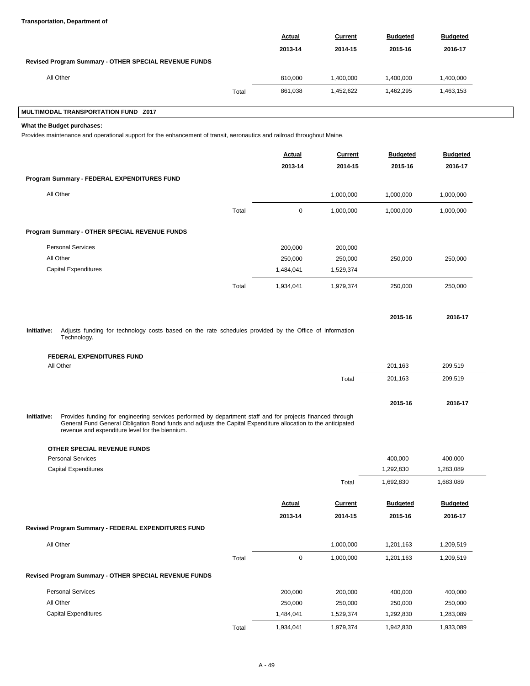### **Transportation, Department of**

|                                                       |       | <b>Actual</b> | <b>Current</b> | <b>Budgeted</b> | <b>Budgeted</b> |  |
|-------------------------------------------------------|-------|---------------|----------------|-----------------|-----------------|--|
|                                                       |       | 2013-14       | 2014-15        | 2015-16         | 2016-17         |  |
| Revised Program Summary - OTHER SPECIAL REVENUE FUNDS |       |               |                |                 |                 |  |
| All Other                                             |       | 810,000       | 1.400.000      | 1.400.000       | 1,400,000       |  |
|                                                       | Total | 861,038       | 1,452,622      | 1,462,295       | 1,463,153       |  |

### **MULTIMODAL TRANSPORTATION FUND Z017**

**What the Budget purchases:**

Provides maintenance and operational support for the enhancement of transit, aeronautics and railroad throughout Maine.

|             |                                                                                                                                                                                                                                                                              |       | Actual<br>2013-14 | Current<br>2014-15 | <b>Budgeted</b><br>2015-16 | <b>Budgeted</b><br>2016-17 |
|-------------|------------------------------------------------------------------------------------------------------------------------------------------------------------------------------------------------------------------------------------------------------------------------------|-------|-------------------|--------------------|----------------------------|----------------------------|
|             | Program Summary - FEDERAL EXPENDITURES FUND                                                                                                                                                                                                                                  |       |                   |                    |                            |                            |
|             | All Other                                                                                                                                                                                                                                                                    |       |                   | 1,000,000          | 1,000,000                  | 1,000,000                  |
|             |                                                                                                                                                                                                                                                                              | Total | $\mathbf 0$       | 1,000,000          | 1,000,000                  | 1,000,000                  |
|             | Program Summary - OTHER SPECIAL REVENUE FUNDS                                                                                                                                                                                                                                |       |                   |                    |                            |                            |
|             | <b>Personal Services</b>                                                                                                                                                                                                                                                     |       | 200,000           | 200,000            |                            |                            |
|             | All Other                                                                                                                                                                                                                                                                    |       | 250,000           | 250,000            | 250,000                    | 250,000                    |
|             | <b>Capital Expenditures</b>                                                                                                                                                                                                                                                  |       | 1,484,041         | 1,529,374          |                            |                            |
|             |                                                                                                                                                                                                                                                                              | Total | 1,934,041         | 1,979,374          | 250,000                    | 250,000                    |
|             |                                                                                                                                                                                                                                                                              |       |                   |                    | 2015-16                    | 2016-17                    |
| Initiative: | Adjusts funding for technology costs based on the rate schedules provided by the Office of Information<br>Technology.                                                                                                                                                        |       |                   |                    |                            |                            |
|             | <b>FEDERAL EXPENDITURES FUND</b>                                                                                                                                                                                                                                             |       |                   |                    |                            |                            |
|             | All Other                                                                                                                                                                                                                                                                    |       |                   |                    | 201,163                    | 209.519                    |
|             |                                                                                                                                                                                                                                                                              |       |                   | Total              | 201,163                    | 209,519                    |
|             |                                                                                                                                                                                                                                                                              |       |                   |                    | 2015-16                    | 2016-17                    |
| Initiative: | Provides funding for engineering services performed by department staff and for projects financed through<br>General Fund General Obligation Bond funds and adjusts the Capital Expenditure allocation to the anticipated<br>revenue and expenditure level for the biennium. |       |                   |                    |                            |                            |
|             | OTHER SPECIAL REVENUE FUNDS                                                                                                                                                                                                                                                  |       |                   |                    |                            |                            |
|             | <b>Personal Services</b>                                                                                                                                                                                                                                                     |       |                   |                    | 400,000                    | 400,000                    |
|             | <b>Capital Expenditures</b>                                                                                                                                                                                                                                                  |       |                   |                    | 1,292,830                  | 1,283,089                  |
|             |                                                                                                                                                                                                                                                                              |       |                   | Total              | 1,692,830                  | 1,683,089                  |
|             |                                                                                                                                                                                                                                                                              |       | Actual            | Current            | <b>Budgeted</b>            | <b>Budgeted</b>            |
|             |                                                                                                                                                                                                                                                                              |       | 2013-14           | 2014-15            | 2015-16                    | 2016-17                    |
|             | Revised Program Summary - FEDERAL EXPENDITURES FUND                                                                                                                                                                                                                          |       |                   |                    |                            |                            |
|             | All Other                                                                                                                                                                                                                                                                    |       |                   | 1,000,000          | 1,201,163                  | 1,209,519                  |
|             |                                                                                                                                                                                                                                                                              | Total | $\pmb{0}$         | 1,000,000          | 1,201,163                  | 1,209,519                  |
|             | Revised Program Summary - OTHER SPECIAL REVENUE FUNDS                                                                                                                                                                                                                        |       |                   |                    |                            |                            |
|             | <b>Personal Services</b>                                                                                                                                                                                                                                                     |       | 200,000           | 200,000            | 400,000                    | 400,000                    |
|             | All Other                                                                                                                                                                                                                                                                    |       | 250,000           | 250,000            | 250,000                    | 250,000                    |
|             | <b>Capital Expenditures</b>                                                                                                                                                                                                                                                  |       | 1,484,041         | 1,529,374          | 1,292,830                  | 1,283,089                  |

Total 1,934,041 1,979,374 1,942,830 1,933,089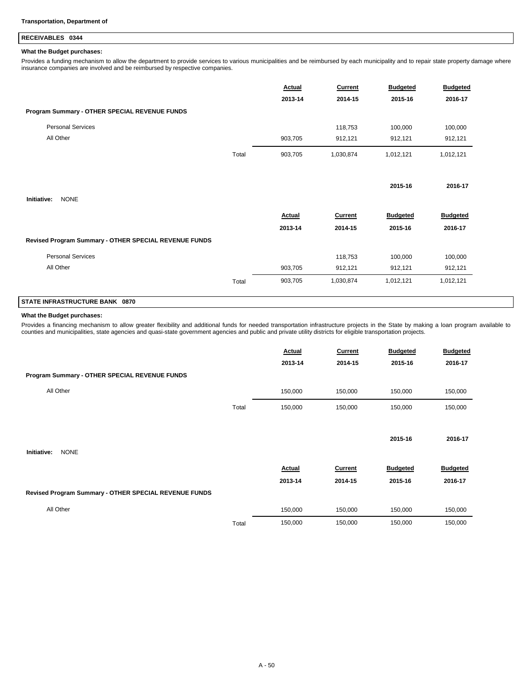### **RECEIVABLES 0344**

### **What the Budget purchases:**

Provides a funding mechanism to allow the department to provide services to various municipalities and be reimbursed by each municipality and to repair state property damage where insurance companies are involved and be reimbursed by respective companies.

|                                                       |       | <b>Actual</b><br>2013-14 | <b>Current</b><br>2014-15 | <b>Budgeted</b><br>2015-16 | <b>Budgeted</b><br>2016-17 |
|-------------------------------------------------------|-------|--------------------------|---------------------------|----------------------------|----------------------------|
| Program Summary - OTHER SPECIAL REVENUE FUNDS         |       |                          |                           |                            |                            |
| <b>Personal Services</b>                              |       |                          | 118,753                   | 100,000                    | 100,000                    |
| All Other                                             |       | 903,705                  | 912,121                   | 912,121                    | 912,121                    |
|                                                       | Total | 903,705                  | 1,030,874                 | 1,012,121                  | 1,012,121                  |
|                                                       |       |                          |                           | 2015-16                    | 2016-17                    |
| <b>NONE</b><br>Initiative:                            |       |                          |                           |                            |                            |
|                                                       |       | Actual                   | <b>Current</b>            | <b>Budgeted</b>            | <b>Budgeted</b>            |
|                                                       |       | 2013-14                  | 2014-15                   | 2015-16                    | 2016-17                    |
| Revised Program Summary - OTHER SPECIAL REVENUE FUNDS |       |                          |                           |                            |                            |
| <b>Personal Services</b>                              |       |                          | 118,753                   | 100,000                    | 100,000                    |
| All Other                                             |       | 903,705                  | 912,121                   | 912,121                    | 912,121                    |
|                                                       | Total | 903,705                  | 1,030,874                 | 1,012,121                  | 1,012,121                  |

## **STATE INFRASTRUCTURE BANK 0870**

### **What the Budget purchases:**

Provides a financing mechanism to allow greater flexibility and additional funds for needed transportation infrastructure projects in the State by making a loan program available to<br>counties and municipalities, state agenc

|                                                       |       | Actual        | Current        | <b>Budgeted</b> | <b>Budgeted</b> |
|-------------------------------------------------------|-------|---------------|----------------|-----------------|-----------------|
|                                                       |       | 2013-14       | 2014-15        | 2015-16         | 2016-17         |
| Program Summary - OTHER SPECIAL REVENUE FUNDS         |       |               |                |                 |                 |
| All Other                                             |       | 150,000       | 150,000        | 150,000         | 150,000         |
|                                                       | Total | 150,000       | 150,000        | 150,000         | 150,000         |
|                                                       |       |               |                |                 |                 |
|                                                       |       |               |                | 2015-16         | 2016-17         |
| Initiative:<br><b>NONE</b>                            |       |               |                |                 |                 |
|                                                       |       | <b>Actual</b> | <b>Current</b> | <b>Budgeted</b> | <b>Budgeted</b> |
|                                                       |       | 2013-14       | 2014-15        | 2015-16         | 2016-17         |
| Revised Program Summary - OTHER SPECIAL REVENUE FUNDS |       |               |                |                 |                 |
| All Other                                             |       | 150,000       | 150,000        | 150,000         | 150,000         |
|                                                       | Total | 150,000       | 150,000        | 150,000         | 150,000         |